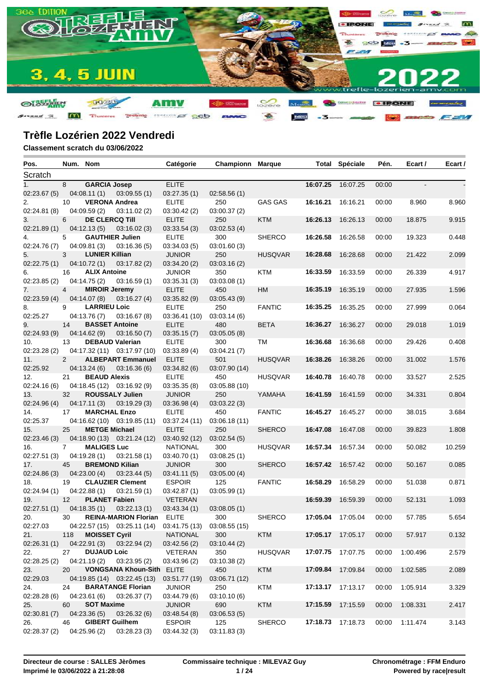

| Pos.            | Num. Nom          |                                   |                                                         | Catégorie              | <b>Championn Marque</b> |                |          | <b>Total Spéciale</b> | Pén.  | Ecart /  | Ecart / |
|-----------------|-------------------|-----------------------------------|---------------------------------------------------------|------------------------|-------------------------|----------------|----------|-----------------------|-------|----------|---------|
| Scratch         |                   |                                   |                                                         |                        |                         |                |          |                       |       |          |         |
| 1 <sub>1</sub>  | 8                 | <b>GARCIA Josep</b>               |                                                         | <b>ELITE</b>           |                         |                |          | 16:07.25 16:07.25     | 00:00 | $\sim$   |         |
| 02:23.67 (5)    |                   | 04:08.11(1)                       | 03:09.55(1)                                             | 03:27.35(1)            | 02:58.56(1)             |                |          |                       |       |          |         |
| 2.              | 10                | <b>VERONA Andrea</b>              |                                                         | <b>ELITE</b>           | 250                     | <b>GAS GAS</b> | 16:16.21 | 16:16.21              | 00:00 | 8.960    | 8.960   |
| 02:24.81(8)     |                   | 04:09.59(2)                       | 03:11.02 (2)                                            | 03:30.42(2)            | 03:00.37(2)             |                |          |                       |       |          |         |
| 3.              | 6                 | <b>DE CLERCQ Till</b>             |                                                         | <b>ELITE</b>           | 250                     | <b>KTM</b>     | 16:26.13 | 16:26.13              | 00:00 | 18.875   | 9.915   |
| 02:21.89 (1)    |                   | 04:12.13(5)                       | 03:16.02(3)                                             | 03:33.54(3)            | 03:02.53(4)             |                |          |                       |       |          |         |
| 4.              | 5                 | <b>GAUTHIER Julien</b>            |                                                         | <b>ELITE</b>           | 300                     | <b>SHERCO</b>  | 16:26.58 | 16:26.58              | 00:00 | 19.323   | 0.448   |
| 02:24.76(7)     |                   | 04:09.81(3)                       | 03:16.36(5)                                             | 03:34.03(5)            | 03:01.60(3)             |                |          |                       |       |          |         |
| 5.              | 3                 | <b>LUNIER Killian</b>             |                                                         | <b>JUNIOR</b>          | 250                     | <b>HUSQVAR</b> | 16:28.68 | 16:28.68              | 00:00 | 21.422   | 2.099   |
| 02:22.75 (1)    |                   | 04:10.72(1)                       | 03:17.82(2)                                             | 03:34.20(2)            | 03:03.16(2)             |                |          |                       |       |          |         |
| 6.              | 16                | <b>ALIX Antoine</b>               |                                                         | <b>JUNIOR</b>          | 350                     | KTM            | 16:33.59 | 16:33.59              | 00:00 | 26.339   | 4.917   |
| 02:23.85(2)     |                   | 04:14.75(2)                       | 03:16.59(1)                                             | 03:35.31(3)            | 03:03.08(1)             |                |          |                       |       |          |         |
| 7.              | $\overline{4}$    | <b>MIROIR Jeremy</b>              |                                                         | <b>ELITE</b>           | 450                     | HM             | 16:35.19 | 16:35.19              | 00:00 | 27.935   | 1.596   |
| 02:23.59 (4)    |                   | 04:14.07 (8)                      | 03:16.27(4)                                             | 03:35.82 (9)           | 03:05.43(9)             |                |          |                       |       |          |         |
| 8.              | 9                 | <b>LARRIEU Loic</b>               |                                                         | <b>ELITE</b>           | 250                     | <b>FANTIC</b>  |          | 16:35.25 16:35.25     | 00:00 | 27.999   | 0.064   |
| 02:25.27        |                   | 04:13.76(7)                       | 03:16.67(8)                                             | 03:36.41(10)           | 03:03.14(6)             |                |          |                       |       |          |         |
| 9.              | 14                | <b>BASSET Antoine</b>             |                                                         | <b>ELITE</b>           | 480                     | <b>BETA</b>    |          | 16:36.27 16:36.27     | 00:00 | 29.018   | 1.019   |
| 02:24.93 (9)    |                   | 04:14.62(9)                       | 03:16.50(7)                                             | 03:35.15(7)            | 03:05.05(8)             |                |          |                       |       |          |         |
| 10.             | 13                |                                   | <b>DEBAUD Valerian</b>                                  | <b>ELITE</b>           | 300                     | TM             |          | 16:36.68 16:36.68     | 00:00 | 29.426   | 0.408   |
| 02:23.28(2)     |                   |                                   | 04:17.32 (11) 03:17.97 (10)                             | 03:33.89(4)            | 03:04.21(7)             |                |          |                       |       |          |         |
| 11.             | 2                 |                                   | <b>ALBEPART Emmanuel</b>                                | <b>ELITE</b>           | 501                     | <b>HUSQVAR</b> | 16:38.26 | 16:38.26              | 00:00 | 31.002   | 1.576   |
| 02:25.92        |                   |                                   | $04:13.24(6)$ $03:16.36(6)$                             | 03:34.82 (6)           | 03:07.90 (14)           |                |          |                       |       |          |         |
| 12.             | 21                | <b>BEAUD Alexis</b>               |                                                         | <b>ELITE</b>           | 450                     | <b>HUSQVAR</b> |          | 16:40.78 16:40.78     | 00:00 | 33.527   | 2.525   |
| 02:24.16(6)     |                   |                                   | 04:18.45 (12) 03:16.92 (9)                              | 03:35.35(8)            | 03:05.88 (10)           |                |          |                       |       |          |         |
| 13.             | 32                |                                   | <b>ROUSSALY Julien</b>                                  | <b>JUNIOR</b>          | 250                     | YAMAHA         | 16:41.59 | 16:41.59              | 00:00 | 34.331   | 0.804   |
| 02:24.96 (4)    |                   |                                   | $04:17.11(3)$ $03:19.29(3)$                             | 03:36.98 (4)           | 03:03.22(3)             |                |          |                       |       |          |         |
| 14.             | 17 <sup>2</sup>   | <b>MARCHAL Enzo</b>               |                                                         | <b>ELITE</b>           | 450                     | <b>FANTIC</b>  |          | 16:45.27 16:45.27     | 00:00 | 38.015   | 3.684   |
| 02:25.37        |                   |                                   | $04:16.62(10)$ $03:19.85(11)$                           | 03:37.24(11)           | 03:06.18(11)            |                |          |                       |       |          |         |
| 15.             | 25                | <b>METGE Michael</b>              |                                                         | <b>ELITE</b>           | 250                     | <b>SHERCO</b>  | 16:47.08 | 16:47.08              | 00:00 | 39.823   | 1.808   |
| 02:23.46 (3)    |                   |                                   | 04:18.90 (13) 03:21.24 (12)                             | 03:40.92 (12)          | 03:02.54(5)             |                |          |                       |       |          |         |
| 16.             | $7^{\circ}$       | <b>MALIGES Luc</b>                |                                                         | NATIONAL               | 300                     | <b>HUSQVAR</b> |          | 16:57.34 16:57.34     | 00:00 | 50.082   | 10.259  |
| 02:27.51(3)     |                   |                                   | $04:19.28(1)$ $03:21.58(1)$                             | 03:40.70(1)            | 03:08.25(1)             |                |          |                       |       |          |         |
| 17.             | 45                | <b>BREMOND Kilian</b>             |                                                         | <b>JUNIOR</b>          | 300                     | <b>SHERCO</b>  |          | 16:57.42 16:57.42     | 00:00 | 50.167   | 0.085   |
| 02:24.86 (3)    |                   | 04:23.00 (4)                      | 03:23.44(5)                                             | 03:41.11(5)            | 03:05.00(4)             |                |          |                       |       |          |         |
| 18.             | 19                |                                   | <b>CLAUZIER Clement</b>                                 | <b>ESPOIR</b>          | 125                     | <b>FANTIC</b>  |          | 16:58.29 16:58.29     | 00:00 | 51.038   | 0.871   |
| 02:24.94(1)     |                   | 04:22.88(1)                       | 03:21.59(1)                                             | 03:42.87(1)            | 03:05.99(1)             |                |          |                       |       |          |         |
| 19.             | $12 \overline{ }$ | <b>PLANET Fabien</b>              |                                                         | <b>VETERAN</b>         |                         |                | 16:59.39 | 16:59.39              | 00:00 | 52.131   | 1.093   |
| 02:27.51(1)     |                   | 04:18.35(1)                       | 03:22.13(1)                                             | 03:43.34(1)            | 03:08.05(1)             |                |          |                       |       |          |         |
| 20.             | 30                |                                   | <b>REINA-MARION Florian ELITE</b>                       |                        | 300                     | <b>SHERCO</b>  |          | 17:05.04 17:05.04     | 00:00 | 57.785   | 5.654   |
| 02:27.03        |                   |                                   | 04:22.57 (15) 03:25.11 (14) 03:41.75 (13) 03:08.55 (15) |                        |                         |                |          |                       |       |          |         |
| 21.             | 118               | <b>MOISSET Cyril</b>              |                                                         | <b>NATIONAL</b>        | 300                     | <b>KTM</b>     |          | 17:05.17 17:05.17     | 00:00 | 57.917   | 0.132   |
| 02:26.31 (1)    |                   | 04:22.91(3)                       | 03:22.94(2)                                             | 03:42.56(2)<br>VETERAN | 03:10.44(2)             |                |          | 17:07.75 17:07.75     |       |          |         |
| 22.             | 27                | <b>DUJAUD Loic</b><br>04:21.19(2) |                                                         |                        | 350                     | <b>HUSQVAR</b> |          |                       | 00:00 | 1:00.496 | 2.579   |
| 02:28.25(2)     | 20                |                                   | 03:23.95 (2)<br>VONGSANA Khoun-Sith ELITE               | 03:43.96 (2)           | 03:10.38 (2)            | <b>KTM</b>     | 17:09.84 | 17:09.84              | 00:00 |          |         |
| 23.<br>02:29.03 |                   |                                   | 04:19.85 (14) 03:22.45 (13)                             | 03:51.77 (19)          | 450<br>03:06.71 (12)    |                |          |                       |       | 1:02.585 | 2.089   |
| 24.             | 24                |                                   | <b>BARATANGE Florian</b>                                | <b>JUNIOR</b>          | 250                     | <b>KTM</b>     |          | 17:13.17 17:13.17     | 00:00 | 1:05.914 | 3.329   |
| 02:28.28(6)     |                   | 04:23.61(6)                       | 03:26.37(7)                                             | 03:44.79 (6)           | 03:10.10 (6)            |                |          |                       |       |          |         |
| 25.             | 60                | <b>SOT Maxime</b>                 |                                                         | <b>JUNIOR</b>          | 690                     | <b>KTM</b>     |          | 17:15.59 17:15.59     | 00:00 | 1:08.331 | 2.417   |
| 02:30.81 (7)    |                   | 04:23.36(5)                       | 03:26.32(6)                                             | 03:48.54(8)            | 03:06.53(5)             |                |          |                       |       |          |         |
| 26.             | 46                | <b>GIBERT Guilhem</b>             |                                                         | <b>ESPOIR</b>          | 125                     | <b>SHERCO</b>  |          | 17:18.73 17:18.73     | 00:00 | 1:11.474 | 3.143   |
| 02:28.37(2)     |                   | 04:25.96(2)                       | 03:28.23(3)                                             | 03:44.32 (3)           | 03:11.83(3)             |                |          |                       |       |          |         |
|                 |                   |                                   |                                                         |                        |                         |                |          |                       |       |          |         |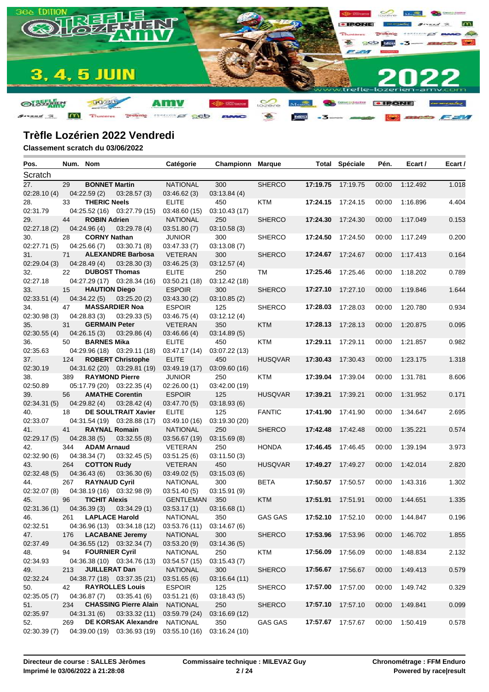

| Pos.            | Num. Nom |                       |                                                        | Catégorie                      | Championn            | <b>Marque</b>  |                   | <b>Total Spéciale</b> | Pén.  | Ecart /  | Ecart / |
|-----------------|----------|-----------------------|--------------------------------------------------------|--------------------------------|----------------------|----------------|-------------------|-----------------------|-------|----------|---------|
| Scratch         |          |                       |                                                        |                                |                      |                |                   |                       |       |          |         |
| 27.             | 29       | <b>BONNET Martin</b>  |                                                        | <b>NATIONAL</b>                | 300                  | <b>SHERCO</b>  | 17:19.75          | 17:19.75              | 00:00 | 1:12.492 | 1.018   |
| 02:28.10(4)     |          | 04:22.59(2)           | 03:28.57(3)                                            | 03:46.62(3)                    | 03:13.84(4)          |                |                   |                       |       |          |         |
| 28.             | 33       | <b>THERIC Neels</b>   |                                                        | <b>ELITE</b>                   | 450                  | <b>KTM</b>     |                   | 17:24.15 17:24.15     | 00:00 | 1:16.896 | 4.404   |
| 02:31.79        |          |                       | 04:25.52 (16) 03:27.79 (15)                            | 03:48.60 (15)                  | 03:10.43 (17)        |                |                   |                       |       |          |         |
| 29.             | 44       | <b>ROBIN Adrien</b>   |                                                        | <b>NATIONAL</b>                | 250                  | <b>SHERCO</b>  | 17:24.30          | 17:24.30              | 00:00 | 1:17.049 | 0.153   |
| 02:27.18(2)     |          | 04:24.96 (4)          | 03:29.78(4)                                            | 03:51.80(7)                    | 03:10.58(3)          |                |                   |                       |       |          |         |
| 30.             | 28       | <b>CORNY Nathan</b>   |                                                        | <b>JUNIOR</b>                  | 300                  | <b>SHERCO</b>  | 17:24.50 17:24.50 |                       | 00:00 | 1:17.249 | 0.200   |
| 02:27.71(5)     |          | 04:25.66(7)           | 03:30.71(8)                                            | 03:47.33(7)                    | 03:13.08(7)          |                |                   |                       |       |          |         |
| 31.             | 71       |                       | <b>ALEXANDRE Barbosa</b>                               | <b>VETERAN</b>                 | 300                  | <b>SHERCO</b>  |                   | 17:24.67 17:24.67     | 00:00 | 1:17.413 | 0.164   |
| 02:29.04 (3)    |          | 04:28.49(4)           | 03:28.30(3)                                            | 03:46.25(3)                    | 03:12.57(4)          |                |                   |                       |       |          |         |
| 32.             | 22       | <b>DUBOST Thomas</b>  |                                                        | <b>ELITE</b>                   | 250                  | TM             | 17:25.46          | 17:25.46              | 00:00 | 1:18.202 | 0.789   |
| 02:27.18        |          |                       | 04:27.29 (17) 03:28.34 (16)                            | 03:50.21 (18)                  | 03:12.42 (18)        |                |                   |                       |       |          |         |
| 33.             | 15       | <b>HAUTION Diego</b>  |                                                        | <b>ESPOIR</b>                  | 300                  | <b>SHERCO</b>  | 17:27.10          | 17:27.10              | 00:00 | 1:19.846 | 1.644   |
| 02:33.51(4)     |          | 04:34.22(5)           | 03:25.20(2)                                            | 03:43.30(2)                    | 03:10.85(2)          |                |                   |                       |       |          |         |
| 34.             | 47       |                       | <b>MASSARDIER Noa</b>                                  | <b>ESPOIR</b>                  | 125                  | <b>SHERCO</b>  | 17:28.03          | 17:28.03              | 00:00 | 1:20.780 | 0.934   |
| 02:30.98(3)     |          | 04:28.83(3)           | 03:29.33(5)                                            | 03:46.75(4)                    | 03:12.12(4)          |                |                   |                       |       |          |         |
| 35.             | 31       | <b>GERMAIN Peter</b>  |                                                        | <b>VETERAN</b>                 | 350                  | <b>KTM</b>     | 17:28.13          | 17:28.13              | 00:00 | 1:20.875 | 0.095   |
| 02:30.55(4)     |          | 04:26.15(3)           | 03:29.86(4)                                            | 03:46.66(4)                    | 03:14.89(5)          |                |                   |                       |       |          |         |
| 36.             | 50       | <b>BARNES Mika</b>    |                                                        | <b>ELITE</b>                   | 450                  | KTM            | 17:29.11          | 17:29.11              | 00:00 | 1:21.857 | 0.982   |
| 02:35.63        |          |                       | 04:29.96 (18) 03:29.11 (18)                            | 03:47.17 (14)                  | 03:07.22 (13)        |                |                   |                       |       |          |         |
| 37.             | 124      |                       | <b>ROBERT Christophe</b>                               | <b>ELITE</b>                   | 450                  | <b>HUSQVAR</b> | 17:30.43          | 17:30.43              | 00:00 | 1:23.175 | 1.318   |
| 02:30.19        |          | <b>RAYMOND Pierre</b> | 04:31.62 (20) 03:29.81 (19)                            | 03:49.19 (17)<br><b>JUNIOR</b> | 03:09.60 (16)        |                | 17:39.04          | 17:39.04              |       |          |         |
| 38.<br>02:50.89 | 389      |                       |                                                        | 02:26.00(1)                    | 250<br>03:42.00 (19) | KTM            |                   |                       | 00:00 | 1:31.781 | 8.606   |
| 39.             | 56       |                       | 05:17.79 (20) 03:22.35 (4)<br><b>AMATHE Corentin</b>   | <b>ESPOIR</b>                  | 125                  | <b>HUSQVAR</b> | 17:39.21          | 17:39.21              | 00:00 | 1:31.952 | 0.171   |
| 02:34.31 (5)    |          | 04:29.82 (4)          | 03:28.42(4)                                            | 03:47.70(5)                    | 03:18.93(6)          |                |                   |                       |       |          |         |
| 40.             | 18       |                       | <b>DE SOULTRAIT Xavier</b>                             | <b>ELITE</b>                   | 125                  | <b>FANTIC</b>  | 17:41.90 17:41.90 |                       | 00:00 | 1:34.647 | 2.695   |
| 02:33.07        |          |                       | 04:31.54 (19) 03:28.88 (17)                            | 03:49.10 (16)                  | 03:19.30 (20)        |                |                   |                       |       |          |         |
| 41.             | 41       | <b>RAYNAL Romain</b>  |                                                        | <b>NATIONAL</b>                | 250                  | <b>SHERCO</b>  | 17:42.48          | 17:42.48              | 00:00 | 1:35.221 | 0.574   |
| 02:29.17(5)     |          | 04:28.38(5)           | 03:32.55(8)                                            | 03:56.67 (19)                  | 03:15.69(8)          |                |                   |                       |       |          |         |
| 42.             | 344      | <b>ADAM Arnaud</b>    |                                                        | <b>VETERAN</b>                 | 250                  | <b>HONDA</b>   | 17:46.45          | 17:46.45              | 00:00 | 1:39.194 | 3.973   |
| 02:32.90(6)     |          | 04:38.34(7)           | 03:32.45(5)                                            | 03:51.25(6)                    | 03:11.50(3)          |                |                   |                       |       |          |         |
| 43.             | 264      | <b>COTTON Rudy</b>    |                                                        | <b>VETERAN</b>                 | 450                  | <b>HUSQVAR</b> | 17:49.27          | 17:49.27              | 00:00 | 1:42.014 | 2.820   |
| 02:32.48(5)     |          | 04:36.43(6)           | 03:36.30(6)                                            | 03:49.02(5)                    | 03:15.03(6)          |                |                   |                       |       |          |         |
| 44.             | 267      | <b>RAYNAUD Cyril</b>  |                                                        | <b>NATIONAL</b>                | 300                  | <b>BETA</b>    | 17:50.57          | 17:50.57              | 00:00 | 1:43.316 | 1.302   |
| 02:32.07 (8)    |          |                       | 04:38.19 (16) 03:32.98 (9)                             | 03:51.40(5)                    | 03:15.91 (9)         |                |                   |                       |       |          |         |
| 45.             | 96       | <b>TICHIT Alexis</b>  |                                                        | <b>GENTLEMAN</b>               | 350                  | <b>KTM</b>     | 17:51.91          | 17:51.91              | 00:00 | 1:44.651 | 1.335   |
| 02:31.36 (1)    |          | 04:36.39(3)           | 03:34.29(1)                                            | 03:53.17(1)                    | 03:16.68(1)          |                |                   |                       |       |          |         |
| 46.             | 261      | <b>LAPLACE Harold</b> |                                                        | <b>NATIONAL</b>                | 350                  | <b>GAS GAS</b> |                   | 17:52.10 17:52.10     | 00:00 | 1:44.847 | 0.196   |
| 02:32.51        |          |                       | 04:36.96 (13) 03:34.18 (12) 03:53.76 (11) 03:14.67 (6) |                                |                      |                |                   |                       |       |          |         |
| 47.             | 176      |                       | <b>LACABANE Jeremy</b>                                 | <b>NATIONAL</b>                | 300                  | <b>SHERCO</b>  | 17:53.96 17:53.96 |                       | 00:00 | 1:46.702 | 1.855   |
| 02:37.49        |          |                       | 04:36.55 (12) 03:32.34 (7)                             | 03:53.20(9)                    | 03:14.36(5)          |                |                   |                       |       |          |         |
| 48.             | 94       | <b>FOURNIER Cyril</b> |                                                        | <b>NATIONAL</b>                | 250                  | KTM            | 17:56.09 17:56.09 |                       | 00:00 | 1:48.834 | 2.132   |
| 02:34.93        |          |                       | 04:36.38 (10) 03:34.76 (13)                            | 03:54.57 (15)                  | 03:15.43(7)          |                |                   |                       |       |          |         |
| 49.             | 213      | <b>JUILLERAT Dan</b>  |                                                        | <b>NATIONAL</b>                | 300                  | <b>SHERCO</b>  | 17:56.67 17:56.67 |                       | 00:00 | 1:49.413 | 0.579   |
| 02:32.24        |          |                       | 04:38.77 (18) 03:37.35 (21)                            | 03:51.65(6)                    | 03:16.64 (11)        |                |                   |                       |       |          |         |
| 50.             | 42       |                       | <b>RAYROLLES Louis</b>                                 | <b>ESPOIR</b>                  | 125                  | <b>SHERCO</b>  | 17:57.00          | 17:57.00              | 00:00 | 1:49.742 | 0.329   |
| 02:35.05(7)     |          | 04:36.87(7)           | 03:35.41(6)                                            | 03:51.21(6)                    | 03:18.43(5)          |                |                   |                       |       |          |         |
| 51.             | 234      |                       | <b>CHASSING Pierre Alain</b>                           | <b>NATIONAL</b>                | 250                  | <b>SHERCO</b>  | 17:57.10 17:57.10 |                       | 00:00 | 1:49.841 | 0.099   |
| 02:35.97        |          | 04:31.31 (6)          | 03:33.32(11)                                           | 03:59.79 (24)                  | 03:16.69 (12)        |                |                   |                       |       |          |         |
| 52.             | 269      |                       | <b>DE KORSAK Alexandre</b>                             | NATIONAL                       | 350                  | <b>GAS GAS</b> |                   | 17:57.67 17:57.67     | 00:00 | 1:50.419 | 0.578   |
| 02:30.39(7)     |          |                       | 04:39.00 (19) 03:36.93 (19) 03:55.10 (16)              |                                | 03:16.24 (10)        |                |                   |                       |       |          |         |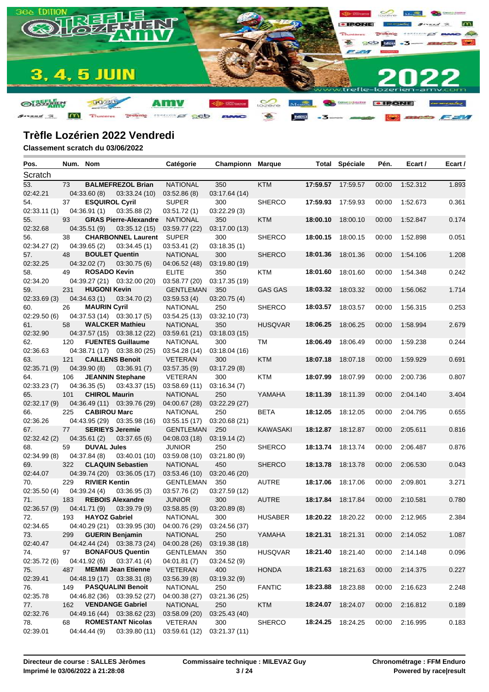

| Pos.         | Num. Nom |                        |                                                         | Catégorie        | <b>Championn Marque</b> |                 |          | <b>Total Spéciale</b> | Pén.  | Ecart /  | Ecart / |
|--------------|----------|------------------------|---------------------------------------------------------|------------------|-------------------------|-----------------|----------|-----------------------|-------|----------|---------|
| Scratch      |          |                        |                                                         |                  |                         |                 |          |                       |       |          |         |
| 53.          | 73       |                        | <b>BALMEFREZOL Brian</b>                                | <b>NATIONAL</b>  | 350                     | <b>KTM</b>      |          | 17:59.57 17:59.57     | 00:00 | 1:52.312 | 1.893   |
| 02:42.21     |          | 04:33.60(8)            | 03:33.24(10)                                            | 03:52.86(8)      | 03:17.64 (14)           |                 |          |                       |       |          |         |
| 54.          | 37       | <b>ESQUIROL Cyril</b>  |                                                         | <b>SUPER</b>     | 300                     | <b>SHERCO</b>   | 17:59.93 | 17:59.93              | 00:00 | 1:52.673 | 0.361   |
| 02:33.11(1)  |          | 04:36.91(1)            | 03:35.88(2)                                             | 03:51.72(1)      | 03:22.29(3)             |                 |          |                       |       |          |         |
| 55.          | 93       |                        | <b>GRAS Pierre-Alexandre</b>                            | <b>NATIONAL</b>  | 350                     | <b>KTM</b>      | 18:00.10 | 18:00.10              | 00:00 | 1:52.847 | 0.174   |
| 02:32.68     |          | 04:35.51(9)            | 03:35.12(15)                                            | 03:59.77 (22)    | 03:17.00 (13)           |                 |          |                       |       |          |         |
| 56.          | 38       |                        | <b>CHARBONNEL Laurent</b>                               | SUPER            | 300                     | <b>SHERCO</b>   | 18:00.15 | 18:00.15              | 00:00 | 1:52.898 | 0.051   |
| 02:34.27 (2) |          | 04:39.65(2)            | 03:34.45(1)                                             | 03:53.41(2)      | 03:18.35(1)             |                 |          |                       |       |          |         |
| 57.          | 48       | <b>BOULET Quentin</b>  |                                                         | <b>NATIONAL</b>  | 300                     | <b>SHERCO</b>   | 18:01.36 | 18:01.36              | 00:00 | 1:54.106 | 1.208   |
| 02:32.25     |          | 04:32.02(7)            | 03:30.75(6)                                             | 04:06.52 (48)    | 03:19.80 (19)           |                 |          |                       |       |          |         |
| 58.          | 49       | <b>ROSADO Kevin</b>    |                                                         | <b>ELITE</b>     | 350                     | KTM             | 18:01.60 | 18:01.60              | 00:00 | 1:54.348 | 0.242   |
| 02:34.20     |          |                        | 04:39.27 (21) 03:32.00 (20)                             | 03:58.77 (20)    | 03:17.35 (19)           |                 |          |                       |       |          |         |
| 59.          | 231      | <b>HUGONI Kevin</b>    |                                                         | <b>GENTLEMAN</b> | 350                     | <b>GAS GAS</b>  | 18:03.32 | 18:03.32              | 00:00 | 1:56.062 | 1.714   |
| 02:33.69(3)  |          | 04:34.63(1)            | 03:34.70(2)                                             | 03:59.53(4)      | 03:20.75(4)             |                 |          |                       |       |          |         |
| 60.          | 26       | <b>MAURIN Cyril</b>    |                                                         | <b>NATIONAL</b>  | 250                     | <b>SHERCO</b>   | 18:03.57 | 18:03.57              | 00:00 | 1:56.315 | 0.253   |
| 02:29.50(6)  |          |                        | 04:37.53 (14) 03:30.17 (5)                              | 03:54.25 (13)    | 03:32.10 (73)           |                 |          |                       |       |          |         |
| 61.          | 58       |                        | <b>WALCKER Mathieu</b>                                  | <b>NATIONAL</b>  | 350                     | <b>HUSQVAR</b>  | 18:06.25 | 18:06.25              | 00:00 | 1:58.994 | 2.679   |
| 02:32.90     |          |                        | 04:37.57 (15) 03:38.12 (22)                             | 03:59.61(21)     | 03:18.03 (15)           |                 |          |                       |       |          |         |
| 62.          | 120      |                        | <b>FUENTES Guillaume</b>                                | <b>NATIONAL</b>  | 300                     | TM              | 18:06.49 | 18:06.49              | 00:00 | 1:59.238 | 0.244   |
| 02:36.63     |          |                        | 04:38.71 (17) 03:38.80 (25)                             | 03:54.28 (14)    | 03:18.04 (16)           |                 |          |                       |       |          |         |
| 63.          | 121      | <b>CAILLENS Benoit</b> |                                                         | <b>VETERAN</b>   | 300                     | <b>KTM</b>      | 18:07.18 | 18:07.18              | 00:00 | 1:59.929 | 0.691   |
| 02:35.71 (9) |          | 04:39.90(8)            | 03:36.91(7)                                             | 03:57.35(9)      | 03:17.29(8)             |                 |          |                       |       |          |         |
| 64.          | 106      |                        | <b>JEANNIN Stephane</b>                                 | <b>VETERAN</b>   | 300                     | KTM             | 18:07.99 | 18:07.99              | 00:00 | 2:00.736 | 0.807   |
| 02:33.23(7)  |          | 04:36.35(5)            | 03:43.37(15)                                            | 03:58.69(11)     | 03:16.34(7)             |                 |          |                       |       |          |         |
| 65.          | 101      | <b>CHIROL Maurin</b>   |                                                         | <b>NATIONAL</b>  | 250                     | YAMAHA          | 18:11.39 | 18:11.39              | 00:00 | 2:04.140 | 3.404   |
| 02:32.17 (9) |          |                        | 04:36.49 (11) 03:39.76 (29)                             | 04:00.67 (28)    | 03:22.29 (27)           |                 |          |                       |       |          |         |
| 66.          | 225      | <b>CABIROU Marc</b>    |                                                         | <b>NATIONAL</b>  | 250                     | <b>BETA</b>     | 18:12.05 | 18:12.05              | 00:00 | 2:04.795 | 0.655   |
| 02:36.26     |          |                        | 04:43.95 (29) 03:35.98 (16)                             | 03:55.15(17)     | 03:20.68 (21)           |                 |          |                       |       |          |         |
| 67.          | 77       | <b>SERIEYS Jeremie</b> |                                                         | <b>GENTLEMAN</b> | 250                     | <b>KAWASAKI</b> |          | 18:12.87 18:12.87     | 00:00 | 2:05.611 | 0.816   |
| 02:32.42 (2) |          | 04:35.61(2)            | 03:37.65(6)                                             | 04:08.03 (18)    | 03:19.14(2)             |                 |          |                       |       |          |         |
| 68.          | 59       | <b>DUVAL Jules</b>     |                                                         | <b>JUNIOR</b>    | 250                     | <b>SHERCO</b>   |          | 18:13.74 18:13.74     | 00:00 | 2:06.487 | 0.876   |
| 02:34.99 (8) |          | 04:37.84 (8)           | 03:40.01 (10)                                           | 03:59.08 (10)    | 03:21.80(9)             |                 |          |                       |       |          |         |
| 69.          | 322      |                        | <b>CLAQUIN Sebastien</b>                                | <b>NATIONAL</b>  | 450                     | <b>SHERCO</b>   | 18:13.78 | 18:13.78              | 00:00 | 2:06.530 | 0.043   |
| 02:44.07     |          |                        | 04:39.74 (20) 03:36.05 (17)                             | 03:53.46 (10)    | 03:20.46 (20)           |                 |          |                       |       |          |         |
| 70.          | 229      | <b>RIVIER Kentin</b>   |                                                         | <b>GENTLEMAN</b> | 350                     | <b>AUTRE</b>    | 18:17.06 | 18:17.06              | 00:00 | 2:09.801 | 3.271   |
| 02:35.50(4)  |          | 04:39.24(4)            | 03:36.95(3)                                             | 03:57.76 (2)     | 03:27.59 (12)           |                 |          |                       |       |          |         |
| 71.          | 183      |                        | <b>REBOIS Alexandre</b>                                 | <b>JUNIOR</b>    | 300                     | <b>AUTRE</b>    | 18:17.84 | 18:17.84              | 00:00 | 2:10.581 | 0.780   |
| 02:36.57 (9) |          | 04:41.71 (9)           | 03:39.79(9)                                             | 03:58.85(9)      | 03:20.89(8)             |                 |          |                       |       |          |         |
| 72.          | 193      | <b>HAYOZ Gabriel</b>   |                                                         | <b>NATIONAL</b>  | 300                     | <b>HUSABER</b>  |          | 18:20.22 18:20.22     | 00:00 | 2:12.965 | 2.384   |
| 02:34.65     |          |                        | 04:40.29 (21) 03:39.95 (30) 04:00.76 (29) 03:24.56 (37) |                  |                         |                 |          |                       |       |          |         |
| 73.          | 299      |                        | <b>GUERIN Benjamin</b>                                  | <b>NATIONAL</b>  | 250                     | YAMAHA          | 18:21.31 | 18:21.31              | 00:00 | 2:14.052 | 1.087   |
| 02:40.47     |          |                        | 04:42.44 (24) 03:38.73 (24)                             | 04:00.28 (26)    | 03:19.38 (18)           |                 |          |                       |       |          |         |
| 74.          | 97       |                        | <b>BONAFOUS Quentin</b>                                 | <b>GENTLEMAN</b> | 350                     | <b>HUSQVAR</b>  | 18:21.40 | 18:21.40              | 00:00 | 2:14.148 | 0.096   |
| 02:35.72 (6) |          | 04:41.92 (6)           | 03:37.41(4)                                             | 04:01.81(7)      | 03:24.52 (9)            |                 |          |                       |       |          |         |
| 75.          | 487      |                        | <b>MEMMI Jean Etienne</b>                               | VETERAN          | 400                     | <b>HONDA</b>    | 18:21.63 | 18:21.63              | 00:00 | 2:14.375 | 0.227   |
| 02:39.41     |          |                        | 04:48.19 (17) 03:38.31 (8)                              | 03:56.39(8)      | 03:19.32 (9)            |                 |          |                       |       |          |         |
| 76.          | 149      |                        | <b>PASQUALINI Benoit</b>                                | <b>NATIONAL</b>  | 250                     | <b>FANTIC</b>   | 18:23.88 | 18:23.88              | 00:00 | 2:16.623 | 2.248   |
| 02:35.78     |          |                        | 04:46.82 (36) 03:39.52 (27)                             | 04:00.38 (27)    | 03:21.36 (25)           |                 |          |                       |       |          |         |
| 77.          | 162      |                        | <b>VENDANGE Gabriel</b>                                 | <b>NATIONAL</b>  | 250                     | <b>KTM</b>      | 18:24.07 | 18:24.07              | 00:00 | 2:16.812 | 0.189   |
| 02:32.76     |          |                        | 04:49.16 (44) 03:38.62 (23)                             | 03:58.09 (20)    | 03:25.43 (40)           |                 |          |                       |       |          |         |
| 78.          | 68       |                        | <b>ROMESTANT Nicolas</b>                                | VETERAN          | 300                     | <b>SHERCO</b>   |          | 18:24.25 18:24.25     | 00:00 | 2:16.995 | 0.183   |
| 02:39.01     |          | 04:44.44 (9)           | 03:39.80 (11)                                           | 03:59.61 (12)    | 03:21.37 (11)           |                 |          |                       |       |          |         |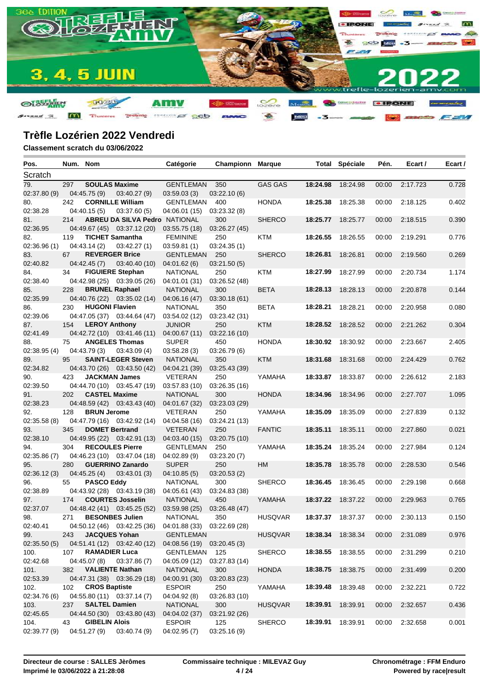

| Pos.             | Num. Nom |                       |                                      | Catégorie                                               | Championn     | <b>Marque</b>  |          | <b>Total Spéciale</b> | Pén.  | Ecart /  | Ecart / |
|------------------|----------|-----------------------|--------------------------------------|---------------------------------------------------------|---------------|----------------|----------|-----------------------|-------|----------|---------|
| Scratch          |          |                       |                                      |                                                         |               |                |          |                       |       |          |         |
| 79.              | 297      | <b>SOULAS Maxime</b>  |                                      | <b>GENTLEMAN</b>                                        | 350           | <b>GAS GAS</b> | 18:24.98 | 18:24.98              | 00:00 | 2:17.723 | 0.728   |
| 02:37.80 (9)     |          | 04:45.75 (9)          | 03:40.27(9)                          | 03:59.03(3)                                             | 03:22.10(6)   |                |          |                       |       |          |         |
| 80.              | 242      |                       | <b>CORNILLE William</b>              | GENTLEMAN                                               | 400           | <b>HONDA</b>   | 18:25.38 | 18:25.38              | 00:00 | 2:18.125 | 0.402   |
| 02:38.28         |          | 04:40.15(5)           | 03:37.60(5)                          | 04:06.01 (15)                                           | 03:23.32(8)   |                |          |                       |       |          |         |
| 81.              | 214      |                       | <b>ABREU DA SILVA Pedro NATIONAL</b> |                                                         | 300           | <b>SHERCO</b>  | 18:25.77 | 18:25.77              | 00:00 | 2:18.515 | 0.390   |
| 02:36.95         |          |                       | 04:49.67 (45) 03:37.12 (20)          | 03:55.75(18)                                            | 03:26.27 (45) |                |          |                       |       |          |         |
| 82.              | 119      |                       | <b>TICHET Samantha</b>               | <b>FEMININE</b>                                         | 250           | KTM            | 18:26.55 | 18:26.55              | 00:00 | 2:19.291 | 0.776   |
| 02:36.96(1)      |          | 04:43.14(2)           | 03:42.27(1)                          | 03:59.81(1)                                             | 03:24.35(1)   |                |          |                       |       |          |         |
| 83.              | 67       |                       | <b>REVERGER Brice</b>                | GENTLEMAN                                               | 250           | <b>SHERCO</b>  | 18:26.81 | 18:26.81              | 00:00 | 2:19.560 | 0.269   |
| 02:40.82         |          | 04:42.45(7)           | 03:40.40 (10)                        | 04:01.62(6)                                             | 03:21.50(5)   |                |          |                       |       |          |         |
| 84.              | 34       |                       | <b>FIGUIERE Stephan</b>              | <b>NATIONAL</b>                                         | 250           | KTM            | 18:27.99 | 18:27.99              | 00:00 | 2:20.734 | 1.174   |
| 02:38.40         |          |                       | 04:42.98 (25) 03:39.05 (26)          | 04:01.01 (31)                                           | 03:26.52 (48) |                |          |                       |       |          |         |
| 85.              | 228      | <b>BRUNEL Raphael</b> |                                      | <b>NATIONAL</b>                                         | 300           | <b>BETA</b>    | 18:28.13 | 18:28.13              | 00:00 | 2:20.878 | 0.144   |
| 02:35.99         |          |                       | 04:40.76 (22) 03:35.02 (14)          | 04:06.16 (47)                                           | 03:30.18(61)  |                |          |                       |       |          |         |
| 86.              | 230      | <b>HUGONI Flavien</b> |                                      | <b>NATIONAL</b>                                         | 350           | <b>BETA</b>    | 18:28.21 | 18:28.21              | 00:00 | 2:20.958 | 0.080   |
| 02:39.06         |          |                       | 04:47.05 (37) 03:44.64 (47)          | 03:54.02 (12)                                           | 03:23.42 (31) |                |          |                       |       |          |         |
| 87.              | 154      | <b>LEROY Anthony</b>  |                                      | <b>JUNIOR</b>                                           | 250           | <b>KTM</b>     | 18:28.52 | 18:28.52              | 00:00 | 2:21.262 | 0.304   |
| 02:41.49         |          |                       | 04:42.72 (10) 03:41.46 (11)          | 04:00.67(11)                                            | 03:22.16(10)  |                |          |                       |       |          |         |
| 88.              | 75       |                       | <b>ANGELES Thomas</b>                | <b>SUPER</b>                                            | 450           | <b>HONDA</b>   |          | 18:30.92 18:30.92     | 00:00 | 2:23.667 | 2.405   |
| 02:38.95(4)      |          | 04:43.79(3)           | 03:43.09(4)                          | 03:58.28(3)                                             | 03:26.79(6)   |                |          |                       |       |          |         |
| 89.              | 95       |                       | <b>SAINT-LEGER Steven</b>            | <b>NATIONAL</b>                                         | 350           | <b>KTM</b>     | 18:31.68 | 18:31.68              | 00:00 | 2:24.429 | 0.762   |
| 02:34.82         |          |                       | 04:43.70 (26) 03:43.50 (42)          | 04:04.21 (39)                                           | 03:25.43 (39) |                |          |                       |       |          |         |
| 90.              | 423      |                       | <b>JACKMAN James</b>                 | <b>VETERAN</b>                                          | 250           | YAMAHA         |          | 18:33.87 18:33.87     | 00:00 | 2:26.612 | 2.183   |
| 02:39.50         |          |                       | 04:44.70 (10) 03:45.47 (19)          | 03:57.83 (10)                                           | 03:26.35 (16) |                |          |                       |       |          |         |
| 91.              | 202      | <b>CASTEL Maxime</b>  |                                      | <b>NATIONAL</b>                                         | 300           | <b>HONDA</b>   | 18:34.96 | 18:34.96              | 00:00 | 2:27.707 | 1.095   |
| 02:38.23         |          |                       | 04:48.59 (42) 03:43.43 (40)          | 04:01.67 (32)                                           | 03:23.03 (29) |                |          |                       |       |          |         |
| 92.              | 128      | <b>BRUN Jerome</b>    |                                      | VETERAN                                                 | 250           | YAMAHA         | 18:35.09 | 18:35.09              | 00:00 | 2:27.839 | 0.132   |
| 02:35.58(8)      |          |                       | 04:47.79 (16) 03:42.92 (14)          | 04:04.58 (16)                                           | 03:24.21 (13) |                |          |                       |       |          |         |
| 93.              | 345      | <b>DOMET Bertrand</b> |                                      | <b>VETERAN</b>                                          | 250           | <b>FANTIC</b>  | 18:35.11 | 18:35.11              | 00:00 | 2:27.860 | 0.021   |
| 02:38.10         |          |                       | 04:49.95 (22) 03:42.91 (13)          | 04:03.40 (15)                                           | 03:20.75 (10) |                |          |                       |       |          |         |
| 94.              | 304      |                       | <b>RECOULES Pierre</b>               | GENTLEMAN                                               | 250           | YAMAHA         | 18:35.24 | 18:35.24              | 00:00 | 2:27.984 | 0.124   |
| 02:35.86(7)      |          |                       | 04:46.23 (10) 03:47.04 (18)          | 04:02.89 (9)                                            | 03:23.20(7)   |                |          |                       |       |          |         |
| 95.              | 280      |                       | <b>GUERRINO Zanardo</b>              | <b>SUPER</b>                                            | 250           | HM             | 18:35.78 | 18:35.78              | 00:00 | 2:28.530 | 0.546   |
| 02:36.12(3)      |          | 04:45.25(4)           | 03:43.01(3)                          | 04:10.85(5)                                             | 03:20.53(2)   |                |          |                       |       |          |         |
| 96.              | 55       | <b>PASCO Eddy</b>     |                                      | <b>NATIONAL</b>                                         | 300           | <b>SHERCO</b>  | 18:36.45 | 18:36.45              | 00:00 | 2:29.198 | 0.668   |
| 02:38.89         |          |                       | 04:43.92 (28) 03:43.19 (38)          | 04:05.61 (43)                                           | 03:24.83 (38) |                |          |                       |       |          |         |
| 97.              | 174      |                       | <b>COURTES Josselin</b>              | <b>NATIONAL</b>                                         | 450           | YAMAHA         | 18:37.22 | 18:37.22              | 00:00 | 2:29.963 | 0.765   |
| 02:37.07         |          |                       | 04:48.42 (41) 03:45.25 (52)          | 03:59.98 (25)                                           | 03:26.48 (47) |                |          |                       |       |          |         |
| 98.              | 271      |                       | <b>BESONBES Julien</b>               | <b>NATIONAL</b>                                         | 350           | <b>HUSQVAR</b> |          | 18:37.37 18:37.37     | 00:00 | 2:30.113 | 0.150   |
| 02:40.41         |          |                       |                                      | 04:50.12 (46) 03:42.25 (36) 04:01.88 (33) 03:22.69 (28) |               |                |          |                       |       |          |         |
| 99.              | 243      | <b>JACQUES Yohan</b>  |                                      | <b>GENTLEMAN</b>                                        |               | <b>HUSQVAR</b> |          | 18:38.34 18:38.34     | 00:00 | 2:31.089 | 0.976   |
| 02:35.50(5)      |          |                       | 04:51.41 (12) 03:42.40 (12)          | 04:08.56 (19) 03:20.45 (3)                              |               |                |          |                       |       |          |         |
| 100.             | 107      | <b>RAMADIER Luca</b>  |                                      | GENTLEMAN 125                                           |               | <b>SHERCO</b>  |          | 18:38.55 18:38.55     | 00:00 | 2:31.299 | 0.210   |
| 02:42.68         |          |                       | 04:45.07 (8) 03:37.86 (7)            | 04:05.09 (12)                                           | 03:27.83 (14) |                |          |                       |       |          |         |
| 101.             | 382      |                       | <b>VALIENTE Nathan</b>               | <b>NATIONAL</b>                                         | 300           | <b>HONDA</b>   |          | 18:38.75 18:38.75     | 00:00 | 2:31.499 | 0.200   |
| 02:53.39         |          |                       | 04:47.31 (38) 03:36.29 (18)          | 04:00.91 (30)                                           | 03:20.83 (23) |                |          |                       |       |          |         |
| 102.             | 102      | <b>CROS Baptiste</b>  |                                      | <b>ESPOIR</b>                                           | 250           | YAMAHA         | 18:39.48 | 18:39.48              | 00:00 | 2:32.221 | 0.722   |
| 02:34.76 (6)     |          |                       | 04:55.80 (11) 03:37.14 (7)           | 04:04.92 (8)                                            | 03:26.83 (10) | <b>HUSQVAR</b> |          |                       |       |          |         |
| 103.<br>02:45.65 | 237      | <b>SALTEL Damien</b>  |                                      | <b>NATIONAL</b>                                         | 300           |                | 18:39.91 | 18:39.91              | 00:00 | 2:32.657 | 0.436   |
|                  | 43       |                       | 04:44.50 (30) 03:43.80 (43)          | 04:04.02 (37)                                           | 03:21.92 (26) |                |          | 18:39.91              |       |          |         |
| 104.             |          | <b>GIBELIN Alois</b>  |                                      | <b>ESPOIR</b>                                           | 125           | <b>SHERCO</b>  | 18:39.91 |                       | 00:00 | 2:32.658 | 0.001   |
| 02:39.77 (9)     |          | 04:51.27 (9)          | 03:40.74 (9)                         | 04:02.95(7)                                             | 03:25.16(9)   |                |          |                       |       |          |         |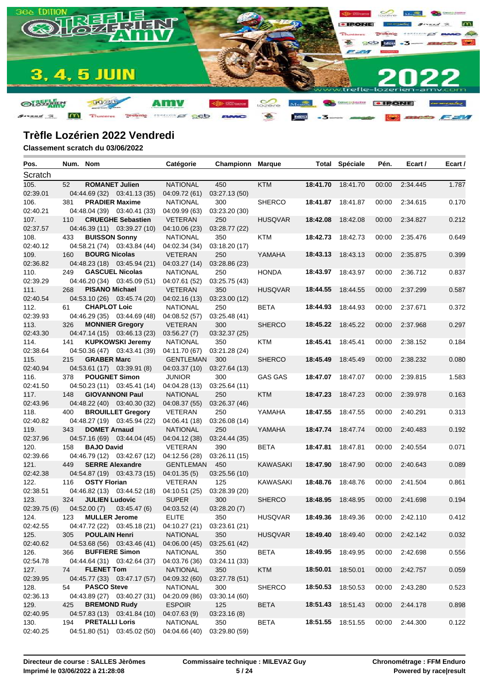

| Pos.         | Num. Nom |                       |                             | Catégorie                                               | Championn     | <b>Marque</b>   |          | <b>Total Spéciale</b>    | Pén.  | Ecart /  | Ecart / |
|--------------|----------|-----------------------|-----------------------------|---------------------------------------------------------|---------------|-----------------|----------|--------------------------|-------|----------|---------|
| Scratch      |          |                       |                             |                                                         |               |                 |          |                          |       |          |         |
| 105.         | 52       | <b>ROMANET Julien</b> |                             | <b>NATIONAL</b>                                         | 450           | <b>KTM</b>      | 18:41.70 | 18:41.70                 | 00:00 | 2:34.445 | 1.787   |
| 02:39.01     |          |                       | 04:44.69 (32) 03:41.13 (35) | 04:09.72 (61)                                           | 03:27.13 (50) |                 |          |                          |       |          |         |
| 106.         | 381      | <b>PRADIER Maxime</b> |                             | <b>NATIONAL</b>                                         | 300           | <b>SHERCO</b>   |          | 18:41.87 18:41.87        | 00:00 | 2:34.615 | 0.170   |
| 02:40.21     |          |                       | 04:48.04 (39) 03:40.41 (33) | 04:09.99 (63)                                           | 03:23.20 (30) |                 |          |                          |       |          |         |
| 107.         | 110      |                       | <b>CRUEGHE Sebastien</b>    | <b>VETERAN</b>                                          | 250           | <b>HUSQVAR</b>  | 18:42.08 | 18:42.08                 | 00:00 | 2:34.827 | 0.212   |
| 02:37.57     |          |                       | 04:46.39 (11) 03:39.27 (10) | 04:10.06 (23)                                           | 03:28.77 (22) |                 |          |                          |       |          |         |
| 108.         | 433      | <b>BUISSON Sonny</b>  |                             | <b>NATIONAL</b>                                         | 350           | KTM             |          | 18:42.73 18:42.73        | 00:00 | 2:35.476 | 0.649   |
| 02:40.12     |          |                       | 04:58.21 (74) 03:43.84 (44) | 04:02.34 (34)                                           | 03:18.20 (17) |                 |          |                          |       |          |         |
| 109.         | 160      | <b>BOURG Nicolas</b>  |                             | <b>VETERAN</b>                                          | 250           | YAMAHA          | 18:43.13 | 18:43.13                 | 00:00 | 2:35.875 | 0.399   |
| 02:36.82     |          |                       | 04:48.23 (18) 03:45.94 (21) | 04:03.27 (14)                                           | 03:28.86 (23) |                 |          |                          |       |          |         |
| 110.         | 249      |                       | <b>GASCUEL Nicolas</b>      | <b>NATIONAL</b>                                         | 250           | <b>HONDA</b>    | 18:43.97 | 18:43.97                 | 00:00 | 2:36.712 | 0.837   |
| 02:39.29     |          |                       | 04:46.20 (34) 03:45.09 (51) | 04:07.61 (52)                                           | 03:25.75(43)  |                 |          |                          |       |          |         |
| 111.         | 268      | <b>PISANO Michael</b> |                             | <b>VETERAN</b>                                          | 350           | <b>HUSQVAR</b>  | 18:44.55 | 18:44.55                 | 00:00 | 2:37.299 | 0.587   |
| 02:40.54     |          |                       | 04:53.10 (26) 03:45.74 (20) | 04:02.16 (13)                                           | 03:23.00 (12) |                 |          |                          |       |          |         |
| 112.         | 61       | <b>CHAPLOT Loic</b>   |                             | <b>NATIONAL</b>                                         | 250           | <b>BETA</b>     | 18:44.93 | 18:44.93                 | 00:00 | 2:37.671 | 0.372   |
| 02:39.93     |          |                       | 04:46.29 (35) 03:44.69 (48) | 04:08.52 (57)                                           | 03:25.48 (41) |                 |          |                          |       |          |         |
| 113.         | 326      |                       | <b>MONNIER Gregory</b>      | <b>VETERAN</b>                                          | 300           | <b>SHERCO</b>   |          | 18:45.22 18:45.22        | 00:00 | 2:37.968 | 0.297   |
| 02:43.30     |          |                       | 04:47.14 (15) 03:46.13 (23) | 03:56.27(7)                                             | 03:32.37 (25) |                 |          |                          |       |          |         |
| 114.         | 141      |                       | <b>KUPKOWSKI Jeremy</b>     | <b>NATIONAL</b>                                         | 350           | KTM             | 18:45.41 | 18:45.41                 | 00:00 | 2:38.152 | 0.184   |
| 02:38.64     |          |                       | 04:50.36 (47) 03:43.41 (39) | 04:11.70 (67)                                           | 03:21.28 (24) |                 |          |                          |       |          |         |
| 115.         | 215      | <b>GRABER Marc</b>    |                             | <b>GENTLEMAN</b>                                        | 300           | <b>SHERCO</b>   | 18:45.49 | 18:45.49                 | 00:00 | 2:38.232 | 0.080   |
| 02:40.94     |          |                       | 04:53.61 (17) 03:39.91 (8)  | 04:03.37 (10)                                           | 03:27.64 (13) |                 |          |                          |       |          |         |
| 116.         | 378      | <b>POUGNET Simon</b>  |                             | <b>JUNIOR</b>                                           | 300           | <b>GAS GAS</b>  | 18:47.07 | 18:47.07                 | 00:00 | 2:39.815 | 1.583   |
| 02:41.50     |          |                       | 04:50.23 (11) 03:45.41 (14) | 04:04.28 (13)                                           | 03:25.64 (11) |                 |          |                          |       |          |         |
| 117.         | 148      |                       | <b>GIOVANNONI Paul</b>      | <b>NATIONAL</b>                                         | 250           | <b>KTM</b>      | 18:47.23 | 18:47.23                 | 00:00 | 2:39.978 | 0.163   |
| 02:43.96     |          |                       | 04:48.22 (40) 03:40.30 (32) | 04:08.37(55)                                            | 03:26.37 (46) |                 |          |                          |       |          |         |
| 118.         | 400      |                       | <b>BROUILLET Gregory</b>    | <b>VETERAN</b>                                          | 250           | YAMAHA          |          | 18:47.55 18:47.55        | 00:00 | 2:40.291 | 0.313   |
| 02:40.82     |          |                       | 04:48.27 (19) 03:45.94 (22) | 04:06.41 (18)                                           | 03:26.08 (14) |                 |          |                          |       |          |         |
| 119.         | 343      | <b>DOMET Arnaud</b>   |                             | <b>NATIONAL</b>                                         | 250           | YAMAHA          | 18:47.74 | 18:47.74                 | 00:00 | 2:40.483 | 0.192   |
| 02:37.96     |          |                       | 04:57.16 (69) 03:44.04 (45) | 04:04.12 (38)                                           | 03:24.44 (35) |                 |          |                          |       |          |         |
| 120.         | 158      | <b>BAJO David</b>     |                             | <b>VETERAN</b>                                          | 390           | <b>BETA</b>     | 18:47.81 | 18:47.81                 | 00:00 | 2:40.554 | 0.071   |
| 02:39.66     |          |                       | 04:46.79 (12) 03:42.67 (12) | 04:12.56 (28)                                           | 03:26.11 (15) |                 |          |                          |       |          |         |
| 121.         | 449      |                       | <b>SERRE Alexandre</b>      | <b>GENTLEMAN</b>                                        | 450           | <b>KAWASAKI</b> | 18:47.90 | 18:47.90                 | 00:00 | 2:40.643 | 0.089   |
| 02:42.38     |          |                       | 04:54.87 (19) 03:43.73 (15) | 04:01.35(5)                                             | 03:25.56 (10) |                 |          |                          |       |          |         |
| 122.         | 116      | <b>OSTY Florian</b>   |                             | <b>VETERAN</b>                                          | 125           | <b>KAWASAKI</b> | 18:48.76 | 18:48.76                 | 00:00 | 2:41.504 | 0.861   |
| 02:38.51     |          |                       | 04:46.82 (13) 03:44.52 (18) | 04:10.51 (25)                                           | 03:28.39 (20) |                 |          |                          |       |          |         |
| 123.         | 324      | <b>JULIEN Ludovic</b> |                             | <b>SUPER</b>                                            | 300           | <b>SHERCO</b>   | 18:48.95 | 18:48.95                 | 00:00 | 2:41.698 | 0.194   |
| 02:39.75 (6) |          | 04:52.00(7)           | 03:45.47(6)                 | 04:03.52(4)                                             | 03:28.20(7)   |                 |          |                          |       |          |         |
| 124.         | 123      | <b>MULLER Jerome</b>  |                             | <b>ELITE</b>                                            | 350           | <b>HUSQVAR</b>  |          | <b>18:49.36</b> 18:49.36 | 00:00 | 2:42.110 | 0.412   |
| 02:42.55     |          |                       |                             | 04:47.72 (22) 03:45.18 (21) 04:10.27 (21) 03:23.61 (21) |               |                 |          |                          |       |          |         |
| 125.         | 305      | <b>POULAIN Henri</b>  |                             | <b>NATIONAL</b>                                         | 350           | <b>HUSQVAR</b>  |          | 18:49.40 18:49.40        | 00:00 | 2:42.142 | 0.032   |
| 02:40.62     |          |                       | 04:53.68 (56) 03:43.46 (41) | 04:06.00 (45)                                           | 03:25.61 (42) |                 |          |                          |       |          |         |
| 126.         | 366      | <b>BUFFIERE Simon</b> |                             | <b>NATIONAL</b>                                         | 350           | BETA            |          | 18:49.95 18:49.95        | 00:00 | 2:42.698 | 0.556   |
| 02:54.78     |          |                       | 04:44.64 (31) 03:42.64 (37) | 04:03.76 (36)                                           | 03:24.11 (33) |                 |          |                          |       |          |         |
| 127.         | 74       | <b>FLENET Tom</b>     |                             | <b>NATIONAL</b>                                         | 350           | <b>KTM</b>      | 18:50.01 | 18:50.01                 | 00:00 | 2:42.757 | 0.059   |
| 02:39.95     |          |                       | 04:45.77 (33) 03:47.17 (57) | 04:09.32 (60)                                           | 03:27.78 (51) |                 |          |                          |       |          |         |
| 128.         | 54       | <b>PASCO Steve</b>    |                             | <b>NATIONAL</b>                                         | 300           | <b>SHERCO</b>   | 18:50.53 | 18:50.53                 | 00:00 | 2:43.280 | 0.523   |
| 02:36.13     |          |                       | 04:43.89 (27) 03:40.27 (31) | 04:20.09 (86)                                           | 03:30.14 (60) |                 |          |                          |       |          |         |
| 129.         | 425      | <b>BREMOND Rudy</b>   |                             | <b>ESPOIR</b>                                           | 125           | <b>BETA</b>     |          | 18:51.43 18:51.43        | 00:00 | 2:44.178 | 0.898   |
| 02:40.95     |          |                       | 04:57.83 (13) 03:41.84 (10) | 04:07.63(9)                                             | 03:23.16(8)   |                 |          |                          |       |          |         |
| 130.         | 194      | <b>PRETALLI Loris</b> |                             | <b>NATIONAL</b>                                         | 350           | <b>BETA</b>     |          | 18:51.55 18:51.55        | 00:00 | 2:44.300 | 0.122   |
| 02:40.25     |          |                       | 04:51.80 (51) 03:45.02 (50) | 04:04.66 (40)                                           | 03:29.80 (59) |                 |          |                          |       |          |         |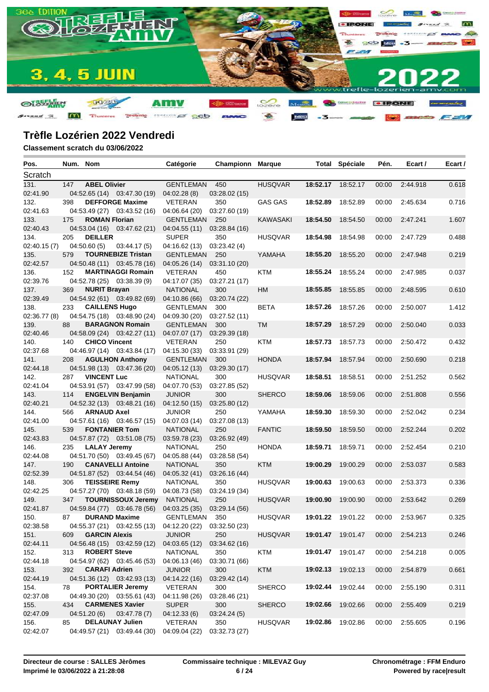

| Pos.             |     | Num. Nom              |                             | Catégorie                         | Championn            | <b>Marque</b>   |                   | <b>Total Spéciale</b> | Pén.  | Ecart /  | Ecart / |
|------------------|-----|-----------------------|-----------------------------|-----------------------------------|----------------------|-----------------|-------------------|-----------------------|-------|----------|---------|
| Scratch          |     |                       |                             |                                   |                      |                 |                   |                       |       |          |         |
| 131.             | 147 | <b>ABEL Olivier</b>   |                             | <b>GENTLEMAN</b>                  | 450                  | <b>HUSQVAR</b>  | 18:52.17          | 18:52.17              | 00:00 | 2:44.918 | 0.618   |
| 02:41.90         |     |                       | 04:52.65 (14) 03:47.30 (19) | 04:02.28(8)                       | 03:28.02 (15)        |                 |                   |                       |       |          |         |
| 132.             | 398 |                       | <b>DEFFORGE Maxime</b>      | <b>VETERAN</b>                    | 350                  | <b>GAS GAS</b>  | 18:52.89          | 18:52.89              | 00:00 | 2:45.634 | 0.716   |
| 02:41.63         |     |                       | 04:53.49 (27) 03:43.52 (16) | 04:06.64 (20)                     | 03:27.60 (19)        |                 |                   |                       |       |          |         |
| 133.             | 175 | <b>ROMAN Florian</b>  |                             | <b>GENTLEMAN</b>                  | 250                  | <b>KAWASAKI</b> | 18:54.50          | 18:54.50              | 00:00 | 2:47.241 | 1.607   |
| 02:40.43         |     |                       | 04:53.04 (16) 03:47.62 (21) | 04:04.55 (11)                     | 03:28.84 (16)        |                 |                   |                       |       |          |         |
| 134.             | 205 | <b>DEILLER</b>        |                             | <b>SUPER</b>                      | 350                  | <b>HUSQVAR</b>  | 18:54.98          | 18:54.98              | 00:00 | 2:47.729 | 0.488   |
| 02:40.15(7)      |     | 04:50.60(5)           | 03:44.17(5)                 | 04:16.62 (13)                     | 03:23.42(4)          |                 |                   |                       |       |          |         |
| 135.             | 579 |                       | <b>TOURNEBIZE Tristan</b>   | GENTLEMAN                         | 250                  | YAMAHA          | 18:55.20          | 18:55.20              | 00:00 | 2:47.948 | 0.219   |
| 02:42.57         |     |                       | 04:50.48 (11) 03:45.78 (16) | 04:05.26 (14)                     | 03:31.10 (20)        |                 |                   |                       |       |          |         |
| 136.             | 152 |                       | <b>MARTINAGGI Romain</b>    | <b>VETERAN</b>                    | 450                  | <b>KTM</b>      |                   | 18:55.24 18:55.24     | 00:00 | 2:47.985 | 0.037   |
| 02:39.76         |     |                       | 04:52.78 (25) 03:38.39 (9)  | 04:17.07 (35)                     | 03:27.21 (17)        |                 |                   |                       |       |          |         |
| 137.             | 369 | <b>NURIT Brayan</b>   |                             | <b>NATIONAL</b>                   | 300                  | HM              | 18:55.85          | 18:55.85              | 00:00 | 2:48.595 | 0.610   |
| 02:39.49         |     |                       | 04:54.92 (61) 03:49.82 (69) | 04:10.86 (66)                     | 03:20.74 (22)        |                 |                   |                       |       |          |         |
| 138.             | 233 | <b>CAILLENS Hugo</b>  |                             | GENTLEMAN                         | 300                  | <b>BETA</b>     | 18:57.26          | 18:57.26              | 00:00 | 2:50.007 | 1.412   |
| 02:36.77(8)      |     |                       | 04:54.75 (18) 03:48.90 (24) | 04:09.30 (20)                     | 03:27.52 (11)        |                 |                   |                       |       |          |         |
| 139.             | 88  |                       | <b>BARAGNON Romain</b>      | GENTLEMAN                         | 300                  | <b>TM</b>       | 18:57.29          | 18:57.29              | 00:00 | 2:50.040 | 0.033   |
| 02:40.46         |     |                       | 04:58.09 (24) 03:42.27 (11) | 04:07.07 (17)                     | 03:29.39 (18)        |                 |                   |                       |       | 2:50.472 | 0.432   |
| 140.<br>02:37.68 | 140 | <b>CHICO Vincent</b>  | 04:46.97 (14) 03:43.84 (17) | <b>VETERAN</b>                    | 250                  | KTM             | 18:57.73          | 18:57.73              | 00:00 |          |         |
| 141.             | 208 |                       | <b>AGULHON Anthony</b>      | 04:15.30 (33)<br><b>GENTLEMAN</b> | 03:33.91 (29)<br>300 | <b>HONDA</b>    | 18:57.94          | 18:57.94              | 00:00 | 2:50.690 | 0.218   |
| 02:44.18         |     |                       | 04:51.98 (13) 03:47.36 (20) | 04:05.12(13)                      | 03:29.30 (17)        |                 |                   |                       |       |          |         |
| 142.             | 287 | <b>VINCENT Luc</b>    |                             | <b>NATIONAL</b>                   | 300                  | <b>HUSQVAR</b>  | 18:58.51          | 18:58.51              | 00:00 | 2:51.252 | 0.562   |
| 02:41.04         |     |                       | 04:53.91 (57) 03:47.99 (58) | 04:07.70 (53)                     | 03:27.85 (52)        |                 |                   |                       |       |          |         |
| 143.             | 114 |                       | <b>ENGELVIN Benjamin</b>    | <b>JUNIOR</b>                     | 300                  | <b>SHERCO</b>   | 18:59.06          | 18:59.06              | 00:00 | 2:51.808 | 0.556   |
| 02:40.21         |     |                       | 04:52.32 (13) 03:48.21 (16) | 04:12.50(15)                      | 03:25.80 (12)        |                 |                   |                       |       |          |         |
| 144.             | 566 | <b>ARNAUD Axel</b>    |                             | <b>JUNIOR</b>                     | 250                  | YAMAHA          | 18:59.30          | 18:59.30              | 00:00 | 2:52.042 | 0.234   |
| 02:41.00         |     |                       | 04:57.61 (16) 03:46.57 (15) | 04:07.03 (14)                     | 03:27.08 (13)        |                 |                   |                       |       |          |         |
| 145.             | 539 | <b>FONTANIER Tom</b>  |                             | <b>NATIONAL</b>                   | 250                  | <b>FANTIC</b>   | 18:59.50          | 18:59.50              | 00:00 | 2:52.244 | 0.202   |
| 02:43.83         |     |                       | 04:57.87 (72) 03:51.08 (75) | 03:59.78 (23)                     | 03:26.92 (49)        |                 |                   |                       |       |          |         |
| 146.             | 235 | <b>LALAY Jeremy</b>   |                             | <b>NATIONAL</b>                   | 250                  | <b>HONDA</b>    | 18:59.71          | 18:59.71              | 00:00 | 2:52.454 | 0.210   |
| 02:44.08         |     |                       | 04:51.70 (50) 03:49.45 (67) | 04:05.88 (44)                     | 03:28.58 (54)        |                 |                   |                       |       |          |         |
| 147.             | 190 |                       | <b>CANAVELLI Antoine</b>    | <b>NATIONAL</b>                   | 350                  | <b>KTM</b>      | 19:00.29          | 19:00.29              | 00:00 | 2:53.037 | 0.583   |
| 02:52.39         |     |                       | 04:51.87 (52) 03:44.54 (46) | 04:05.32 (41)                     | 03:26.16 (44)        |                 |                   |                       |       |          |         |
| 148.             | 306 | <b>TEISSEIRE Remy</b> |                             | <b>NATIONAL</b>                   | 350                  | <b>HUSQVAR</b>  | 19:00.63          | 19:00.63              | 00:00 | 2:53.373 | 0.336   |
| 02:42.25         |     |                       | 04:57.27 (70) 03:48.18 (59) | 04:08.73 (58)                     | 03:24.19 (34)        |                 |                   |                       |       |          |         |
| 149.             | 347 |                       | <b>TOURNISSOUX Jeremy</b>   | <b>NATIONAL</b>                   | 250                  | <b>HUSQVAR</b>  | 19:00.90          | 19:00.90              | 00:00 | 2:53.642 | 0.269   |
| 02:41.87         |     |                       | 04:59.84 (77) 03:46.78 (56) | 04:03.25 (35)                     | 03:29.14 (56)        |                 |                   |                       |       |          |         |
| 150.             | 87  | <b>DURAND Maxime</b>  |                             | <b>GENTLEMAN</b>                  | 350                  | <b>HUSQVAR</b>  |                   | 19:01.22 19:01.22     | 00:00 | 2:53.967 | 0.325   |
| 02:38.58         |     |                       | 04:55.37 (21) 03:42.55 (13) | 04:12.20 (22)                     | 03:32.50 (23)        |                 |                   |                       |       |          |         |
| 151.             | 609 | <b>GARCIN Alexis</b>  |                             | <b>JUNIOR</b>                     | 250                  | <b>HUSQVAR</b>  | 19:01.47 19:01.47 |                       | 00:00 | 2:54.213 | 0.246   |
| 02:44.11         |     |                       | 04:56.48 (15) 03:42.59 (12) | 04:03.65 (12)                     | 03:34.62 (16)        |                 |                   |                       |       |          |         |
| 152.             | 313 | <b>ROBERT Steve</b>   |                             | <b>NATIONAL</b>                   | 350                  | KTM             |                   | 19:01.47 19:01.47     | 00:00 | 2:54.218 | 0.005   |
| 02:44.18         |     | <b>CARAFI Adrien</b>  | 04:54.97 (62) 03:45.46 (53) | 04:06.13 (46)<br><b>JUNIOR</b>    | 03:30.71 (66)        | <b>KTM</b>      | 19:02.13 19:02.13 |                       |       |          | 0.661   |
| 153.<br>02:44.19 | 392 |                       | 04:51.36 (12) 03:42.93 (13) | 04:14.22 (16)                     | 300<br>03:29.42 (14) |                 |                   |                       | 00:00 | 2:54.879 |         |
| 154.             | 78  |                       | <b>PORTALIER Jeremy</b>     | <b>VETERAN</b>                    | 300                  | <b>SHERCO</b>   |                   | 19:02.44 19:02.44     | 00:00 | 2:55.190 | 0.311   |
| 02:37.08         |     |                       | 04:49.30 (20) 03:55.61 (43) | 04:11.98 (26)                     | 03:28.46 (21)        |                 |                   |                       |       |          |         |
| 155.             | 434 |                       | <b>CARMENES Xavier</b>      | <b>SUPER</b>                      | 300                  | <b>SHERCO</b>   | 19:02.66          | 19:02.66              | 00:00 | 2:55.409 | 0.219   |
| 02:47.09         |     | 04:51.20 (6)          | 03:47.78(7)                 | 04:12.33(6)                       | 03:24.24(5)          |                 |                   |                       |       |          |         |
| 156.             | 85  |                       | <b>DELAUNAY Julien</b>      | VETERAN                           | 350                  | <b>HUSQVAR</b>  |                   | 19:02.86 19:02.86     | 00:00 | 2:55.605 | 0.196   |
| 02:42.07         |     |                       | 04:49.57 (21) 03:49.44 (30) | 04:09.04 (22)                     | 03:32.73 (27)        |                 |                   |                       |       |          |         |
|                  |     |                       |                             |                                   |                      |                 |                   |                       |       |          |         |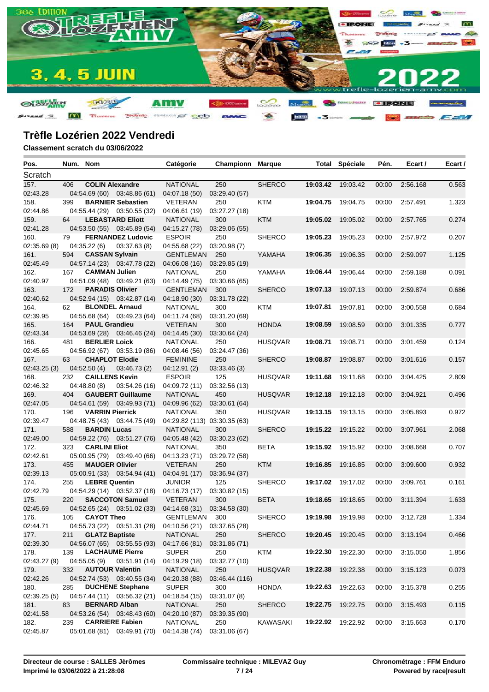

| Pos.                | Num. Nom |                                      |                             | Catégorie                                               | Championn          | <b>Marque</b>  |                   | <b>Total Spéciale</b> | Pén.  | Ecart /  | Ecart / |
|---------------------|----------|--------------------------------------|-----------------------------|---------------------------------------------------------|--------------------|----------------|-------------------|-----------------------|-------|----------|---------|
| Scratch             |          |                                      |                             |                                                         |                    |                |                   |                       |       |          |         |
| 157.                | 406      | <b>COLIN Alexandre</b>               |                             | <b>NATIONAL</b>                                         | 250                | <b>SHERCO</b>  |                   | 19:03.42 19:03.42     | 00:00 | 2:56.168 | 0.563   |
| 02:43.28            |          |                                      | 04:54.69 (60) 03:48.86 (61) | 04:07.18 (50)                                           | 03:29.40 (57)      |                |                   |                       |       |          |         |
| 158.                | 399      |                                      | <b>BARNIER Sebastien</b>    | <b>VETERAN</b>                                          | 250                | KTM            |                   | 19:04.75 19:04.75     | 00:00 | 2:57.491 | 1.323   |
| 02:44.86            |          |                                      | 04:55.44 (29) 03:50.55 (32) | 04:06.61 (19)                                           | 03:27.27 (18)      |                |                   |                       |       |          |         |
| 159.                | 64       |                                      | <b>LEBASTARD Eliott</b>     | <b>NATIONAL</b>                                         | 300                | <b>KTM</b>     | 19:05.02          | 19:05.02              | 00:00 | 2:57.765 | 0.274   |
| 02:41.28            |          |                                      | 04:53.50 (55) 03:45.89 (54) | 04:15.27 (78)                                           | 03:29.06 (55)      |                |                   |                       |       |          |         |
| 160.                | 79       |                                      | <b>FERNANDEZ Ludovic</b>    | <b>ESPOIR</b>                                           | 250                | <b>SHERCO</b>  | 19:05.23          | 19:05.23              | 00:00 | 2:57.972 | 0.207   |
| 02:35.69(8)         |          | 04:35.22(6)                          | 03:37.63(8)                 | 04:55.68 (22)                                           | 03:20.98(7)        |                |                   |                       |       |          |         |
| 161.                | 594      | <b>CASSAN Sylvain</b>                |                             | <b>GENTLEMAN</b>                                        | 250                | YAMAHA         | 19:06.35          | 19:06.35              | 00:00 | 2:59.097 | 1.125   |
| 02:45.49            |          |                                      | 04:57.14 (23) 03:47.78 (22) | 04:06.08(16)                                            | 03:29.85 (19)      |                |                   |                       |       |          |         |
| 162.                | 167      | <b>CAMMAN Julien</b>                 |                             | <b>NATIONAL</b>                                         | 250                | YAMAHA         | 19:06.44          | 19:06.44              | 00:00 | 2:59.188 | 0.091   |
| 02:40.97            |          |                                      | 04:51.09 (48) 03:49.21 (63) | 04:14.49 (75)                                           | 03:30.66 (65)      |                |                   |                       |       |          |         |
| 163.                | 172      | <b>PARADIS Olivier</b>               |                             | <b>GENTLEMAN</b>                                        | 300                | <b>SHERCO</b>  | 19:07.13          | 19:07.13              | 00:00 | 2:59.874 | 0.686   |
| 02:40.62            |          |                                      | 04:52.94 (15) 03:42.87 (14) | 04:18.90 (30)                                           | 03:31.78 (22)      |                |                   |                       |       |          |         |
| 164.                | 62       | <b>BLONDEL Arnaud</b>                |                             | <b>NATIONAL</b>                                         | 300                | KTM            | 19:07.81          | 19:07.81              | 00:00 | 3:00.558 | 0.684   |
| 02:39.95            |          |                                      | 04:55.68 (64) 03:49.23 (64) | 04:11.74 (68)                                           | 03:31.20 (69)      |                |                   |                       |       |          |         |
| 165.                | 164      | <b>PAUL Grandieu</b>                 |                             | <b>VETERAN</b>                                          | 300                | <b>HONDA</b>   | 19:08.59          | 19:08.59              | 00:00 | 3:01.335 | 0.777   |
| 02:43.34            |          |                                      | 04:53.69 (28) 03:46.46 (24) | 04:14.45 (30)                                           | 03:30.64 (24)      |                |                   |                       |       |          |         |
| 166.                | 481      | <b>BERLIER Loick</b>                 |                             | <b>NATIONAL</b>                                         | 250                | <b>HUSQVAR</b> | 19:08.71          | 19:08.71              | 00:00 | 3:01.459 | 0.124   |
| 02:45.65            |          | <b>CHAPLOT Elodie</b>                | 04:56.92 (67) 03:53.19 (86) | 04:08.46 (56)                                           | 03:24.47 (36)      |                | 19:08.87          |                       |       |          |         |
| 167.                | 63       |                                      |                             | <b>FEMININE</b>                                         | 250                | <b>SHERCO</b>  |                   | 19:08.87              | 00:00 | 3:01.616 | 0.157   |
| 02:43.25(3)<br>168. | 232      | 04:52.50(4)<br><b>CAILLENS Kevin</b> | 03:46.73(2)                 | 04:12.91(2)<br><b>ESPOIR</b>                            | 03:33.46(3)<br>125 | <b>HUSQVAR</b> | 19:11.68          | 19:11.68              | 00:00 | 3:04.425 | 2.809   |
| 02:46.32            |          | 04:48.80(8)                          | 03:54.26 (16)               | 04:09.72 (11)                                           | 03:32.56 (13)      |                |                   |                       |       |          |         |
| 169.                | 404      |                                      | <b>GAUBERT Guillaume</b>    | <b>NATIONAL</b>                                         | 450                | <b>HUSQVAR</b> | 19:12.18          | 19:12.18              | 00:00 | 3:04.921 | 0.496   |
| 02:47.05            |          |                                      | 04:54.61 (59) 03:49.93 (71) | 04:09.96 (62)                                           | 03:30.61 (64)      |                |                   |                       |       |          |         |
| 170.                | 196      | <b>VARRIN Pierrick</b>               |                             | <b>NATIONAL</b>                                         | 350                | <b>HUSQVAR</b> |                   | 19:13.15 19:13.15     | 00:00 | 3:05.893 | 0.972   |
| 02:39.47            |          |                                      | 04:48.75 (43) 03:44.75 (49) | 04:29.82 (113) 03:30.35 (63)                            |                    |                |                   |                       |       |          |         |
| 171.                | 588      | <b>BARDIN Lucas</b>                  |                             | <b>NATIONAL</b>                                         | 300                | <b>SHERCO</b>  |                   | 19:15.22 19:15.22     | 00:00 | 3:07.961 | 2.068   |
| 02:49.00            |          |                                      | 04:59.22 (76) 03:51.27 (76) | 04:05.48 (42)                                           | 03:30.23 (62)      |                |                   |                       |       |          |         |
| 172.                | 323      | <b>CARLINI Eliot</b>                 |                             | <b>NATIONAL</b>                                         | 350                | <b>BETA</b>    |                   | 19:15.92 19:15.92     | 00:00 | 3:08.668 | 0.707   |
| 02:42.61            |          |                                      | 05:00.95 (79) 03:49.40 (66) | 04:13.23 (71)                                           | 03:29.72 (58)      |                |                   |                       |       |          |         |
| 173.                | 455      | <b>MAUGER Olivier</b>                |                             | <b>VETERAN</b>                                          | 250                | <b>KTM</b>     | 19:16.85          | 19:16.85              | 00:00 | 3:09.600 | 0.932   |
| 02:39.13            |          |                                      | 05:00.91 (33) 03:54.94 (41) | 04:04.91 (17)                                           | 03:36.94 (37)      |                |                   |                       |       |          |         |
| 174.                | 255      | <b>LEBRE Quentin</b>                 |                             | <b>JUNIOR</b>                                           | 125                | <b>SHERCO</b>  | 19:17.02          | 19:17.02              | 00:00 | 3:09.761 | 0.161   |
| 02:42.79            |          |                                      | 04:54.29 (14) 03:52.37 (18) | 04:16.73 (17)                                           | 03:30.82 (15)      |                |                   |                       |       |          |         |
| 175.                | 220      |                                      | <b>SACCOTON Samuel</b>      | <b>VETERAN</b>                                          | 300                | <b>BETA</b>    | 19:18.65          | 19:18.65              | 00:00 | 3:11.394 | 1.633   |
| 02:45.69            |          |                                      | 04:52.65 (24) 03:51.02 (33) | 04:14.68 (31)                                           | 03:34.58 (30)      |                |                   |                       |       |          |         |
| 176.                | 105      | <b>CAYOT Theo</b>                    |                             | <b>GENTLEMAN</b>                                        | 300                | <b>SHERCO</b>  |                   | 19:19.98 19:19.98     | 00:00 | 3:12.728 | 1.334   |
| 02:44.71            |          |                                      |                             | 04:55.73 (22) 03:51.31 (28) 04:10.56 (21) 03:37.65 (28) |                    |                |                   |                       |       |          |         |
| 177.                | 211      | <b>GLATZ Baptiste</b>                |                             | <b>NATIONAL</b>                                         | 250                | <b>SHERCO</b>  | 19:20.45 19:20.45 |                       | 00:00 | 3:13.194 | 0.466   |
| 02:39.30            |          |                                      | 04:56.07 (65) 03:55.55 (93) | 04:17.66 (81)                                           | 03:31.86 (71)      |                |                   |                       |       |          |         |
| 178.                | 139      |                                      | <b>LACHAUME Pierre</b>      | <b>SUPER</b>                                            | 250                | KTM            |                   | 19:22.30 19:22.30     | 00:00 | 3:15.050 | 1.856   |
| 02:43.27 (9)        |          | 04:55.05 (9)                         | 03:51.91 (14)               | 04:19.29 (18)                                           | 03:32.77 (10)      |                |                   |                       |       |          |         |
| 179.                | 332      | <b>AUTOUR Valentin</b>               |                             | <b>NATIONAL</b>                                         | 250                | <b>HUSQVAR</b> | 19:22.38          | 19:22.38              | 00:00 | 3:15.123 | 0.073   |
| 02:42.26            |          |                                      | 04:52.74 (53) 03:40.55 (34) | 04:20.38 (88)                                           | 03:46.44 (116)     |                |                   |                       |       |          |         |
| 180.                | 285      |                                      | <b>DUCHENE Stephane</b>     | <b>SUPER</b>                                            | 300                | <b>HONDA</b>   |                   | 19:22.63 19:22.63     | 00:00 | 3:15.378 | 0.255   |
| 02:39.25(5)         |          |                                      | 04:57.44 (11) 03:56.32 (21) | 04:18.54 (15)                                           | 03:31.07 (8)       |                |                   |                       |       |          |         |
| 181.                | 83       | <b>BERNARD Alban</b>                 |                             | <b>NATIONAL</b>                                         | 250                | <b>SHERCO</b>  | 19:22.75 19:22.75 |                       | 00:00 | 3:15.493 | 0.115   |
| 02:41.58            |          |                                      | 04:53.26 (54) 03:48.43 (60) | 04:20.10 (87)                                           | 03:39.35 (90)      |                |                   |                       |       |          |         |
| 182.                | 239      | <b>CARRIERE Fabien</b>               |                             | <b>NATIONAL</b>                                         | 250                | KAWASAKI       |                   | 19:22.92 19:22.92     | 00:00 | 3:15.663 | 0.170   |
| 02:45.87            |          |                                      | 05:01.68 (81) 03:49.91 (70) | 04:14.38 (74)                                           | 03:31.06 (67)      |                |                   |                       |       |          |         |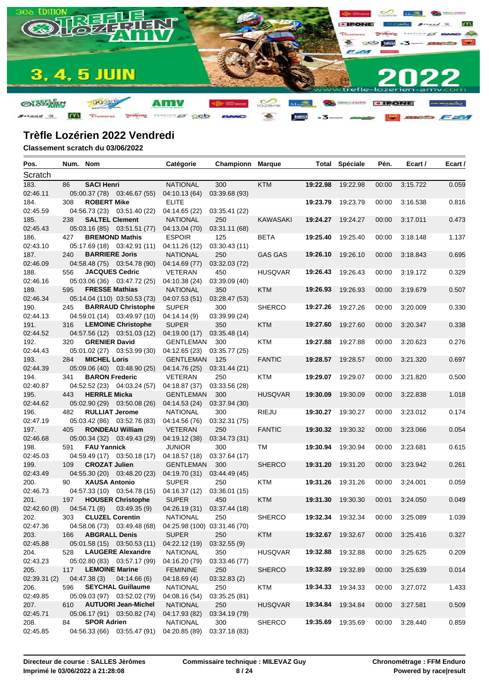

| Pos.         | Num. Nom |                        |                              | Catégorie                                                | Championn     | <b>Marque</b>   |          | <b>Total Spéciale</b> | Pén.  | Ecart /  | Ecart / |
|--------------|----------|------------------------|------------------------------|----------------------------------------------------------|---------------|-----------------|----------|-----------------------|-------|----------|---------|
| Scratch      |          |                        |                              |                                                          |               |                 |          |                       |       |          |         |
| 183.         | 86       | <b>SACI Henri</b>      |                              | <b>NATIONAL</b>                                          | 300           | <b>KTM</b>      | 19:22.98 | 19:22.98              | 00:00 | 3:15.722 | 0.059   |
| 02:46.11     |          |                        | 05:00.37 (78) 03:46.67 (55)  | 04:10.13 (64)                                            | 03:39.68 (93) |                 |          |                       |       |          |         |
| 184.         | 308      | <b>ROBERT Mike</b>     |                              | <b>ELITE</b>                                             |               |                 | 19:23.79 | 19:23.79              | 00:00 | 3:16.538 | 0.816   |
| 02:45.59     |          |                        | 04:56.73 (23) 03:51.40 (22)  | 04:14.65 (22)                                            | 03:35.41 (22) |                 |          |                       |       |          |         |
| 185.         | 238      | <b>SALTEL Clement</b>  |                              | <b>NATIONAL</b>                                          | 250           | <b>KAWASAKI</b> | 19:24.27 | 19:24.27              | 00:00 | 3:17.011 | 0.473   |
| 02:45.43     |          |                        | 05:03.16 (85) 03:51.51 (77)  | 04:13.04 (70)                                            | 03:31.11 (68) |                 |          |                       |       |          |         |
| 186.         | 427      |                        | <b>BREMOND Mathis</b>        | <b>ESPOIR</b>                                            | 125           | BETA            | 19:25.40 | 19:25.40              | 00:00 | 3:18.148 | 1.137   |
| 02:43.10     |          |                        | 05:17.69 (18) 03:42.91 (11)  | 04:11.26 (12)                                            | 03:30.43(11)  |                 |          |                       |       |          |         |
| 187.         | 240      | <b>BARRIERE Joris</b>  |                              | <b>NATIONAL</b>                                          | 250           | <b>GAS GAS</b>  | 19:26.10 | 19:26.10              | 00:00 | 3:18.843 | 0.695   |
| 02:46.09     |          |                        | 04:58.48 (75) 03:54.78 (90)  | 04:14.69 (77)                                            | 03:32.03 (72) |                 |          |                       |       |          |         |
| 188.         | 556      | <b>JACQUES Cedric</b>  |                              | <b>VETERAN</b>                                           | 450           | <b>HUSQVAR</b>  | 19:26.43 | 19:26.43              | 00:00 | 3:19.172 | 0.329   |
| 02:46.16     |          |                        | 05:03.06 (36) 03:47.72 (25)  | 04:10.38 (24)                                            | 03:39.09 (40) |                 |          |                       |       |          |         |
| 189.         | 595      | <b>FRESSE Mathias</b>  |                              | <b>NATIONAL</b>                                          | 350           | <b>KTM</b>      | 19:26.93 | 19:26.93              | 00:00 | 3:19.679 | 0.507   |
| 02:46.34     |          |                        | 05:14.04 (110) 03:50.53 (73) | 04:07.53 (51)                                            | 03:28.47 (53) |                 |          |                       |       |          |         |
| 190.         | 245      |                        | <b>BARRAUD Christophe</b>    | <b>SUPER</b>                                             | 300           | <b>SHERCO</b>   | 19:27.26 | 19:27.26              | 00:00 | 3:20.009 | 0.330   |
| 02:44.13     |          |                        | 04:59.01 (14) 03:49.97 (10)  | 04:14.14(9)                                              | 03:39.99 (24) |                 |          |                       |       |          |         |
| 191.         | 316      |                        | <b>LEMOINE Christophe</b>    | <b>SUPER</b>                                             | 350           | <b>KTM</b>      | 19:27.60 | 19:27.60              | 00:00 | 3:20.347 | 0.338   |
| 02:44.52     |          |                        | 04:57.56 (12) 03:51.03 (12)  | 04:19.00 (17)                                            | 03:35.48 (14) |                 |          |                       |       |          |         |
| 192.         | 320      | <b>GRENIER David</b>   |                              | GENTLEMAN                                                | 300           | KTM             | 19:27.88 | 19:27.88              | 00:00 | 3:20.623 | 0.276   |
| 02:44.43     |          |                        | 05:01.02 (27) 03:53.99 (30)  | 04:12.65 (23) 03:35.77 (25)                              |               |                 |          |                       |       |          |         |
| 193.         | 284      | <b>MICHEL Loris</b>    |                              | <b>GENTLEMAN</b>                                         | 125           | <b>FANTIC</b>   | 19:28.57 | 19:28.57              | 00:00 | 3:21.320 | 0.697   |
| 02:44.39     |          |                        | 05:09.06 (40) 03:48.90 (25)  | 04:14.76 (25)                                            | 03:31.44 (21) |                 |          |                       |       |          |         |
| 194.         | 341      | <b>BARON Frederic</b>  |                              | <b>VETERAN</b>                                           | 250           | KTM             | 19:29.07 | 19:29.07              | 00:00 | 3:21.820 | 0.500   |
| 02:40.87     |          |                        | 04:52.52 (23) 04:03.24 (57)  | 04:18.87 (37)                                            | 03:33.56 (28) |                 |          |                       |       |          |         |
| 195.         | 443      | <b>HERRLE Micka</b>    |                              | <b>GENTLEMAN</b>                                         | 300           | <b>HUSQVAR</b>  | 19:30.09 | 19:30.09              | 00:00 | 3:22.838 | 1.018   |
| 02:44.62     |          |                        | 05:02.90 (29) 03:50.08 (26)  | 04:14.53 (24)                                            | 03:37.94 (30) |                 |          |                       |       |          |         |
| 196.         | 482      | <b>RULLIAT Jerome</b>  |                              | <b>NATIONAL</b>                                          | 300           | RIEJU           | 19:30.27 | 19:30.27              | 00:00 | 3:23.012 | 0.174   |
| 02:47.19     |          |                        | 05:03.42 (86) 03:52.76 (83)  | 04:14.56 (76)                                            | 03:32.31 (75) |                 |          |                       |       |          |         |
| 197.         | 405      |                        | <b>RONDEAU William</b>       | <b>VETERAN</b>                                           | 250           | <b>FANTIC</b>   | 19:30.32 | 19:30.32              | 00:00 | 3:23.066 | 0.054   |
| 02:46.68     |          |                        | 05:00.34 (32) 03:49.43 (29)  | 04:19.12 (38)                                            | 03:34.73 (31) |                 |          |                       |       |          |         |
| 198.         | 591      | <b>FAU Yannick</b>     |                              | <b>JUNIOR</b>                                            | 300           | TM              | 19:30.94 | 19:30.94              | 00:00 | 3:23.681 | 0.615   |
| 02:45.03     |          |                        | 04:59.49 (17) 03:50.18 (17)  | 04:18.57 (18)                                            | 03:37.64 (17) |                 |          |                       |       |          |         |
| 199.         | 109      | <b>CROZAT Julien</b>   |                              | <b>GENTLEMAN</b>                                         | 300           | <b>SHERCO</b>   | 19:31.20 | 19:31.20              | 00:00 | 3:23.942 | 0.261   |
| 02:43.49     |          |                        | 04:55.30 (20) 03:48.20 (23)  | 04:19.70 (31) 03:44.49 (45)                              |               |                 |          |                       |       |          |         |
| 200.         | 90       | <b>XAUSA Antonio</b>   |                              | <b>SUPER</b>                                             | 250           | KTM             | 19:31.26 | 19:31.26              | 00:00 | 3:24.001 | 0.059   |
| 02:46.73     |          |                        | 04:57.33 (10) 03:54.78 (15)  | 04:16.37 (12)                                            | 03:36.01 (15) |                 |          |                       |       |          |         |
| 201.         | 197      |                        | <b>HOUSER Christophe</b>     | <b>SUPER</b>                                             | 450           | <b>KTM</b>      | 19:31.30 | 19:30.30              | 00:01 | 3:24.050 | 0.049   |
| 02:42.60 (8) |          | 04:54.71 (8)           | 03:49.35(9)                  | 04:26.19 (31)                                            | 03:37.44 (18) |                 |          |                       |       |          |         |
| 202.         | 303      | <b>CLUZEL Corentin</b> |                              | <b>NATIONAL</b>                                          | 250           | <b>SHERCO</b>   |          | 19:32.34 19:32.34     | 00:00 | 3:25.089 | 1.039   |
| 02:47.36     |          |                        |                              | 04:58.06 (73) 03:49.48 (68) 04:25.98 (100) 03:31.46 (70) |               |                 |          |                       |       |          |         |
| 203.         | 166      | <b>ABGRALL Denis</b>   |                              | <b>SUPER</b>                                             | 250           | <b>KTM</b>      |          | 19:32.67 19:32.67     | 00:00 | 3:25.416 | 0.327   |
| 02:45.88     |          |                        | 05:01.58 (15) 03:50.53 (11)  | 04:22.12 (19)                                            | 03:32.55 (9)  |                 |          |                       |       |          |         |
| 204.         | 528      |                        | <b>LAUGERE Alexandre</b>     | <b>NATIONAL</b>                                          | 350           | <b>HUSQVAR</b>  | 19:32.88 | 19:32.88              | 00:00 | 3:25.625 | 0.209   |
| 02:43.23     |          |                        | 05:02.80 (83) 03:57.17 (99)  | 04:16.20 (79)                                            | 03:33.46 (77) |                 |          |                       |       |          |         |
| 205.         | 117      | <b>LEMOINE Marine</b>  |                              | <b>FEMININE</b>                                          | 250           | <b>SHERCO</b>   | 19:32.89 | 19:32.89              | 00:00 | 3:25.639 | 0.014   |
| 02:39.31 (2) |          | 04:47.38(3)            | 04:14.66(6)                  | 04:18.69(4)                                              | 03:32.83(2)   |                 |          |                       |       |          |         |
| 206.         | 596      |                        | <b>SEYCHAL Guillaume</b>     | <b>NATIONAL</b>                                          | 250           | KTM             | 19:34.33 | 19:34.33              | 00:00 | 3:27.072 | 1.433   |
| 02:49.85     |          |                        | 05:09.03 (97) 03:52.02 (79)  | 04:08.16 (54)                                            | 03:35.25 (81) |                 |          |                       |       |          |         |
| 207.         | 610      |                        | <b>AUTUORI Jean-Michel</b>   | <b>NATIONAL</b>                                          | 250           | <b>HUSQVAR</b>  | 19:34.84 | 19:34.84              | 00:00 | 3:27.581 | 0.509   |
| 02:45.71     |          |                        | 05:06.17 (91) 03:50.82 (74)  | 04:17.93 (82)                                            | 03:34.19 (79) |                 |          |                       |       |          |         |
| 208.         | 84       | <b>SPOR Adrien</b>     |                              | <b>NATIONAL</b>                                          | 300           | <b>SHERCO</b>   | 19:35.69 | 19:35.69              | 00:00 | 3:28.440 | 0.859   |
| 02:45.85     |          |                        | 04:56.33 (66) 03:55.47 (91)  | 04:20.85 (89)                                            | 03:37.18 (83) |                 |          |                       |       |          |         |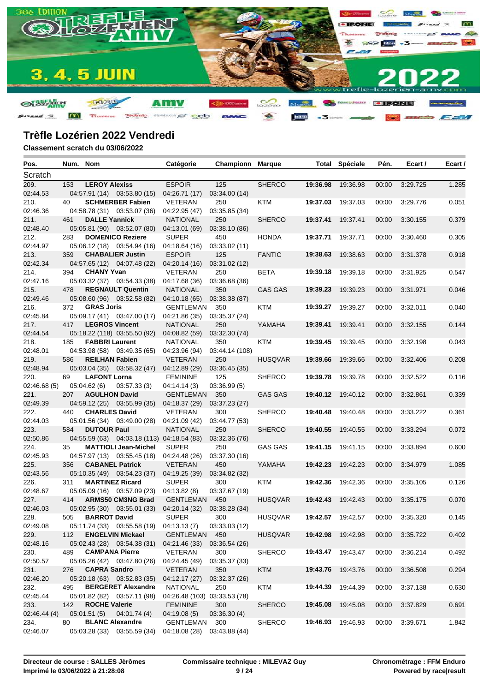

| Pos.         | Num. Nom |                       |                                            | Catégorie                    | <b>Championn Marque</b> |                |                   | <b>Total Spéciale</b> | Pén.  | Ecart /  | Ecart / |
|--------------|----------|-----------------------|--------------------------------------------|------------------------------|-------------------------|----------------|-------------------|-----------------------|-------|----------|---------|
| Scratch      |          |                       |                                            |                              |                         |                |                   |                       |       |          |         |
| 209.         | 153      | <b>LEROY Alexiss</b>  |                                            | <b>ESPOIR</b>                | 125                     | <b>SHERCO</b>  | 19:36.98          | 19:36.98              | 00:00 | 3:29.725 | 1.285   |
| 02:44.53     |          |                       | 04:57.91 (14) 03:53.80 (15)                | 04:26.71 (17)                | 03:34.00 (14)           |                |                   |                       |       |          |         |
| 210.         | 40       |                       | <b>SCHMERBER Fabien</b>                    | <b>VETERAN</b>               | 250                     | KTM            | 19:37.03          | 19:37.03              | 00:00 | 3:29.776 | 0.051   |
| 02:46.36     |          |                       | 04:58.78 (31) 03:53.07 (36)                | 04:22.95 (47)                | 03:35.85 (34)           |                |                   |                       |       |          |         |
| 211.         | 461      | <b>DALLE Yannick</b>  |                                            | <b>NATIONAL</b>              | 250                     | <b>SHERCO</b>  | 19:37.41          | 19:37.41              | 00:00 | 3:30.155 | 0.379   |
| 02:48.40     |          |                       | 05:05.81 (90) 03:52.07 (80)                | 04:13.01 (69)                | 03:38.10 (86)           |                |                   |                       |       |          |         |
| 212.         | 283      |                       | <b>DOMENICO Reziere</b>                    | <b>SUPER</b>                 | 450                     | <b>HONDA</b>   | 19:37.71          | 19:37.71              | 00:00 | 3:30.460 | 0.305   |
| 02:44.97     |          |                       | 05:06.12 (18) 03:54.94 (16)                | 04:18.64 (16)                | 03:33.02 (11)           |                |                   |                       |       |          |         |
| 213.         | 359      |                       | <b>CHABALIER Justin</b>                    | <b>ESPOIR</b>                | 125                     | <b>FANTIC</b>  | 19:38.63          | 19:38.63              | 00:00 | 3:31.378 | 0.918   |
| 02:42.34     |          |                       | 04:57.65 (12) 04:07.48 (22)                | 04:20.14 (16)                | 03:31.02 (12)           |                |                   |                       |       |          |         |
| 214.         | 394      | <b>CHANY Yvan</b>     |                                            | <b>VETERAN</b>               | 250                     | BETA           | 19:39.18          | 19:39.18              | 00:00 | 3:31.925 | 0.547   |
| 02:47.16     |          |                       | 05:03.32 (37) 03:54.33 (38)                | 04:17.68 (36)                | 03:36.68 (36)           |                |                   |                       |       |          |         |
| 215.         | 478      |                       | <b>REGNAULT Quentin</b>                    | <b>NATIONAL</b>              | 350                     | <b>GAS GAS</b> | 19:39.23          | 19:39.23              | 00:00 | 3:31.971 | 0.046   |
| 02:49.46     |          |                       | 05:08.60 (96) 03:52.58 (82)                | 04:10.18 (65)                | 03:38.38 (87)           |                |                   |                       |       |          |         |
| 216.         | 372      | <b>GRAS Joris</b>     |                                            | GENTLEMAN                    | 350                     | KTM            | 19:39.27          | 19:39.27              | 00:00 | 3:32.011 | 0.040   |
| 02:45.84     |          |                       | 05:09.17 (41) 03:47.00 (17)                | 04:21.86 (35)                | 03:35.37 (24)           |                |                   |                       |       |          |         |
| 217.         | 417      | <b>LEGROS Vincent</b> |                                            | <b>NATIONAL</b>              | 250                     | YAMAHA         | 19:39.41          | 19:39.41              | 00:00 | 3:32.155 | 0.144   |
| 02:44.54     |          |                       | 05:18.22 (118) 03:55.50 (92)               | 04:08.82 (59)                | 03:32.30 (74)           |                |                   |                       |       |          |         |
| 218.         | 185      | <b>FABBRI Laurent</b> |                                            | <b>NATIONAL</b>              | 350                     | KTM            | 19:39.45          | 19:39.45              | 00:00 | 3:32.198 | 0.043   |
| 02:48.01     |          |                       | 04:53.98 (58) 03:49.35 (65)                | 04:23.96 (94)                | 03:44.14 (108)          |                |                   |                       |       |          |         |
| 219.         | 586      | <b>REILHAN Fabien</b> |                                            | <b>VETERAN</b>               | 250                     | <b>HUSQVAR</b> | 19:39.66          | 19:39.66              | 00:00 | 3:32.406 | 0.208   |
| 02:48.94     |          |                       | 05:03.04 (35) 03:58.32 (47)                | 04:12.89 (29)                | 03:36.45 (35)           |                |                   |                       |       |          |         |
| 220.         | 69       | <b>LAFONT Lorna</b>   |                                            | <b>FEMININE</b>              | 125                     | <b>SHERCO</b>  | 19:39.78          | 19:39.78              | 00:00 | 3:32.522 | 0.116   |
| 02:46.68(5)  |          | 05:04.62(6)           | 03:57.33(3)                                | 04:14.14(3)                  | 03:36.99(5)             |                |                   |                       |       |          |         |
| 221.         | 207      | <b>AGULHON David</b>  |                                            | <b>GENTLEMAN</b>             | 350                     | <b>GAS GAS</b> | 19:40.12          | 19:40.12              | 00:00 | 3:32.861 | 0.339   |
| 02:49.39     |          |                       | 04:59.12 (25) 03:55.99 (35)                | 04:18.37 (29)                | 03:37.23 (27)           |                |                   |                       |       |          |         |
| 222.         | 440      | <b>CHARLES David</b>  |                                            | <b>VETERAN</b>               | 300                     | <b>SHERCO</b>  | 19:40.48          | 19:40.48              | 00:00 | 3:33.222 | 0.361   |
| 02:44.03     |          |                       | 05:01.56 (34) 03:49.00 (28)                | 04:21.09 (42)                | 03:44.77 (53)           |                |                   |                       |       |          |         |
| 223.         | 584      | <b>DUTOUR Paul</b>    |                                            | <b>NATIONAL</b>              | 250                     | <b>SHERCO</b>  | 19:40.55          | 19:40.55              | 00:00 | 3:33.294 | 0.072   |
| 02:50.86     |          |                       | 04:55.59 (63) 04:03.18 (113) 04:18.54 (83) |                              | 03:32.36 (76)           |                |                   |                       |       |          |         |
| 224.         | 35       |                       | <b>MATTIOLI Jean-Michel</b>                | <b>SUPER</b>                 | 250                     | <b>GAS GAS</b> | 19:41.15          | 19:41.15              | 00:00 | 3:33.894 | 0.600   |
| 02:45.93     |          |                       | 04:57.97 (13) 03:55.45 (18)                | 04:24.48 (26)                | 03:37.30 (16)           |                |                   |                       |       |          |         |
| 225.         | 356      |                       | <b>CABANEL Patrick</b>                     | <b>VETERAN</b>               | 450                     | YAMAHA         | 19:42.23          | 19:42.23              | 00:00 | 3:34.979 | 1.085   |
| 02:43.56     |          |                       | 05:10.35 (49) 03:54.23 (37)                | 04:19.25 (39)                | 03:34.82 (32)           |                |                   |                       |       |          |         |
| 226.         | 311      |                       | <b>MARTINEZ Ricard</b>                     | <b>SUPER</b>                 | 300                     | KTM            | 19:42.36          | 19:42.36              | 00:00 | 3:35.105 | 0.126   |
| 02:48.67     |          |                       | 05:05.09 (16) 03:57.09 (23)                | 04:13.82 (8)                 | 03:37.67 (19)           |                |                   |                       |       |          |         |
| 227.         | 414      |                       | <b>ARMS50 CM3NG Brad</b>                   | <b>GENTLEMAN</b>             | 450                     | <b>HUSQVAR</b> | 19:42.43          | 19:42.43              | 00:00 | 3:35.175 | 0.070   |
| 02:46.03     |          |                       | 05:02.95 (30) 03:55.01 (33)                | 04:20.14 (32)                | 03:38.28 (34)           |                |                   |                       |       |          |         |
| 228.         | 505      | <b>BARROT David</b>   |                                            | <b>SUPER</b>                 | 300                     | <b>HUSQVAR</b> |                   | 19:42.57 19:42.57     | 00:00 | 3:35.320 | 0.145   |
| 02:49.08     |          |                       | 05:11.74 (33) 03:55.58 (19) 04:13.13 (7)   |                              | 03:33.03 (12)           |                |                   |                       |       |          |         |
| 229.         | 112      |                       | <b>ENGELVIN Mickael</b>                    | GENTLEMAN 450                |                         | <b>HUSQVAR</b> | 19:42.98 19:42.98 |                       | 00:00 | 3:35.722 | 0.402   |
| 02:48.16     |          |                       | 05:02.43 (28) 03:54.38 (31)                | 04:21.46 (33)                | 03:36.54 (26)           |                |                   |                       |       |          |         |
| 230.         | 489      | <b>CAMPANA Pierre</b> |                                            | VETERAN                      | 300                     | <b>SHERCO</b>  |                   | 19:43.47 19:43.47     | 00:00 | 3:36.214 | 0.492   |
| 02:50.57     |          |                       | 05:05.26 (42) 03:47.80 (26)                | 04:24.45 (49)                | 03:35.37 (33)           |                |                   |                       |       |          |         |
| 231.         | 276      | <b>CAPRA Sandro</b>   |                                            | VETERAN                      | 350                     | <b>KTM</b>     | 19:43.76          | 19:43.76              | 00:00 | 3:36.508 | 0.294   |
| 02:46.20     |          |                       | 05:20.18 (63) 03:52.83 (35)                | 04:12.17 (27)                | 03:32.37 (26)           |                |                   |                       |       |          |         |
| 232.         | 495      |                       | <b>BERGERET Alexandre</b>                  | <b>NATIONAL</b>              | 250                     | <b>KTM</b>     | 19:44.39          | 19:44.39              | 00:00 | 3:37.138 | 0.630   |
| 02:45.44     |          |                       | 05:01.82 (82) 03:57.11 (98)                | 04:26.48 (103) 03:33.53 (78) |                         |                |                   |                       |       |          |         |
| 233.         | 142      | <b>ROCHE Valerie</b>  |                                            | <b>FEMININE</b>              | 300                     | <b>SHERCO</b>  | 19:45.08          | 19:45.08              | 00:00 | 3:37.829 | 0.691   |
| 02:46.44 (4) |          | 05:01.51(5)           | 04:01.74(4)                                | 04:19.08(5)                  | 03:36.30(4)             |                |                   |                       |       |          |         |
| 234.         | 80       |                       | <b>BLANC Alexandre</b>                     | GENTLEMAN                    | 300                     | <b>SHERCO</b>  | 19:46.93          | 19:46.93              | 00:00 | 3:39.671 | 1.842   |
| 02:46.07     |          |                       | 05:03.28 (33) 03:55.59 (34)                | 04:18.08 (28)                | 03:43.88 (44)           |                |                   |                       |       |          |         |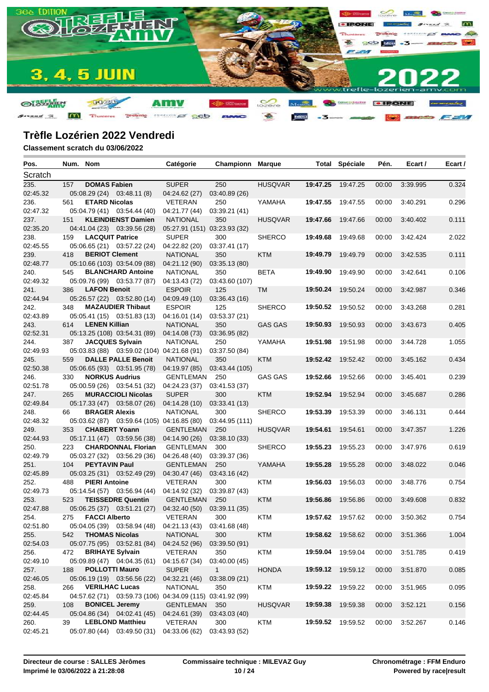

| Pos.             | Num. Nom |                        |                                                           | Catégorie                     | Championn                     | <b>Marque</b>  |          | <b>Total Spéciale</b> | Pén.  | Ecart /  | Ecart / |
|------------------|----------|------------------------|-----------------------------------------------------------|-------------------------------|-------------------------------|----------------|----------|-----------------------|-------|----------|---------|
| Scratch          |          |                        |                                                           |                               |                               |                |          |                       |       |          |         |
| 235.             | 157      | <b>DOMAS Fabien</b>    |                                                           | <b>SUPER</b>                  | 250                           | <b>HUSQVAR</b> | 19:47.25 | 19:47.25              | 00:00 | 3:39.995 | 0.324   |
| 02:45.32         |          |                        | 05:08.29 (24) 03:48.11 (8)                                | 04:24.62 (27)                 | 03:40.89 (26)                 |                |          |                       |       |          |         |
| 236.             | 561      | <b>ETARD Nicolas</b>   |                                                           | VETERAN                       | 250                           | YAMAHA         | 19:47.55 | 19:47.55              | 00:00 | 3:40.291 | 0.296   |
| 02:47.32         |          |                        | 05:04.79 (41) 03:54.44 (40)                               | 04:21.77 (44)                 | 03:39.21 (41)                 |                |          |                       |       |          |         |
| 237.             | 151      |                        | <b>KLEINDIENST Damien</b>                                 | <b>NATIONAL</b>               | 350                           | <b>HUSQVAR</b> | 19:47.66 | 19:47.66              | 00:00 | 3:40.402 | 0.111   |
| 02:35.20         |          |                        | 04:41.04 (23) 03:39.56 (28)                               | 05:27.91 (151) 03:23.93 (32)  |                               |                |          |                       |       |          |         |
| 238.             | 159      | <b>LACQUIT Patrice</b> |                                                           | <b>SUPER</b>                  | 300                           | <b>SHERCO</b>  | 19:49.68 | 19:49.68              | 00:00 | 3:42.424 | 2.022   |
| 02:45.55         |          |                        | 05:06.65 (21) 03:57.22 (24)                               | 04:22.82 (20)                 | 03:37.41 (17)                 |                |          |                       |       |          |         |
| 239.             | 418      | <b>BERIOT Clement</b>  |                                                           | <b>NATIONAL</b>               | 350                           | <b>KTM</b>     | 19:49.79 | 19:49.79              | 00:00 | 3:42.535 | 0.111   |
| 02:48.77         |          |                        | 05:10.66 (103) 03:54.09 (88)                              | 04:21.12 (90)                 | 03:35.13 (80)                 |                |          |                       |       |          |         |
| 240.             | 545      |                        | <b>BLANCHARD Antoine</b>                                  | <b>NATIONAL</b>               | 350                           | BETA           | 19:49.90 | 19:49.90              | 00:00 | 3:42.641 | 0.106   |
| 02:49.32         |          |                        | 05:09.76 (99) 03:53.77 (87)                               | 04:13.43 (72)                 | 03:43.60 (107)                |                |          |                       |       |          |         |
| 241.             | 386      | <b>LAFON Benoit</b>    |                                                           | <b>ESPOIR</b>                 | 125                           | <b>TM</b>      | 19:50.24 | 19:50.24              | 00:00 | 3:42.987 | 0.346   |
| 02:44.94         |          |                        | 05:26.57 (22) 03:52.80 (14)                               | 04:09.49 (10)                 | 03:36.43(16)                  |                |          |                       |       |          |         |
| 242.             | 348      |                        | <b>MAZAUDIER Thibaut</b>                                  | <b>ESPOIR</b>                 | 125                           | <b>SHERCO</b>  | 19:50.52 | 19:50.52              | 00:00 | 3:43.268 | 0.281   |
| 02:43.89         |          |                        | 05:05.41 (15) 03:51.83 (13)                               | 04:16.01 (14)                 | 03:53.37 (21)                 |                |          |                       |       |          |         |
| 243.             | 614      | <b>LENEN Killian</b>   |                                                           | <b>NATIONAL</b>               | 350                           | <b>GAS GAS</b> | 19:50.93 | 19:50.93              | 00:00 | 3:43.673 | 0.405   |
| 02:52.31         |          |                        | 05:13.25 (108) 03:54.31 (89)                              | 04:14.08 (73)                 | 03:36.95 (82)                 |                |          |                       |       |          |         |
| 244.             | 387      |                        | <b>JACQUES Sylvain</b>                                    | <b>NATIONAL</b>               | 250                           | YAMAHA         | 19:51.98 | 19:51.98              | 00:00 | 3:44.728 | 1.055   |
| 02:49.93         |          |                        | 05:03.83 (88) 03:59.02 (104) 04:21.68 (91)                |                               | 03:37.50 (84)                 |                |          |                       |       |          |         |
| 245.             | 559      |                        | <b>DALLE PALLE Benoit</b>                                 | <b>NATIONAL</b>               | 350                           | <b>KTM</b>     | 19:52.42 | 19:52.42              | 00:00 | 3:45.162 | 0.434   |
| 02:50.38         |          |                        | 05:06.65 (93) 03:51.95 (78)                               | 04:19.97 (85)                 | 03:43.44 (105)                |                |          |                       |       |          |         |
| 246.             | 330      | <b>NORKUS Audrius</b>  |                                                           | GENTLEMAN                     | 250                           | <b>GAS GAS</b> | 19:52.66 | 19:52.66              | 00:00 | 3:45.401 | 0.239   |
| 02:51.78         |          |                        | 05:00.59 (26) 03:54.51 (32)                               | 04:24.23 (37)                 | 03:41.53 (37)                 |                |          |                       |       |          |         |
| 247.             | 265      |                        | <b>MURACCIOLI Nicolas</b>                                 | <b>SUPER</b>                  | 300                           | <b>KTM</b>     | 19:52.94 | 19:52.94              | 00:00 | 3:45.687 | 0.286   |
| 02:49.84         |          |                        | 05:17.33 (47) 03:58.07 (26)                               | 04:14.28 (10)                 | 03:33.41 (13)                 |                |          |                       |       |          |         |
| 248.             | 66       | <b>BRAGER Alexis</b>   |                                                           | <b>NATIONAL</b>               | 300                           | <b>SHERCO</b>  | 19:53.39 | 19:53.39              | 00:00 | 3:46.131 | 0.444   |
| 02:48.32         |          |                        | 05:03.62 (87) 03:59.64 (105) 04:16.85 (80)                |                               | 03:44.95 (111)                |                |          |                       |       |          |         |
| 249.             | 353      | <b>CHABERT Yoann</b>   |                                                           | <b>GENTLEMAN</b>              | 250                           | <b>HUSQVAR</b> | 19:54.61 | 19:54.61              | 00:00 | 3:47.357 | 1.226   |
| 02:44.93         |          |                        | 05:17.11 (47) 03:59.56 (38)                               | 04:14.90 (26)                 | 03:38.10 (33)                 |                |          |                       |       |          |         |
| 250.             | 223      |                        | <b>CHARDONNAL Florian</b>                                 | <b>GENTLEMAN</b>              | 300                           | <b>SHERCO</b>  | 19:55.23 | 19:55.23              | 00:00 | 3:47.976 | 0.619   |
| 02:49.79         |          |                        | 05:03.27 (32) 03:56.29 (36)                               | 04:26.48 (40)                 | 03:39.37 (36)                 |                |          |                       |       |          |         |
| 251.             | 104      | <b>PEYTAVIN Paul</b>   |                                                           | <b>GENTLEMAN</b>              | 250                           | YAMAHA         | 19:55.28 | 19:55.28              | 00:00 | 3:48.022 | 0.046   |
| 02:45.89         |          |                        | 05:03.25 (31) 03:52.49 (29)                               | 04:30.47 (46) 03:43.16 (42)   |                               |                |          |                       |       |          |         |
| 252.             | 488      | <b>PIERI Antoine</b>   |                                                           | VETERAN                       | 300                           | <b>KTM</b>     | 19:56.03 | 19:56.03              | 00:00 | 3:48.776 | 0.754   |
| 02:49.73         |          |                        | 05:14.54 (57) 03:56.94 (44)<br><b>TEISSEDRE Quentin</b>   | 04:14.92 (32)                 | 03:39.87 (43)                 |                |          |                       |       |          |         |
| 253.             | 523      |                        |                                                           | <b>GENTLEMAN</b>              | 250                           | <b>KTM</b>     | 19:56.86 | 19:56.86              | 00:00 | 3:49.608 | 0.832   |
| 02:47.88         |          |                        | 05:06.25 (37) 03:51.21 (27)                               | 04:32.40 (50)                 | 03:39.11 (35)                 |                |          |                       |       |          |         |
| 254.             | 275      | <b>FACCI Alberto</b>   |                                                           | <b>VETERAN</b>                | 300                           | KTM            |          | 19:57.62 19:57.62     | 00:00 | 3:50.362 | 0.754   |
| 02:51.80         |          | <b>THOMAS Nicolas</b>  | 05:04.05 (39) 03:58.94 (48) 04:21.13 (43) 03:41.68 (48)   | <b>NATIONAL</b>               |                               | <b>KTM</b>     |          | 19:58.62 19:58.62     | 00:00 | 3:51.366 | 1.004   |
| 255.<br>02:54.03 | 542      |                        |                                                           |                               | 300                           |                |          |                       |       |          |         |
| 256.             | 472      | <b>BRIHAYE Sylvain</b> | 05:07.75 (95) 03:52.81 (84)                               | 04:24.52 (96)<br>VETERAN      | 03:39.50 (91)<br>350          | <b>KTM</b>     |          | 19:59.04 19:59.04     | 00:00 | 3:51.785 | 0.419   |
| 02:49.10         |          |                        | 05:09.89 (47) 04:04.35 (61)                               |                               |                               |                |          |                       |       |          |         |
| 257.             | 188      | <b>POLLOTTI Mauro</b>  |                                                           | 04:15.67 (34)<br><b>SUPER</b> | 03:40.00 (45)<br>$\mathbf{1}$ | <b>HONDA</b>   |          | 19:59.12 19:59.12     | 00:00 | 3:51.870 | 0.085   |
| 02:46.05         |          |                        | 05:06.19 (19) 03:56.56 (22)                               | 04:32.21 (46)                 | 03:38.09 (21)                 |                |          |                       |       |          |         |
|                  | 266      | <b>VERILHAC Lucas</b>  |                                                           | <b>NATIONAL</b>               |                               |                | 19:59.22 | 19:59.22              | 00:00 | 3:51.965 |         |
| 258.<br>02:45.84 |          |                        | 04:57.62 (71) 03:59.73 (106) 04:34.09 (115) 03:41.92 (99) |                               | 350                           | KTM            |          |                       |       |          | 0.095   |
| 259.             | 108      |                        | <b>BONICEL Jeremy</b>                                     | <b>GENTLEMAN</b>              | 350                           | <b>HUSQVAR</b> | 19:59.38 | 19:59.38              | 00:00 | 3:52.121 | 0.156   |
| 02:44.45         |          |                        | 05:04.86 (34) 04:02.41 (45)                               | 04:24.61 (39)                 | 03:43.03 (40)                 |                |          |                       |       |          |         |
| 260.             | 39       |                        | <b>LEBLOND Matthieu</b>                                   | VETERAN                       | 300                           | <b>KTM</b>     |          | 19:59.52 19:59.52     | 00:00 | 3:52.267 | 0.146   |
| 02:45.21         |          |                        | 05:07.80 (44) 03:49.50 (31)                               | 04:33.06 (62)                 | 03:43.93 (52)                 |                |          |                       |       |          |         |
|                  |          |                        |                                                           |                               |                               |                |          |                       |       |          |         |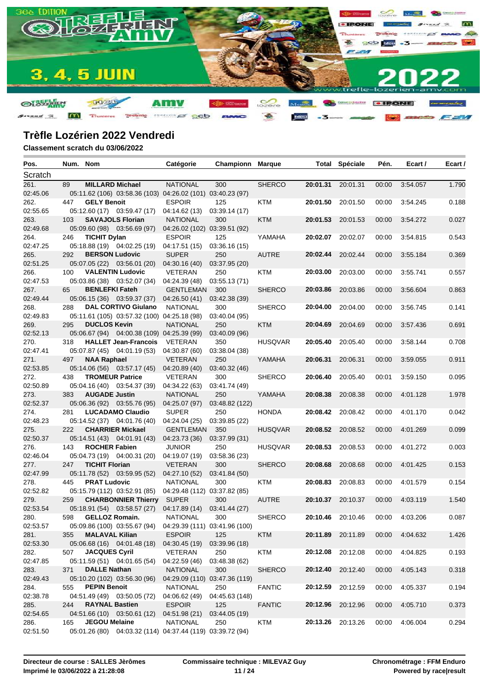

| Pos.     | Num. Nom |                        |                                                            | Catégorie                     | <b>Championn Marque</b> |                |          | <b>Total Spéciale</b> | Pén.  | Ecart /  | Ecart / |
|----------|----------|------------------------|------------------------------------------------------------|-------------------------------|-------------------------|----------------|----------|-----------------------|-------|----------|---------|
| Scratch  |          |                        |                                                            |                               |                         |                |          |                       |       |          |         |
| 261.     | 89       | <b>MILLARD Michael</b> |                                                            | <b>NATIONAL</b>               | 300                     | <b>SHERCO</b>  | 20:01.31 | 20:01.31              | 00:00 | 3:54.057 | 1.790   |
| 02:45.06 |          |                        | 05:11.62 (106) 03:58.36 (103) 04:26.02 (101) 03:40.23 (97) |                               |                         |                |          |                       |       |          |         |
| 262.     | 447      | <b>GELY Benoit</b>     |                                                            | <b>ESPOIR</b>                 | 125                     | KTM            | 20:01.50 | 20:01.50              | 00:00 | 3:54.245 | 0.188   |
| 02:55.65 |          |                        | 05:12.60 (17) 03:59.47 (17)                                | 04:14.62 (13)                 | 03:39.14 (17)           |                |          |                       |       |          |         |
| 263.     | 103      |                        | <b>SAVAJOLS Florian</b>                                    | <b>NATIONAL</b>               | 300                     | <b>KTM</b>     | 20:01.53 | 20:01.53              | 00:00 | 3:54.272 | 0.027   |
| 02:49.68 |          |                        | 05:09.60 (98) 03:56.69 (97)                                | 04:26.02 (102) 03:39.51 (92)  |                         |                |          |                       |       |          |         |
| 264.     | 246      | <b>TICHIT Dylan</b>    |                                                            | <b>ESPOIR</b>                 | 125                     | YAMAHA         | 20:02.07 | 20:02.07              | 00:00 | 3:54.815 | 0.543   |
| 02:47.25 |          |                        | 05:18.88 (19) 04:02.25 (19)                                | 04:17.51 (15)                 | 03:36.16(15)            |                |          |                       |       |          |         |
| 265.     | 292      | <b>BERSON Ludovic</b>  |                                                            | <b>SUPER</b>                  | 250                     | <b>AUTRE</b>   | 20:02.44 | 20:02.44              | 00:00 | 3:55.184 | 0.369   |
| 02:51.25 |          |                        | 05:07.05 (22) 03:56.01 (20)                                | 04:30.16 (40)                 | 03:37.95 (20)           |                |          |                       |       |          |         |
| 266.     | 100      |                        | <b>VALENTIN Ludovic</b>                                    | <b>VETERAN</b>                | 250                     | KTM            | 20:03.00 | 20:03.00              | 00:00 | 3:55.741 | 0.557   |
| 02:47.53 |          |                        | 05:03.86 (38) 03:52.07 (34)                                | 04:24.39 (48)                 | 03:55.13 (71)           |                |          |                       |       |          |         |
| 267.     | 65       | <b>BENLEFKI Fateh</b>  |                                                            | <b>GENTLEMAN</b>              | 300                     | <b>SHERCO</b>  | 20:03.86 | 20:03.86              | 00:00 | 3:56.604 | 0.863   |
| 02:49.44 |          |                        | 05:06.15 (36) 03:59.37 (37)                                | 04:26.50 (41)                 | 03:42.38(39)            |                |          |                       |       |          |         |
| 268.     | 288      |                        | <b>DAL CORTIVO Giulano</b>                                 | <b>NATIONAL</b>               | 300                     | <b>SHERCO</b>  | 20:04.00 | 20:04.00              | 00:00 | 3:56.745 | 0.141   |
| 02:49.83 |          |                        | 05:11.61 (105) 03:57.32 (100) 04:25.18 (98)                |                               | 03:40.04 (95)           |                |          |                       |       |          |         |
| 269.     | 295      | <b>DUCLOS Kevin</b>    |                                                            | <b>NATIONAL</b>               | 250                     | <b>KTM</b>     | 20:04.69 | 20:04.69              | 00:00 | 3:57.436 | 0.691   |
| 02:52.13 |          |                        | 05:06.67 (94) 04:00.38 (109) 04:25.39 (99)                 |                               | 03:40.09 (96)           |                |          |                       |       |          |         |
| 270.     | 318      |                        | <b>HALLET Jean-Francois</b>                                | <b>VETERAN</b>                | 350                     | <b>HUSQVAR</b> | 20:05.40 | 20:05.40              | 00:00 | 3:58.144 | 0.708   |
| 02:47.41 |          |                        | 05:07.87 (45) 04:01.19 (53)                                | 04:30.87 (60)                 | 03:38.04 (38)           |                |          |                       |       |          |         |
| 271.     | 497      | <b>NAA Raphael</b>     |                                                            | <b>VETERAN</b>                | 250                     | YAMAHA         | 20:06.31 | 20:06.31              | 00:00 | 3:59.055 | 0.911   |
| 02:53.85 |          |                        | 05:14.06 (56) 03:57.17 (45)                                | 04:20.89 (40)                 | 03:40.32 (46)           |                |          |                       |       |          |         |
| 272.     | 438      |                        | <b>TROMEUR Patrice</b>                                     | <b>VETERAN</b>                | 300                     | <b>SHERCO</b>  | 20:06.40 | 20:05.40              | 00:01 | 3:59.150 | 0.095   |
| 02:50.89 |          |                        | 05:04.16 (40) 03:54.37 (39)                                | 04:34.22 (63)                 | 03:41.74 (49)           |                |          |                       |       |          |         |
| 273.     | 383      | <b>AUGADE Justin</b>   |                                                            | <b>NATIONAL</b>               | 250                     | YAMAHA         | 20:08.38 | 20:08.38              | 00:00 | 4:01.128 | 1.978   |
| 02:52.37 |          |                        | 05:06.36 (92) 03:55.76 (95)                                | 04:25.07 (97)                 | 03:48.82 (122)          |                |          |                       |       |          |         |
| 274.     | 281      |                        | <b>LUCADAMO Claudio</b>                                    | <b>SUPER</b>                  | 250                     | <b>HONDA</b>   | 20:08.42 | 20:08.42              | 00:00 | 4:01.170 | 0.042   |
| 02:48.23 |          |                        | 05:14.52 (37) 04:01.76 (40)                                | 04:24.04 (25)                 | 03:39.85 (22)           |                |          |                       |       |          |         |
| 275.     | 222      |                        | <b>CHARRIER Mickael</b>                                    | <b>GENTLEMAN</b>              | 350                     | <b>HUSQVAR</b> |          | 20:08.52 20:08.52     | 00:00 | 4:01.269 | 0.099   |
| 02:50.37 |          |                        | 05:14.51 (43) 04:01.91 (43)                                | 04:23.73 (36)                 | 03:37.99 (31)           |                |          |                       |       |          |         |
| 276.     | 143      | <b>ROCHER Fabien</b>   |                                                            | <b>JUNIOR</b>                 | 250                     | <b>HUSQVAR</b> | 20:08.53 | 20:08.53              | 00:00 | 4:01.272 | 0.003   |
| 02:46.04 |          |                        | 05:04.73 (19) 04:00.31 (20)                                | 04:19.07 (19)                 | 03:58.36 (23)           |                |          |                       |       |          |         |
| 277.     | 247      | <b>TICHIT Florian</b>  |                                                            | <b>VETERAN</b>                | 300                     | <b>SHERCO</b>  | 20:08.68 | 20:08.68              | 00:00 | 4:01.425 | 0.153   |
| 02:47.99 |          |                        | 05:11.78 (52) 03:59.95 (52)                                | 04:27.10 (52)                 | 03:41.84(50)            |                |          |                       |       |          |         |
| 278.     | 445      | <b>PRAT Ludovic</b>    |                                                            | <b>NATIONAL</b>               | 300                     | KTM            | 20:08.83 | 20:08.83              | 00:00 | 4:01.579 | 0.154   |
| 02:52.82 |          |                        | 05:15.79 (112) 03:52.91 (85)                               | 04:29.48 (112) 03:37.82 (85)  |                         |                |          |                       |       |          |         |
| 279.     | 259      |                        | <b>CHARBONNIER Thierry</b>                                 | <b>SUPER</b>                  | 300                     | <b>AUTRE</b>   |          | 20:10.37 20:10.37     | 00:00 | 4:03.119 | 1.540   |
| 02:53.54 |          |                        | 05:18.91 (54) 03:58.57 (27)                                | 04:17.89 (14)                 | 03:41.44 (27)           |                |          |                       |       |          |         |
| 280.     | 598      | <b>GELLOZ Romain.</b>  |                                                            | <b>NATIONAL</b>               | 300                     | <b>SHERCO</b>  |          | 20:10.46 20:10.46     | 00:00 | 4:03.206 | 0.087   |
| 02:53.57 |          |                        | 05:09.86 (100) 03:55.67 (94) 04:29.39 (111) 03:41.96 (100) |                               |                         |                |          |                       |       |          |         |
| 281.     | 355      | <b>MALAVAL Kilian</b>  |                                                            | <b>ESPOIR</b>                 | 125                     | <b>KTM</b>     |          | 20:11.89 20:11.89     | 00:00 | 4:04.632 | 1.426   |
| 02:53.30 |          |                        | 05:06.68 (16) 04:01.48 (18)                                | 04:30.45 (19)                 | 03:39.96 (18)           |                |          |                       |       |          |         |
| 282.     | 507      | <b>JACQUES Cyril</b>   |                                                            | VETERAN                       | 250                     | <b>KTM</b>     |          | 20:12.08 20:12.08     | 00:00 | 4:04.825 | 0.193   |
| 02:47.85 |          |                        | 05:11.59 (51) 04:01.65 (54)                                | 04:22.59 (46)                 | 03:48.38 (62)           |                |          |                       |       |          |         |
| 283.     | 371      | <b>DALLE Nathan</b>    |                                                            | <b>NATIONAL</b>               | 300                     | <b>SHERCO</b>  | 20:12.40 | 20:12.40              | 00:00 | 4:05.143 | 0.318   |
| 02:49.43 |          |                        | 05:10.20 (102) 03:56.30 (96)                               | 04:29.09 (110) 03:47.36 (119) |                         |                |          |                       |       |          |         |
| 284.     | 555      | <b>PEPIN Benoit</b>    |                                                            | <b>NATIONAL</b>               | 250                     | <b>FANTIC</b>  | 20:12.59 | 20:12.59              | 00:00 | 4:05.337 | 0.194   |
| 02:38.78 |          |                        | 04:51.49 (49) 03:50.05 (72)                                | 04:06.62 (49)                 | 04:45.63 (148)          |                |          |                       |       |          |         |
| 285.     | 244      | <b>RAYNAL Bastien</b>  |                                                            | <b>ESPOIR</b>                 | 125                     | <b>FANTIC</b>  |          | 20:12.96 20:12.96     | 00:00 | 4:05.710 | 0.373   |
| 02:54.65 |          |                        | 04:51.66 (10) 03:50.61 (12)                                | 04:51.98 (21)                 | 03:44.05 (19)           |                |          |                       |       |          |         |
| 286.     | 165      | <b>JEGOU Melaine</b>   |                                                            | NATIONAL                      | 250                     | KTM            |          | 20:13.26 20:13.26     | 00:00 | 4:06.004 | 0.294   |
| 02:51.50 |          |                        | 05:01.26 (80) 04:03.32 (114) 04:37.44 (119) 03:39.72 (94)  |                               |                         |                |          |                       |       |          |         |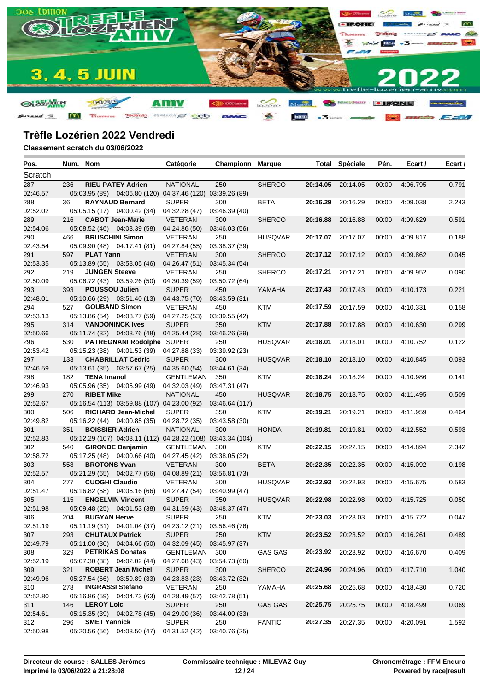

| Pos.             | Num. Nom |                        |                                                             | Catégorie                  | Championn            | Marque         |                   | <b>Total Spéciale</b>    | Pén.  | Ecart /  | Ecart / |
|------------------|----------|------------------------|-------------------------------------------------------------|----------------------------|----------------------|----------------|-------------------|--------------------------|-------|----------|---------|
| Scratch          |          |                        |                                                             |                            |                      |                |                   |                          |       |          |         |
| 287.             | 236      |                        | <b>RIEU PATEY Adrien</b>                                    | <b>NATIONAL</b>            | 250                  | <b>SHERCO</b>  | 20:14.05          | 20:14.05                 | 00:00 | 4:06.795 | 0.791   |
| 02:46.57         |          |                        | 05:03.95 (89) 04:06.80 (120) 04:37.46 (120) 03:39.26 (89)   |                            |                      |                |                   |                          |       |          |         |
| 288.             | 36       |                        | <b>RAYNAUD Bernard</b>                                      | <b>SUPER</b>               | 300                  | BETA           | 20:16.29          | 20:16.29                 | 00:00 | 4:09.038 | 2.243   |
| 02:52.02         |          |                        | 05:05.15 (17) 04:00.42 (34)                                 | 04:32.28 (47)              | 03:46.39 (40)        |                |                   |                          |       |          |         |
| 289.             | 216      |                        | <b>CABOT Jean-Marie</b>                                     | <b>VETERAN</b>             | 300                  | <b>SHERCO</b>  | 20:16.88          | 20:16.88                 | 00:00 | 4:09.629 | 0.591   |
| 02:54.06         |          |                        | 05:08.52 (46) 04:03.39 (58)                                 | 04:24.86 (50)              | 03:46.03 (56)        |                |                   |                          |       |          |         |
| 290.             | 466      |                        | <b>BRUSCHINI Simon</b>                                      | VETERAN                    | 250                  | <b>HUSQVAR</b> | 20:17.07          | 20:17.07                 | 00:00 | 4:09.817 | 0.188   |
| 02:43.54         |          |                        | 05:09.90 (48) 04:17.41 (81)                                 | 04:27.84 (55)              | 03:38.37 (39)        |                |                   |                          |       |          |         |
| 291.             | 597      | <b>PLAT Yann</b>       |                                                             | <b>VETERAN</b>             | 300                  | <b>SHERCO</b>  |                   | 20:17.12 20:17.12        | 00:00 | 4:09.862 | 0.045   |
| 02:53.35         |          |                        | 05:13.89 (55) 03:58.05 (46)                                 | 04:26.47 (51)              | 03:45.34(54)         |                |                   |                          |       |          |         |
| 292.             | 219      | <b>JUNGEN Steeve</b>   |                                                             | <b>VETERAN</b>             | 250                  | <b>SHERCO</b>  | 20:17.21          | 20:17.21                 | 00:00 | 4:09.952 | 0.090   |
| 02:50.09         |          |                        | 05:06.72 (43) 03:59.26 (50)                                 | 04:30.39 (59)              | 03:50.72 (64)        |                |                   |                          |       |          |         |
| 293.             | 393      | POUSSOU Julien         |                                                             | <b>SUPER</b>               | 450                  | YAMAHA         | 20:17.43          | 20:17.43                 | 00:00 | 4:10.173 | 0.221   |
| 02:48.01         |          |                        | 05:10.66 (29) 03:51.40 (13)                                 | 04:43.75 (70)              | 03:43.59 (31)        |                |                   |                          |       |          |         |
| 294.             | 527      |                        | <b>GOUBAND Simon</b>                                        | VETERAN                    | 450                  | KTM            | 20:17.59          | 20:17.59                 | 00:00 | 4:10.331 | 0.158   |
| 02:53.13         |          |                        | 05:13.86 (54) 04:03.77 (59)                                 | 04:27.25 (53)              | 03:39.55 (42)        |                |                   |                          |       |          |         |
| 295.             | 314      |                        | <b>VANDONINCK Ives</b>                                      | <b>SUPER</b>               | 350                  | <b>KTM</b>     | 20:17.88          | 20:17.88                 | 00:00 | 4:10.630 | 0.299   |
| 02:50.66         |          |                        | 05:11.74 (32) 04:03.76 (48)                                 | 04:25.44 (28)              | 03:46.26 (39)        |                |                   |                          |       |          |         |
| 296.             | 530      |                        | PATREGNANI Rodolphe SUPER                                   |                            | 250                  | <b>HUSQVAR</b> | 20:18.01          | 20:18.01                 | 00:00 | 4:10.752 | 0.122   |
| 02:53.42         |          |                        | 05:15.23 (38) 04:01.53 (39)                                 | 04:27.88 (33)              | 03:39.92 (23)        |                |                   |                          |       |          |         |
| 297.             | 133      |                        | <b>CHABRILLAT Cedric</b>                                    | <b>SUPER</b>               | 300                  | <b>HUSQVAR</b> | 20:18.10          | 20:18.10                 | 00:00 | 4:10.845 | 0.093   |
| 02:46.59         | 182      | <b>TENA Imanol</b>     | 05:13.61 (35) 03:57.67 (25)                                 | 04:35.60 (54)              | 03:44.61 (34)        |                |                   | 20:18.24                 |       | 4:10.986 |         |
| 298.<br>02:46.93 |          |                        | 05:05.96 (35) 04:05.99 (49)                                 | GENTLEMAN<br>04:32.03 (49) | 350<br>03:47.31 (47) | KTM            | 20:18.24          |                          | 00:00 |          | 0.141   |
| 299.             | 270      | <b>RIBET Mike</b>      |                                                             | <b>NATIONAL</b>            | 450                  | <b>HUSQVAR</b> | 20:18.75          | 20:18.75                 | 00:00 | 4:11.495 | 0.509   |
| 02:52.67         |          |                        | 05:16.54 (113) 03:59.88 (107) 04:23.00 (92)                 |                            | 03:46.64 (117)       |                |                   |                          |       |          |         |
| 300.             | 506      |                        | <b>RICHARD Jean-Michel</b>                                  | <b>SUPER</b>               | 350                  | KTM            | 20:19.21          | 20:19.21                 | 00:00 | 4:11.959 | 0.464   |
| 02:49.82         |          |                        | 05:16.22 (44) 04:00.85 (35)                                 | 04:28.72 (35)              | 03:43.58 (30)        |                |                   |                          |       |          |         |
| 301.             | 351      | <b>BOISSIER Adrien</b> |                                                             | <b>NATIONAL</b>            | 300                  | <b>HONDA</b>   | 20:19.81          | 20:19.81                 | 00:00 | 4:12.552 | 0.593   |
| 02:52.83         |          |                        | 05:12.29 (107) 04:03.11 (112) 04:28.22 (108) 03:43.34 (104) |                            |                      |                |                   |                          |       |          |         |
| 302.             | 540      |                        | <b>GIRONDE Benjamin</b>                                     | GENTLEMAN                  | 300                  | KTM            | 20:22.15          | 20:22.15                 | 00:00 | 4:14.894 | 2.342   |
| 02:58.72         |          |                        | 05:17.25 (48) 04:00.66 (40)                                 | 04:27.45 (42)              | 03:38.05 (32)        |                |                   |                          |       |          |         |
| 303.             | 558      | <b>BROTONS Yvan</b>    |                                                             | <b>VETERAN</b>             | 300                  | <b>BETA</b>    | 20:22.35          | 20:22.35                 | 00:00 | 4:15.092 | 0.198   |
| 02:52.57         |          |                        | 05:21.29 (65) 04:02.77 (56)                                 | 04:08.89 (21)              | 03:56.81 (73)        |                |                   |                          |       |          |         |
| 304.             | 277      | <b>CUOGHI Claudio</b>  |                                                             | <b>VETERAN</b>             | 300                  | <b>HUSQVAR</b> | 20:22.93          | 20:22.93                 | 00:00 | 4:15.675 | 0.583   |
| 02:51.47         |          |                        | 05:16.82 (58) 04:06.16 (66)                                 | 04:27.47 (54)              | 03:40.99(47)         |                |                   |                          |       |          |         |
| 305.             | 115      |                        | <b>ENGELVIN Vincent</b>                                     | <b>SUPER</b>               | 350                  | <b>HUSQVAR</b> | 20:22.98          | 20:22.98                 | 00:00 | 4:15.725 | 0.050   |
| 02:51.98         |          |                        | 05:09.48 (25) 04:01.53 (38)                                 | 04:31.59 (43)              | 03:48.37 (47)        |                |                   |                          |       |          |         |
| 306.             | 204      | <b>BUGYAN Herve</b>    |                                                             | <b>SUPER</b>               | 250                  | KTM            |                   | 20:23.03 20:23.03        | 00:00 | 4:15.772 | 0.047   |
| 02:51.19         |          |                        | 05:11.19 (31) 04:01.04 (37) 04:23.12 (21) 03:56.46 (76)     |                            |                      |                |                   |                          |       |          |         |
| 307.             | 293      |                        | <b>CHUTAUX Patrick</b>                                      | <b>SUPER</b>               | 250                  | <b>KTM</b>     | 20:23.52 20:23.52 |                          | 00:00 | 4:16.261 | 0.489   |
| 02:49.79         |          |                        | 05:11.00 (30) 04:04.66 (50)                                 | 04:32.09 (45)              | 03:45.97 (37)        |                |                   |                          |       |          |         |
| 308.             | 329      |                        | <b>PETRIKAS Donatas</b>                                     | GENTLEMAN 300              |                      | GAS GAS        | 20:23.92 20:23.92 |                          | 00:00 | 4:16.670 | 0.409   |
| 02:52.19         |          |                        | 05:07.30 (38) 04:02.02 (44)                                 | 04:27.68 (43)              | 03:54.73 (60)        |                |                   |                          |       |          |         |
| 309.             | 321      |                        | <b>ROBERT Jean Michel</b>                                   | <b>SUPER</b>               | 300                  | <b>SHERCO</b>  | 20:24.96          | 20:24.96                 | 00:00 | 4:17.710 | 1.040   |
| 02:49.96         |          |                        | 05:27.54 (66) 03:59.89 (33)                                 | 04:23.83 (23)              | 03:43.72 (32)        |                |                   |                          |       |          |         |
| 310.             | 278      |                        | <b>INGRASSI Stefano</b>                                     | VETERAN                    | 250                  | YAMAHA         | 20:25.68          | 20:25.68                 | 00:00 | 4:18.430 | 0.720   |
| 02:52.80         |          |                        | 05:16.86 (59) 04:04.73 (63)                                 | 04:28.49 (57)              | 03:42.78 (51)        |                |                   |                          |       |          |         |
| 311.             | 146      | <b>LEROY Loic</b>      |                                                             | <b>SUPER</b>               | 250                  | <b>GAS GAS</b> | 20:25.75 20:25.75 |                          | 00:00 | 4:18.499 | 0.069   |
| 02:54.61         |          |                        | 05:15.35 (39) 04:02.78 (45)                                 | 04:29.00 (36)              | 03:44.00 (33)        |                |                   |                          |       |          |         |
| 312.             | 296      | <b>SMET Yannick</b>    |                                                             | <b>SUPER</b>               | 250                  | <b>FANTIC</b>  |                   | <b>20:27.35</b> 20:27.35 | 00:00 | 4:20.091 | 1.592   |
| 02:50.98         |          |                        | 05:20.56 (56) 04:03.50 (47)                                 | 04:31.52 (42)              | 03:40.76 (25)        |                |                   |                          |       |          |         |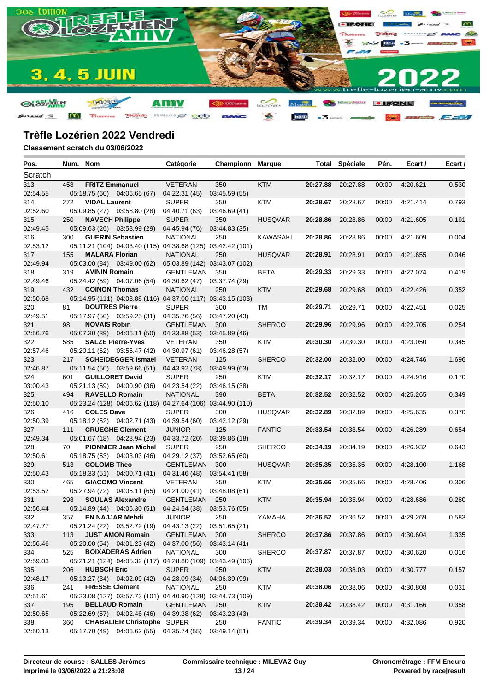

| Pos.     | Num. Nom |                        |                                                             | Catégorie                        | Championn     | Marque          |          | <b>Total Spéciale</b> | Pén.  | Ecart /  | Ecart / |
|----------|----------|------------------------|-------------------------------------------------------------|----------------------------------|---------------|-----------------|----------|-----------------------|-------|----------|---------|
| Scratch  |          |                        |                                                             |                                  |               |                 |          |                       |       |          |         |
| 313.     | 458      | <b>FRITZ Emmanuel</b>  |                                                             | <b>VETERAN</b>                   | 350           | <b>KTM</b>      | 20:27.88 | 20:27.88              | 00:00 | 4:20.621 | 0.530   |
| 02:54.55 |          |                        | 05:18.75 (60) 04:06.65 (67)                                 | 04:22.31 (45)                    | 03:45.59 (55) |                 |          |                       |       |          |         |
| 314.     | 272      | <b>VIDAL Laurent</b>   |                                                             | <b>SUPER</b>                     | 350           | KTM             | 20:28.67 | 20:28.67              | 00:00 | 4:21.414 | 0.793   |
| 02:52.60 |          |                        | 05:09.85 (27) 03:58.80 (28)                                 | 04:40.71 (63)                    | 03:46.69 (41) |                 |          |                       |       |          |         |
| 315.     | 250      | <b>NAVECH Philippe</b> |                                                             | <b>SUPER</b>                     | 350           | <b>HUSQVAR</b>  | 20:28.86 | 20:28.86              | 00:00 | 4:21.605 | 0.191   |
| 02:49.45 |          |                        | 05:09.63 (26) 03:58.99 (29)                                 | 04:45.94 (76)                    | 03:44.83 (35) |                 |          |                       |       |          |         |
| 316.     | 300      |                        | <b>GUERIN Sebastien</b>                                     | <b>NATIONAL</b>                  | 250           | <b>KAWASAKI</b> | 20:28.86 | 20:28.86              | 00:00 | 4:21.609 | 0.004   |
| 02:53.12 |          |                        | 05:11.21 (104) 04:03.40 (115) 04:38.68 (125) 03:42.42 (101) |                                  |               |                 |          |                       |       |          |         |
| 317.     | 155      | <b>MALARA Florian</b>  |                                                             | <b>NATIONAL</b>                  | 250           | <b>HUSQVAR</b>  | 20:28.91 | 20:28.91              | 00:00 | 4:21.655 | 0.046   |
| 02:49.94 |          |                        | 05:03.00 (84) 03:49.00 (62)                                 | 05:03.89 (142) 03:43.07 (102)    |               |                 |          |                       |       |          |         |
| 318.     | 319      | <b>AVININ Romain</b>   |                                                             | <b>GENTLEMAN</b>                 | 350           | <b>BETA</b>     | 20:29.33 | 20:29.33              | 00:00 | 4:22.074 | 0.419   |
| 02:49.46 |          |                        | 05:24.42 (59) 04:07.06 (54)                                 | 04:30.62 (47)                    | 03:37.74 (29) |                 |          |                       |       |          |         |
| 319.     | 432      | <b>COINON Thomas</b>   |                                                             | <b>NATIONAL</b>                  | 250           | <b>KTM</b>      | 20:29.68 | 20:29.68              | 00:00 | 4:22.426 | 0.352   |
| 02:50.68 |          |                        | 05:14.95 (111) 04:03.88 (116) 04:37.00 (117) 03:43.15 (103) |                                  |               |                 |          |                       |       |          |         |
| 320.     | 81       | <b>DOUTRES Pierre</b>  |                                                             | <b>SUPER</b>                     | 300           | TM              | 20:29.71 | 20:29.71              | 00:00 | 4:22.451 | 0.025   |
| 02:49.51 |          |                        | 05:17.97 (50) 03:59.25 (31)                                 | 04:35.76 (56)                    | 03:47.20 (43) |                 |          |                       |       |          |         |
| 321.     | 98       | <b>NOVAIS Robin</b>    |                                                             | <b>GENTLEMAN</b>                 | 300           | <b>SHERCO</b>   | 20:29.96 | 20:29.96              | 00:00 | 4:22.705 | 0.254   |
| 02:56.76 |          |                        | 05:07.30 (39) 04:06.11 (50)                                 | 04:33.88 (53)                    | 03:45.89 (46) |                 |          |                       |       |          |         |
| 322.     | 585      |                        | <b>SALZE Pierre-Yves</b>                                    | <b>VETERAN</b>                   | 350           | KTM             | 20:30.30 | 20:30.30              | 00:00 | 4:23.050 | 0.345   |
| 02:57.46 |          |                        | 05:20.11 (62) 03:55.47 (42)                                 | 04:30.97 (61)                    | 03:46.28(57)  |                 |          |                       |       |          |         |
| 323.     | 217      |                        | <b>SCHEIDEGGER Ismael</b>                                   | <b>VETERAN</b>                   | 125           | <b>SHERCO</b>   | 20:32.00 | 20:32.00              | 00:00 | 4:24.746 | 1.696   |
| 02:46.87 |          |                        | 05:11.54 (50) 03:59.66 (51)                                 | 04:43.92 (78)                    | 03:49.99 (63) |                 |          |                       |       |          |         |
| 324.     | 601      |                        | <b>GUILLORET David</b>                                      | <b>SUPER</b>                     | 250           | KTM             |          | 20:32.17 20:32.17     | 00:00 | 4:24.916 | 0.170   |
| 03:00.43 |          |                        | 05:21.13 (59) 04:00.90 (36)                                 | 04:23.54 (22)                    | 03:46.15 (38) |                 |          |                       |       |          |         |
| 325.     | 494      |                        | <b>RAVELLO Romain</b>                                       | <b>NATIONAL</b>                  | 390           | <b>BETA</b>     | 20:32.52 | 20:32.52              | 00:00 | 4:25.265 | 0.349   |
| 02:50.10 |          |                        | 05:23.24 (128) 04:06.62 (118) 04:27.64 (106) 03:44.90 (110) |                                  |               |                 |          |                       |       |          |         |
| 326.     | 416      | <b>COLES Dave</b>      |                                                             | <b>SUPER</b>                     | 300           | <b>HUSQVAR</b>  | 20:32.89 | 20:32.89              | 00:00 | 4:25.635 | 0.370   |
| 02:50.39 |          |                        | 05:18.12 (52) 04:02.71 (43)                                 | 04:39.54 (60)                    | 03:42.12 (29) |                 |          |                       |       |          |         |
| 327.     | 111      |                        | <b>CRUEGHE Clement</b>                                      | <b>JUNIOR</b>                    | 125           | <b>FANTIC</b>   | 20:33.54 | 20:33.54              | 00:00 | 4:26.289 | 0.654   |
| 02:49.34 |          |                        | 05:01.67 (18) 04:28.94 (23)                                 | 04:33.72 (20)                    | 03:39.86 (18) |                 |          |                       |       |          |         |
| 328.     | 70       |                        | <b>PIONNIER Jean Michel</b>                                 | <b>SUPER</b>                     | 250           | <b>SHERCO</b>   | 20:34.19 | 20:34.19              | 00:00 | 4:26.932 | 0.643   |
| 02:50.61 |          |                        | 05:18.75 (53) 04:03.03 (46)                                 | 04:29.12 (37)                    | 03:52.65 (60) |                 |          |                       |       |          |         |
| 329.     | 513      | <b>COLOMB Theo</b>     |                                                             | <b>GENTLEMAN</b>                 | 300           | <b>HUSQVAR</b>  | 20:35.35 | 20:35.35              | 00:00 | 4:28.100 | 1.168   |
| 02:50.43 |          |                        | 05:18.33 (51) 04:00.71 (41)                                 | 04:31.46 (48)                    | 03:54.41 (58) |                 |          |                       |       |          |         |
| 330.     | 465      |                        | <b>GIACOMO Vincent</b>                                      | <b>VETERAN</b>                   | 250           | KTM             | 20:35.66 | 20:35.66              | 00:00 | 4:28.406 | 0.306   |
| 02:53.52 |          |                        | 05:27.94 (72) 04:05.11 (65)                                 | 04:21.00 (41)                    | 03:48.08 (61) |                 |          |                       |       |          |         |
| 331.     | 298      |                        | <b>SOULAS Alexandre</b>                                     | <b>GENTLEMAN</b>                 | 250           | <b>KTM</b>      | 20:35.94 | 20:35.94              | 00:00 | 4:28.686 | 0.280   |
| 02:56.44 |          |                        | 05:14.89 (44) 04:06.30 (51)                                 | 04:24.54 (38)                    | 03:53.76 (55) |                 |          |                       |       |          |         |
| 332.     | 357      |                        | <b>EN NAJJAR Mehdi</b>                                      | <b>JUNIOR</b>                    | 250           | YAMAHA          |          | 20:36.52 20:36.52     | 00:00 | 4:29.269 | 0.583   |
| 02:47.77 |          |                        | 05:21.24 (22) 03:52.72 (19) 04:43.13 (22) 03:51.65 (21)     |                                  |               |                 |          |                       |       |          |         |
| 333.     | 113      |                        | <b>JUST AMON Romain</b>                                     | GENTLEMAN 300                    |               | <b>SHERCO</b>   |          | 20:37.86 20:37.86     | 00:00 | 4:30.604 | 1.335   |
| 02:56.46 |          |                        | 05:20.00 (54) 04:01.23 (42)                                 |                                  | 03:43.14(41)  |                 |          |                       |       |          |         |
| 334.     | 525      |                        | <b>BOIXADERAS Adrien</b>                                    | 04:37.00 (56)<br><b>NATIONAL</b> | 300           | <b>SHERCO</b>   |          |                       |       | 4:30.620 |         |
| 02:59.03 |          |                        |                                                             |                                  |               |                 |          | 20:37.87 20:37.87     | 00:00 |          | 0.016   |
|          |          |                        | 05:21.21 (124) 04:05.32 (117) 04:28.80 (109) 03:43.49 (106) |                                  |               |                 |          |                       |       |          |         |
| 335.     | 206      | <b>HUBSCH Eric</b>     |                                                             | <b>SUPER</b>                     | 250           | <b>KTM</b>      | 20:38.03 | 20:38.03              | 00:00 | 4:30.777 | 0.157   |
| 02:48.17 |          |                        | 05:13.27 (34) 04:02.09 (42)                                 | 04:28.09 (34)                    | 04:06.39 (99) |                 |          |                       |       |          |         |
| 336.     | 241      | <b>FRESSE Clement</b>  |                                                             | <b>NATIONAL</b>                  | 250           | <b>KTM</b>      | 20:38.06 | 20:38.06              | 00:00 | 4:30.808 | 0.031   |
| 02:51.61 |          |                        | 05:23.08 (127) 03:57.73 (101) 04:40.90 (128) 03:44.73 (109) |                                  |               |                 |          |                       |       |          |         |
| 337.     | 195      |                        | <b>BELLAUD Romain</b>                                       | <b>GENTLEMAN</b>                 | 250           | <b>KTM</b>      |          | 20:38.42 20:38.42     | 00:00 | 4:31.166 | 0.358   |
| 02:50.65 |          |                        | 05:22.69 (57) 04:02.46 (46)                                 | 04:39.38 (62)                    | 03:43.23(43)  |                 |          |                       |       |          |         |
| 338.     | 360      |                        | <b>CHABALIER Christophe SUPER</b>                           |                                  | 250           | <b>FANTIC</b>   |          | 20:39.34 20:39.34     | 00:00 | 4:32.086 | 0.920   |
| 02:50.13 |          |                        | 05:17.70 (49) 04:06.62 (55) 04:35.74 (55)                   |                                  | 03:49.14 (51) |                 |          |                       |       |          |         |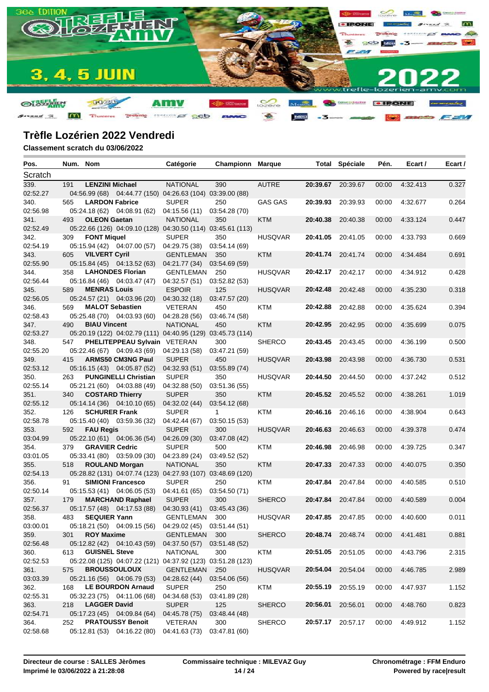

| Pos.             | Num. Nom |                        |                                                             | Catégorie                     | Championn            | <b>Marque</b>  |          | <b>Total Spéciale</b> | Pén.  | Ecart /  | Ecart / |
|------------------|----------|------------------------|-------------------------------------------------------------|-------------------------------|----------------------|----------------|----------|-----------------------|-------|----------|---------|
| Scratch          |          |                        |                                                             |                               |                      |                |          |                       |       |          |         |
| 339.             | 191      | <b>LENZINI Michael</b> |                                                             | <b>NATIONAL</b>               | 390                  | <b>AUTRE</b>   |          | 20:39.67 20:39.67     | 00:00 | 4:32.413 | 0.327   |
| 02:52.27         |          |                        | 04:56.99 (68) 04:44.77 (150) 04:26.63 (104) 03:39.00 (88)   |                               |                      |                |          |                       |       |          |         |
| 340.             | 565      | <b>LARDON Fabrice</b>  |                                                             | <b>SUPER</b>                  | 250                  | <b>GAS GAS</b> | 20:39.93 | 20:39.93              | 00:00 | 4:32.677 | 0.264   |
| 02:56.98         |          |                        | 05:24.18 (62) 04:08.91 (62)                                 | 04:15.56 (11)                 | 03:54.28 (70)        |                |          |                       |       |          |         |
| 341.             | 493      | <b>OLEON Gaetan</b>    |                                                             | <b>NATIONAL</b>               | 350                  | <b>KTM</b>     | 20:40.38 | 20:40.38              | 00:00 | 4:33.124 | 0.447   |
| 02:52.49         |          |                        | 05:22.66 (126) 04:09.10 (128) 04:30.50 (114) 03:45.61 (113) |                               |                      |                |          |                       |       |          |         |
| 342.             | 309      | <b>FONT Miquel</b>     |                                                             | <b>SUPER</b>                  | 350                  | <b>HUSQVAR</b> | 20:41.05 | 20:41.05              | 00:00 | 4:33.793 | 0.669   |
| 02:54.19         |          |                        | 05:15.94 (42) 04:07.00 (57)                                 | 04:29.75 (38)                 | 03:54.14 (69)        |                |          |                       |       |          |         |
| 343.             | 605      | <b>VILVERT Cyril</b>   |                                                             | <b>GENTLEMAN</b>              | 350                  | <b>KTM</b>     |          | 20:41.74 20:41.74     | 00:00 | 4:34.484 | 0.691   |
| 02:55.90         |          |                        | 05:15.84 (45) 04:13.52 (63)                                 | 04:21.77 (34)                 | 03:54.69(59)         |                |          |                       |       |          |         |
| 344.             | 358      |                        | <b>LAHONDES Florian</b>                                     | <b>GENTLEMAN</b>              | 250                  | <b>HUSQVAR</b> |          | 20:42.17 20:42.17     | 00:00 | 4:34.912 | 0.428   |
| 02:56.44         |          |                        | 05:16.84 (46) 04:03.47 (47)                                 | 04:32.57 (51)                 | 03:52.82(53)         |                |          |                       |       |          |         |
| 345.             | 589      | <b>MENRAS Louis</b>    |                                                             | <b>ESPOIR</b>                 | 125                  | <b>HUSQVAR</b> | 20:42.48 | 20:42.48              | 00:00 | 4:35.230 | 0.318   |
| 02:56.05         |          |                        | 05:24.57 (21) 04:03.96 (20)                                 | 04:30.32 (18)                 | 03:47.57 (20)        |                |          |                       |       |          |         |
| 346.             | 569      |                        | <b>MALOT Sebastien</b>                                      | <b>VETERAN</b>                | 450                  | KTM            | 20:42.88 | 20:42.88              | 00:00 | 4:35.624 | 0.394   |
| 02:58.43         |          |                        | 05:25.48 (70) 04:03.93 (60)                                 | 04:28.28 (56)                 | 03:46.74 (58)        |                |          |                       |       |          |         |
| 347.             | 490      | <b>BIAU Vincent</b>    |                                                             | <b>NATIONAL</b>               | 450                  | <b>KTM</b>     | 20:42.95 | 20:42.95              | 00:00 | 4:35.699 | 0.075   |
| 02:53.27         |          |                        | 05:20.19 (122) 04:02.79 (111) 04:40.95 (129) 03:45.73 (114) |                               |                      |                |          |                       |       |          |         |
| 348.             | 547      |                        | PHELITEPPEAU Sylvain VETERAN                                |                               | 300                  | <b>SHERCO</b>  | 20:43.45 | 20:43.45              | 00:00 | 4:36.199 | 0.500   |
| 02:55.20         |          |                        | 05:22.46 (67) 04:09.43 (69)                                 | 04:29.13 (58)                 | 03:47.21 (59)        |                |          |                       |       |          |         |
| 349.             | 415      |                        | <b>ARMS50 CM3NG Paul</b>                                    | <b>SUPER</b>                  | 450                  | <b>HUSQVAR</b> | 20:43.98 | 20:43.98              | 00:00 | 4:36.730 | 0.531   |
| 02:53.12         |          |                        | 05:16.15 (43) 04:05.87 (52)                                 | 04:32.93 (51)                 | 03:55.89 (74)        |                |          |                       |       |          |         |
| 350.<br>02:55.14 | 263      |                        | <b>PUNGINELLI Christian</b>                                 | <b>SUPER</b>                  | 350<br>03:51.36 (55) | <b>HUSQVAR</b> | 20:44.50 | 20:44.50              | 00:00 | 4:37.242 | 0.512   |
| 351.             | 340      |                        | 05:21.21 (60) 04:03.88 (49)<br><b>COSTARD Thierry</b>       | 04:32.88 (50)<br><b>SUPER</b> | 350                  | <b>KTM</b>     | 20:45.52 | 20:45.52              | 00:00 | 4:38.261 | 1.019   |
| 02:55.12         |          |                        | 05:14.14 (36) 04:10.10 (65)                                 | 04:32.02 (44)                 | 03:54.12 (68)        |                |          |                       |       |          |         |
| 352.             | 126      | <b>SCHURER Frank</b>   |                                                             | <b>SUPER</b>                  | $\mathbf{1}$         | KTM            | 20:46.16 | 20:46.16              | 00:00 | 4:38.904 | 0.643   |
| 02:58.78         |          |                        | 05:15.40 (40) 03:59.36 (32)                                 | 04:42.44 (67)                 | 03:50.15(53)         |                |          |                       |       |          |         |
| 353.             | 592      | <b>FAU Regis</b>       |                                                             | <b>SUPER</b>                  | 300                  | <b>HUSQVAR</b> | 20:46.63 | 20:46.63              | 00:00 | 4:39.378 | 0.474   |
| 03:04.99         |          |                        | 05:22.10 (61) 04:06.36 (54)                                 | 04:26.09 (30)                 | 03:47.08 (42)        |                |          |                       |       |          |         |
| 354.             | 379      | <b>GRAVIER Cedric</b>  |                                                             | <b>SUPER</b>                  | 500                  | KTM            | 20:46.98 | 20:46.98              | 00:00 | 4:39.725 | 0.347   |
| 03:01.05         |          |                        | 05:33.41 (80) 03:59.09 (30)                                 | 04:23.89 (24)                 | 03:49.52 (52)        |                |          |                       |       |          |         |
| 355.             | 518      |                        | <b>ROULAND Morgan</b>                                       | <b>NATIONAL</b>               | 350                  | <b>KTM</b>     | 20:47.33 | 20:47.33              | 00:00 | 4:40.075 | 0.350   |
| 02:54.13         |          |                        | 05:28.82 (131) 04:07.74 (123) 04:27.93 (107) 03:48.69 (120) |                               |                      |                |          |                       |       |          |         |
| 356.             | 91       |                        | <b>SIMIONI Francesco</b>                                    | <b>SUPER</b>                  | 250                  | KTM            | 20:47.84 | 20:47.84              | 00:00 | 4:40.585 | 0.510   |
| 02:50.14         |          |                        | 05:15.53 (41) 04:06.05 (53)                                 | 04:41.61 (65)                 | 03:54.50 (71)        |                |          |                       |       |          |         |
| 357.             | 179      |                        | <b>MARCHAND Raphael</b>                                     | <b>SUPER</b>                  | 300                  | <b>SHERCO</b>  | 20:47.84 | 20:47.84              | 00:00 | 4:40.589 | 0.004   |
| 02:56.37         |          |                        | 05:17.57 (48) 04:17.53 (88)                                 | 04:30.93 (41)                 | 03:45.43 (36)        |                |          |                       |       |          |         |
| 358.             | 483      | <b>SEQUIER Yann</b>    |                                                             | GENTLEMAN                     | 300                  | <b>HUSQVAR</b> |          | 20:47.85 20:47.85     | 00:00 | 4:40.600 | 0.011   |
| 03:00.01         |          |                        | 05:18.21 (50) 04:09.15 (56) 04:29.02 (45) 03:51.44 (51)     |                               |                      |                |          |                       |       |          |         |
| 359.             | 301      | <b>ROY Maxime</b>      |                                                             | GENTLEMAN 300                 |                      | <b>SHERCO</b>  |          | 20:48.74 20:48.74     | 00:00 | 4:41.481 | 0.881   |
| 02:56.48         |          |                        | 05:12.82 (42) 04:10.43 (59)                                 | 04:37.50 (57)                 | 03:51.48 (52)        |                |          |                       |       |          |         |
| 360.             | 613      | <b>GUISNEL Steve</b>   |                                                             | <b>NATIONAL</b>               | 300                  | KTM            |          | 20:51.05 20:51.05     | 00:00 | 4:43.796 | 2.315   |
| 02:52.53         |          |                        | 05:22.08 (125) 04:07.22 (121) 04:37.92 (123) 03:51.28 (123) |                               |                      |                |          |                       |       |          |         |
| 361.             | 575      |                        | <b>BROUSSOULOUX</b>                                         | <b>GENTLEMAN</b>              | 250                  | <b>HUSQVAR</b> | 20:54.04 | 20:54.04              | 00:00 | 4:46.785 | 2.989   |
| 03:03.39         |          |                        | 05:21.16 (56) 04:06.79 (53)                                 | 04:28.62 (44)                 | 03:54.06 (56)        |                |          |                       |       |          |         |
| 362.             | 168      |                        | <b>LE BOURDON Arnaud</b>                                    | <b>SUPER</b>                  | 250                  | KTM            | 20:55.19 | 20:55.19              | 00:00 | 4:47.937 | 1.152   |
| 02:55.31         |          |                        | 05:32.23 (75) 04:11.06 (68)                                 | 04:34.68 (53)                 | 03:41.89 (28)        |                |          |                       |       |          |         |
| 363.             | 218      | <b>LAGGER David</b>    |                                                             | <b>SUPER</b>                  | 125                  | <b>SHERCO</b>  | 20:56.01 | 20:56.01              | 00:00 | 4:48.760 | 0.823   |
| 02:54.71         |          |                        | 05:17.23 (45) 04:09.84 (64)                                 | 04:45.78 (75)                 | 03:48.44 (48)        |                |          |                       |       |          |         |
| 364.             | 252      |                        | <b>PRATOUSSY Benoit</b>                                     | VETERAN                       | 300                  | <b>SHERCO</b>  |          | 20:57.17 20:57.17     | 00:00 | 4:49.912 | 1.152   |
| 02:58.68         |          |                        | 05:12.81 (53) 04:16.22 (80)                                 | 04:41.63 (73)                 | 03:47.81 (60)        |                |          |                       |       |          |         |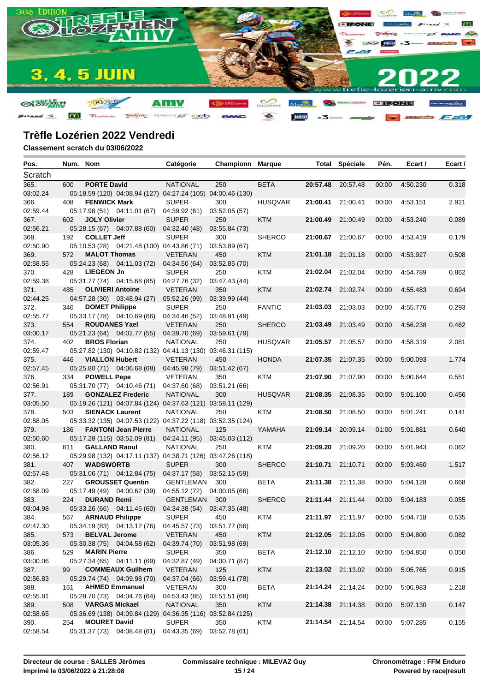

| Pos.             | Num. Nom |                         |                                                             | Catégorie                | Championn            | <b>Marque</b>  |          | <b>Total Spéciale</b> | Pén.  | Ecart /  | Ecart / |
|------------------|----------|-------------------------|-------------------------------------------------------------|--------------------------|----------------------|----------------|----------|-----------------------|-------|----------|---------|
| Scratch          |          |                         |                                                             |                          |                      |                |          |                       |       |          |         |
| 365.             | 600      | <b>PORTE David</b>      |                                                             | <b>NATIONAL</b>          | 250                  | <b>BETA</b>    | 20:57.48 | 20:57.48              | 00:00 | 4:50.230 | 0.318   |
| 03:02.24         |          |                         | 05:18.59 (120) 04:08.94 (127) 04:27.24 (105) 04:00.46 (130) |                          |                      |                |          |                       |       |          |         |
| 366.             | 408      | <b>FENWICK Mark</b>     |                                                             | <b>SUPER</b>             | 300                  | <b>HUSQVAR</b> | 21:00.41 | 21:00.41              | 00:00 | 4:53.151 | 2.921   |
| 02:59.44         |          |                         | 05:17.98 (51) 04:11.01 (67)                                 | 04:39.92 (61)            | 03:52.05 (57)        |                |          |                       |       |          |         |
| 367.             | 602      | <b>JOLY Olivier</b>     |                                                             | <b>SUPER</b>             | 250                  | <b>KTM</b>     | 21:00.49 | 21:00.49              | 00:00 | 4:53.240 | 0.089   |
| 02:56.21         |          |                         | 05:28.15 (67) 04:07.88 (60)                                 | 04:32.40 (48)            | 03:55.84 (73)        |                |          |                       |       |          |         |
| 368.             | 192      | <b>COLLET Jeff</b>      |                                                             | <b>SUPER</b>             | 300                  | <b>SHERCO</b>  | 21:00.67 | 21:00.67              | 00:00 | 4:53.419 | 0.179   |
| 02:50.90         |          |                         | 05:10.53 (28) 04:21.48 (100) 04:43.86 (71)                  |                          | 03:53.89 (67)        |                |          |                       |       |          |         |
| 369.             | 572      | <b>MALOT Thomas</b>     |                                                             | <b>VETERAN</b>           | 450                  | <b>KTM</b>     |          | 21:01.18 21:01.18     | 00:00 | 4:53.927 | 0.508   |
| 02:58.55         |          |                         | 05:24.23 (68) 04:11.03 (72)                                 | 04:34.50 (64)            | 03:52.85 (70)        |                |          |                       |       |          |         |
| 370.             | 428      | <b>LIEGEON Jn</b>       |                                                             | <b>SUPER</b>             | 250                  | KTM            |          | 21:02.04 21:02.04     | 00:00 | 4:54.789 | 0.862   |
| 02:59.38         |          |                         | 05:31.77 (74) 04:15.68 (85)                                 | 04:27.76 (32)            | 03:47.43 (44)        |                |          |                       |       |          |         |
| 371.             | 485      | <b>OLIVIERI Antoine</b> |                                                             | <b>VETERAN</b>           | 350                  | <b>KTM</b>     |          | 21:02.74 21:02.74     | 00:00 | 4:55.483 | 0.694   |
| 02:44.25         |          |                         | 04:57.28 (30) 03:48.94 (27)                                 | 05:52.26 (99)            | 03:39.99 (44)        |                |          |                       |       |          |         |
| 372.             | 346      | <b>DOMET Philippe</b>   |                                                             | <b>SUPER</b>             | 250                  | <b>FANTIC</b>  | 21:03.03 | 21:03.03              | 00:00 | 4:55.776 | 0.293   |
| 02:55.77         |          |                         | 05:33.17 (78) 04:10.69 (66)                                 | 04:34.46 (52)            | 03:48.91 (49)        |                |          |                       |       |          |         |
| 373.             | 554      | <b>ROUDANES Yael</b>    |                                                             | <b>VETERAN</b>           | 250                  | <b>SHERCO</b>  | 21:03.49 | 21:03.49              | 00:00 | 4:56.238 | 0.462   |
| 03:00.17         |          |                         | 05:21.23 (64) 04:02.77 (55)                                 | 04:39.70 (69)            | 03:59.61 (79)        |                |          |                       |       |          |         |
| 374.             | 402      | <b>BROS Florian</b>     |                                                             | <b>NATIONAL</b>          | 250                  | <b>HUSQVAR</b> |          | 21:05.57 21:05.57     | 00:00 | 4:58.319 | 2.081   |
| 02:59.47         |          |                         | 05:27.82 (130) 04:10.82 (132) 04:41.13 (130) 03:46.31 (115) |                          |                      |                |          |                       |       |          |         |
| 375.             | 446      | <b>VIALLON Hubert</b>   |                                                             | <b>VETERAN</b>           | 450                  | <b>HONDA</b>   | 21:07.35 | 21:07.35              | 00:00 | 5:00.093 | 1.774   |
| 02:57.45         |          |                         | 05:25.80 (71) 04:06.68 (68)                                 | 04:45.98 (79)            | 03:51.42 (67)        |                |          |                       |       |          |         |
| 376.             | 334      | <b>POWELL Pepe</b>      |                                                             | <b>VETERAN</b>           | 350                  | KTM            | 21:07.90 | 21:07.90              | 00:00 | 5:00.644 | 0.551   |
| 02:56.91         |          |                         | 05:31.70 (77) 04:10.46 (71)                                 | 04:37.60 (68)            | 03:51.21 (66)        |                |          |                       |       |          |         |
| 377.             | 189      |                         | <b>GONZALEZ Frederic</b>                                    | <b>NATIONAL</b>          | 300                  | <b>HUSQVAR</b> | 21:08.35 | 21:08.35              | 00:00 | 5:01.100 | 0.456   |
| 03:05.50         |          |                         | 05:19.26 (121) 04:07.84 (124) 04:37.63 (121) 03:58.11 (129) |                          |                      |                |          |                       |       |          |         |
| 378.             | 503      | <b>SIENACK Laurent</b>  |                                                             | <b>NATIONAL</b>          | 250                  | KTM            | 21:08.50 | 21:08.50              | 00:00 | 5:01.241 | 0.141   |
| 02:58.05         |          |                         | 05:33.32 (135) 04:07.53 (122) 04:37.22 (118) 03:52.35 (124) |                          |                      |                |          |                       |       |          |         |
| 379.             | 186      |                         | <b>FANTONI Jean Pierre</b>                                  | <b>NATIONAL</b>          | 125                  | YAMAHA         | 21:09.14 | 20:09.14              | 01:00 | 5:01.881 | 0.640   |
| 02:50.60         |          |                         | 05:17.28 (115) 03:52.09 (81)                                | 04:24.11 (95)            | 03:45.03 (112)       |                |          |                       |       |          |         |
| 380.             | 611      | <b>GALLAND Raoul</b>    |                                                             | <b>NATIONAL</b>          | 250                  | KTM            | 21:09.20 | 21:09.20              | 00:00 | 5:01.943 | 0.062   |
| 02:56.12         |          |                         | 05:29.98 (132) 04:17.11 (137) 04:38.71 (126) 03:47.26 (118) |                          |                      |                |          |                       |       |          |         |
| 381.             | 407      | <b>WADSWORTB</b>        |                                                             | <b>SUPER</b>             | 300                  | <b>SHERCO</b>  | 21:10.71 | 21:10.71              | 00:00 | 5:03.460 | 1.517   |
| 02:57.48         |          |                         | 05:31.06 (71) 04:12.84 (75)                                 | 04:37.17 (58)            | 03:52.15 (59)        |                |          |                       |       |          |         |
| 382.             | 227      |                         | <b>GROUSSET Quentin</b>                                     | <b>GENTLEMAN</b>         | 300                  | <b>BETA</b>    |          | 21:11.38 21:11.38     | 00:00 | 5:04.128 | 0.668   |
| 02:58.09         |          |                         | 05:17.49 (49) 04:00.62 (39)                                 | 04:55.12 (72)            | 04:00.05 (66)        |                |          |                       |       |          |         |
| 383.             | 224      | <b>DURAND Remi</b>      |                                                             | <b>GENTLEMAN</b>         | 300                  | <b>SHERCO</b>  | 21:11.44 | 21:11.44              | 00:00 | 5:04.183 | 0.055   |
| 03:04.98         |          |                         | 05:33.26 (66) 04:11.45 (60)                                 | 04:34.38 (54)            | 03:47.35(48)         |                |          |                       |       |          |         |
| 384.             | 567      | <b>ARNAUD Philippe</b>  |                                                             | <b>SUPER</b>             | 450                  | KTM            |          | 21:11.97 21:11.97     | 00:00 | 5:04.718 | 0.535   |
| 02:47.30         |          |                         | 05:34.19 (83) 04:13.12 (76) 04:45.57 (73) 03:51.77 (56)     |                          |                      |                |          |                       |       |          |         |
| 385.             | 573      | <b>BELVAL Jerome</b>    |                                                             | <b>VETERAN</b>           | 450                  | <b>KTM</b>     |          | 21:12.05 21:12.05     | 00:00 | 5:04.800 | 0.082   |
| 03:05.36         |          |                         | 05:30.38 (75) 04:04.58 (62)                                 | 04:39.74 (70)            | 03:51.98 (69)        |                |          |                       |       |          |         |
| 386.             | 529      | <b>MARIN Pierre</b>     |                                                             | <b>SUPER</b>             | 350                  | <b>BETA</b>    |          | 21:12.10 21:12.10     | 00:00 | 5:04.850 | 0.050   |
| 03:00.06         |          |                         | 05:27.34 (65) 04:11.11 (69)                                 | 04:32.87 (49)            | 04:00.71 (87)        |                |          | 21:13.02 21:13.02     |       | 5:05.765 |         |
| 387.<br>02:56.83 | 99       |                         | <b>COMMEAUX Guilhem</b><br>05:29.74 (74) 04:09.98 (70)      | <b>VETERAN</b>           | 125                  | <b>KTM</b>     |          |                       | 00:00 |          | 0.915   |
|                  |          |                         |                                                             | 04:37.04 (66)            | 03:59.41 (78)        |                |          |                       |       |          |         |
| 388.<br>02:55.81 | 161      |                         | <b>AHMED Emmanuel</b><br>05:28.70 (73) 04:04.76 (64)        | VETERAN<br>04:53.43 (85) | 300<br>03:51.51 (68) | <b>BETA</b>    |          | 21:14.24 21:14.24     | 00:00 | 5:06.983 | 1.218   |
| 389.             | 508      | <b>VARGAS Mickael</b>   |                                                             | <b>NATIONAL</b>          | 350                  | <b>KTM</b>     |          | 21:14.38 21:14.38     | 00:00 | 5:07.130 |         |
| 02:58.65         |          |                         | 05:36.69 (138) 04:09.84 (129) 04:36.35 (116) 03:52.84 (125) |                          |                      |                |          |                       |       |          | 0.147   |
| 390.             | 254      | <b>MOURET David</b>     |                                                             | <b>SUPER</b>             | 350                  | <b>KTM</b>     |          | 21:14.54 21:14.54     | 00:00 | 5:07.285 | 0.155   |
| 02:58.54         |          |                         | 05:31.37 (73) 04:08.48 (61)                                 | 04:43.35 (69)            | 03:52.78 (61)        |                |          |                       |       |          |         |
|                  |          |                         |                                                             |                          |                      |                |          |                       |       |          |         |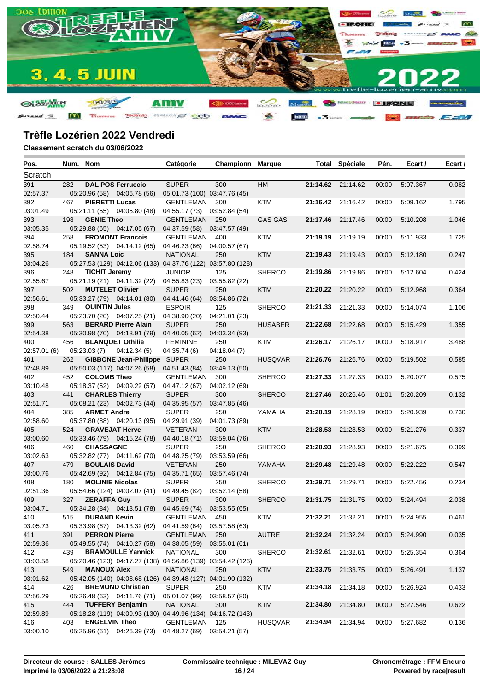

| Scratch<br>391.<br><b>DAL POS Ferruccio</b><br><b>SUPER</b><br><b>HM</b><br>21:14.62 21:14.62<br>5:07.367<br>282<br>300<br>00:00<br>0.082<br>02:57.37<br>05:20.96 (58) 04:06.78 (56)<br>05:01.73 (100) 03:47.76 (45)<br><b>PIERETTI Lucas</b><br>392.<br>467<br>GENTLEMAN<br>KTM<br>21:16.42 21:16.42<br>5:09.162<br>1.795<br>300<br>00:00<br>03:01.49<br>05:21.11 (55) 04:05.80 (48)<br>04:55.17 (73) 03:52.84 (54)<br><b>GENIE Theo</b><br>21:17.46<br>393.<br>GENTLEMAN<br><b>GAS GAS</b><br>21:17.46<br>00:00<br>5:10.208<br>1.046<br>198<br>250<br>03:05.35<br>05:29.88 (65) 04:17.05 (67)<br>03:47.57 (49)<br>04:37.59 (58)<br><b>FROMONT Francois</b><br>21:19.19 21:19.19<br>5:11.933<br>394.<br>258<br>GENTLEMAN<br>400<br>KTM<br>00:00<br>1.725<br>02:58.74<br>05:19.52 (53) 04:14.12 (65)<br>04:46.23 (66) 04:00.57 (67)<br>395.<br><b>SANNA Loic</b><br><b>NATIONAL</b><br><b>KTM</b><br>21:19.43 21:19.43<br>00:00<br>5:12.180<br>0.247<br>184<br>250<br>03:04.26<br>05:27.53 (129) 04:12.06 (133) 04:37.76 (122) 03:57.80 (128)<br>5:12.604<br>396.<br><b>TICHIT Jeremy</b><br><b>JUNIOR</b><br>125<br><b>SHERCO</b><br>21:19.86 21:19.86<br>00:00<br>0.424<br>248<br>05:21.19 (21) 04:11.32 (22)<br>04:55.83 (23)<br>03:55.82 (22)<br><b>MUTELET Olivier</b><br><b>SUPER</b><br><b>KTM</b><br>21:20.22 21:20.22<br>397.<br>502<br>250<br>00:00<br>5:12.968<br>0.364<br>02:56.61<br>05:33.27 (79) 04:14.01 (80)<br>03:54.86 (72)<br>04:41.46 (64)<br><b>QUINTIN Jules</b><br>21:21.33 21:21.33<br>398.<br><b>ESPOIR</b><br>125<br><b>SHERCO</b><br>00:00<br>5:14.074<br>1.106<br>349<br>02:50.44<br>05:23.70 (20) 04:07.25 (21)<br>04:38.90 (20)<br>04:21.01 (23)<br><b>BERARD Pierre Alain</b><br>399.<br>563<br><b>SUPER</b><br>250<br><b>HUSABER</b><br>21:22.68<br>21:22.68<br>5:15.429<br>1.355<br>00:00<br>02:54.38<br>05:30.98 (70) 04:13.91 (79)<br>04:40.05 (62)<br>04:03.34 (93)<br>400.<br><b>BLANQUET Othilie</b><br><b>FEMININE</b><br>250<br>KTM<br>21:26.17 21:26.17<br>5:18.917<br>3.488<br>456<br>00:00<br>02:57.01(6)<br>05:23.03(7)<br>04:12.34(5)<br>04:35.74 (6)<br>04:18.04(7)<br><b>GIBBONE Jean-Philippe SUPER</b><br>401.<br>262<br>250<br><b>HUSQVAR</b><br>21:26.76<br>21:26.76<br>5:19.502<br>0.585<br>00:00<br>02:48.89<br>05:50.03 (117) 04:07.26 (58)<br>03:49.13 (50)<br>04:51.43 (84)<br>402.<br>452<br><b>COLOMB Theo</b><br>GENTLEMAN<br><b>SHERCO</b><br>21:27.33 21:27.33<br>00:00<br>5:20.077<br>0.575<br>300<br>03:10.48<br>05:18.37 (52) 04:09.22 (57)<br>04:47.12 (67)<br>04:02.12 (69)<br>441<br><b>CHARLES Thierry</b><br>21:27.46<br><b>SUPER</b><br><b>SHERCO</b><br>20:26.46<br>01:01<br>5:20.209<br>0.132<br>403.<br>300<br>02:51.71<br>05:08.21 (23) 04:02.73 (44)<br>04:35.95 (57)<br>03:47.85 (46)<br><b>ARMET Andre</b><br>21:28.19 21:28.19<br>5:20.939<br>404.<br>385<br><b>SUPER</b><br>250<br>YAMAHA<br>00:00<br>0.730<br>02:58.60<br>05:37.80 (88) 04:20.13 (95)<br>04:29.91 (39)<br>04:01.73 (89)<br><b>GRAVEJAT Herve</b><br>21:28.53 21:28.53<br>405.<br>524<br><b>VETERAN</b><br>300<br><b>KTM</b><br>00:00<br>5:21.276<br>0.337<br>03:00.60<br>05:33.46 (79) 04:15.24 (78)<br>04:40.18 (71)<br>03:59.04 (76)<br><b>CHASSAGNE</b><br><b>SUPER</b><br>0.399<br>406.<br>460<br>250<br><b>SHERCO</b><br>21:28.93 21:28.93<br>00:00<br>5:21.675<br>03:02.63<br>05:32.82 (77) 04:11.62 (70)<br>03:53.59 (66)<br>04:48.25 (79)<br><b>BOULAIS David</b><br>21:29.48<br>479<br><b>VETERAN</b><br>YAMAHA<br>21:29.48<br>00:00<br>5:22.222<br>0.547<br>407.<br>250<br>03:00.76<br>05:42.69 (92) 04:12.84 (75)<br>04:35.71 (65)<br>03:57.46 (74)<br><b>MOLINIE Nicolas</b><br><b>SUPER</b><br>250<br><b>SHERCO</b><br>21:29.71<br>21:29.71<br>00:00<br>5:22.456<br>0.234<br>408.<br>180<br>02:51.36<br>05:54.66 (124) 04:02.07 (41)<br>04:49.45 (82)<br>03:52.14 (58)<br><b>ZERAFFA Guy</b><br>21:31.75 21:31.75<br>409.<br>327<br><b>SUPER</b><br>300<br><b>SHERCO</b><br>00:00<br>5:24.494<br>2.038<br>03:04.71<br>05:34.28 (84) 04:13.51 (78)<br>04:45.69 (74)<br>03:53.55(65)<br><b>DURAND Kevin</b><br>21:32.21 21:32.21<br>515<br>GENTLEMAN 450<br>KTM<br>00:00<br>5:24.955<br>0.461<br>410.<br>03:05.73<br>05:33.98 (67) 04:13.32 (62) 04:41.59 (64) 03:57.58 (63)<br>0.035<br><b>PERRON Pierre</b><br><b>AUTRE</b><br>21:32.24 21:32.24<br>00:00<br>5:24.990<br>411.<br>GENTLEMAN 250<br>391<br>02:59.36<br>05:49.55 (74) 04:10.27 (58)<br>04:38.05 (59)<br>03:55.01 (61)<br>412.<br><b>BRAMOULLE Yannick</b><br><b>NATIONAL</b><br>300<br><b>SHERCO</b><br>21:32.61 21:32.61<br>0.364<br>439<br>00:00<br>5:25.354<br>03:03.58<br>05:20.46 (123) 04:17.27 (138) 04:56.86 (139) 03:54.42 (126)<br><b>MANOUX Alex</b><br><b>NATIONAL</b><br><b>KTM</b><br>21:33.75 21:33.75<br>1.137<br>413.<br>549<br>250<br>00:00<br>5:26.491<br>03:01.62<br>05:42.05 (140) 04:08.68 (126) 04:39.48 (127) 04:01.90 (132)<br>414.<br><b>BREMOND Christian</b><br><b>SUPER</b><br><b>KTM</b><br>21:34.18 21:34.18<br>00:00<br>5:26.924<br>0.433<br>426<br>250<br>02:56.29<br>05:26.48 (63) 04:11.76 (71)<br>05:01.07 (99)<br>03:58.57 (80)<br><b>TUFFERY Benjamin</b><br>415.<br>444<br><b>NATIONAL</b><br>300<br><b>KTM</b><br>21:34.80 21:34.80<br>00:00<br>0.622<br>5:27.546<br>02:59.89<br>05:18.28 (119) 04:09.93 (130) 04:49.96 (134) 04:16.72 (143)<br><b>ENGELVIN Theo</b><br>GENTLEMAN<br><b>HUSQVAR</b><br>21:34.94 21:34.94<br>5:27.682<br>0.136<br>416.<br>403<br>125<br>00:00<br>05:25.96 (61) 04:26.39 (73) 04:48.27 (69) 03:54.21 (57) | Pos.     | Num. Nom |  | Catégorie | <b>Championn Marque</b> |  | <b>Total Spéciale</b> | Pén. | Ecart / | Ecart / |
|------------------------------------------------------------------------------------------------------------------------------------------------------------------------------------------------------------------------------------------------------------------------------------------------------------------------------------------------------------------------------------------------------------------------------------------------------------------------------------------------------------------------------------------------------------------------------------------------------------------------------------------------------------------------------------------------------------------------------------------------------------------------------------------------------------------------------------------------------------------------------------------------------------------------------------------------------------------------------------------------------------------------------------------------------------------------------------------------------------------------------------------------------------------------------------------------------------------------------------------------------------------------------------------------------------------------------------------------------------------------------------------------------------------------------------------------------------------------------------------------------------------------------------------------------------------------------------------------------------------------------------------------------------------------------------------------------------------------------------------------------------------------------------------------------------------------------------------------------------------------------------------------------------------------------------------------------------------------------------------------------------------------------------------------------------------------------------------------------------------------------------------------------------------------------------------------------------------------------------------------------------------------------------------------------------------------------------------------------------------------------------------------------------------------------------------------------------------------------------------------------------------------------------------------------------------------------------------------------------------------------------------------------------------------------------------------------------------------------------------------------------------------------------------------------------------------------------------------------------------------------------------------------------------------------------------------------------------------------------------------------------------------------------------------------------------------------------------------------------------------------------------------------------------------------------------------------------------------------------------------------------------------------------------------------------------------------------------------------------------------------------------------------------------------------------------------------------------------------------------------------------------------------------------------------------------------------------------------------------------------------------------------------------------------------------------------------------------------------------------------------------------------------------------------------------------------------------------------------------------------------------------------------------------------------------------------------------------------------------------------------------------------------------------------------------------------------------------------------------------------------------------------------------------------------------------------------------------------------------------------------------------------------------------------------------------------------------------------------------------------------------------------------------------------------------------------------------------------------------------------------------------------------------------------------------------------------------------------------------------------------------------------------------------------------------------------------------------------------------------------------------------------------------------------------------------------------------------------------------------------------------------------------------------------------------------------------------------------------------------------------------------------------------------------------------------------------------------------------------------------------------------------------------------------------------------------------------------------------------------------------------------------------------------------------------------------------------------------------------------------------------------------------------------------------------------------------------------------------------------------------------|----------|----------|--|-----------|-------------------------|--|-----------------------|------|---------|---------|
|                                                                                                                                                                                                                                                                                                                                                                                                                                                                                                                                                                                                                                                                                                                                                                                                                                                                                                                                                                                                                                                                                                                                                                                                                                                                                                                                                                                                                                                                                                                                                                                                                                                                                                                                                                                                                                                                                                                                                                                                                                                                                                                                                                                                                                                                                                                                                                                                                                                                                                                                                                                                                                                                                                                                                                                                                                                                                                                                                                                                                                                                                                                                                                                                                                                                                                                                                                                                                                                                                                                                                                                                                                                                                                                                                                                                                                                                                                                                                                                                                                                                                                                                                                                                                                                                                                                                                                                                                                                                                                                                                                                                                                                                                                                                                                                                                                                                                                                                                                                                                                                                                                                                                                                                                                                                                                                                                                                                                                                                                                            |          |          |  |           |                         |  |                       |      |         |         |
|                                                                                                                                                                                                                                                                                                                                                                                                                                                                                                                                                                                                                                                                                                                                                                                                                                                                                                                                                                                                                                                                                                                                                                                                                                                                                                                                                                                                                                                                                                                                                                                                                                                                                                                                                                                                                                                                                                                                                                                                                                                                                                                                                                                                                                                                                                                                                                                                                                                                                                                                                                                                                                                                                                                                                                                                                                                                                                                                                                                                                                                                                                                                                                                                                                                                                                                                                                                                                                                                                                                                                                                                                                                                                                                                                                                                                                                                                                                                                                                                                                                                                                                                                                                                                                                                                                                                                                                                                                                                                                                                                                                                                                                                                                                                                                                                                                                                                                                                                                                                                                                                                                                                                                                                                                                                                                                                                                                                                                                                                                            |          |          |  |           |                         |  |                       |      |         |         |
|                                                                                                                                                                                                                                                                                                                                                                                                                                                                                                                                                                                                                                                                                                                                                                                                                                                                                                                                                                                                                                                                                                                                                                                                                                                                                                                                                                                                                                                                                                                                                                                                                                                                                                                                                                                                                                                                                                                                                                                                                                                                                                                                                                                                                                                                                                                                                                                                                                                                                                                                                                                                                                                                                                                                                                                                                                                                                                                                                                                                                                                                                                                                                                                                                                                                                                                                                                                                                                                                                                                                                                                                                                                                                                                                                                                                                                                                                                                                                                                                                                                                                                                                                                                                                                                                                                                                                                                                                                                                                                                                                                                                                                                                                                                                                                                                                                                                                                                                                                                                                                                                                                                                                                                                                                                                                                                                                                                                                                                                                                            |          |          |  |           |                         |  |                       |      |         |         |
|                                                                                                                                                                                                                                                                                                                                                                                                                                                                                                                                                                                                                                                                                                                                                                                                                                                                                                                                                                                                                                                                                                                                                                                                                                                                                                                                                                                                                                                                                                                                                                                                                                                                                                                                                                                                                                                                                                                                                                                                                                                                                                                                                                                                                                                                                                                                                                                                                                                                                                                                                                                                                                                                                                                                                                                                                                                                                                                                                                                                                                                                                                                                                                                                                                                                                                                                                                                                                                                                                                                                                                                                                                                                                                                                                                                                                                                                                                                                                                                                                                                                                                                                                                                                                                                                                                                                                                                                                                                                                                                                                                                                                                                                                                                                                                                                                                                                                                                                                                                                                                                                                                                                                                                                                                                                                                                                                                                                                                                                                                            |          |          |  |           |                         |  |                       |      |         |         |
|                                                                                                                                                                                                                                                                                                                                                                                                                                                                                                                                                                                                                                                                                                                                                                                                                                                                                                                                                                                                                                                                                                                                                                                                                                                                                                                                                                                                                                                                                                                                                                                                                                                                                                                                                                                                                                                                                                                                                                                                                                                                                                                                                                                                                                                                                                                                                                                                                                                                                                                                                                                                                                                                                                                                                                                                                                                                                                                                                                                                                                                                                                                                                                                                                                                                                                                                                                                                                                                                                                                                                                                                                                                                                                                                                                                                                                                                                                                                                                                                                                                                                                                                                                                                                                                                                                                                                                                                                                                                                                                                                                                                                                                                                                                                                                                                                                                                                                                                                                                                                                                                                                                                                                                                                                                                                                                                                                                                                                                                                                            |          |          |  |           |                         |  |                       |      |         |         |
|                                                                                                                                                                                                                                                                                                                                                                                                                                                                                                                                                                                                                                                                                                                                                                                                                                                                                                                                                                                                                                                                                                                                                                                                                                                                                                                                                                                                                                                                                                                                                                                                                                                                                                                                                                                                                                                                                                                                                                                                                                                                                                                                                                                                                                                                                                                                                                                                                                                                                                                                                                                                                                                                                                                                                                                                                                                                                                                                                                                                                                                                                                                                                                                                                                                                                                                                                                                                                                                                                                                                                                                                                                                                                                                                                                                                                                                                                                                                                                                                                                                                                                                                                                                                                                                                                                                                                                                                                                                                                                                                                                                                                                                                                                                                                                                                                                                                                                                                                                                                                                                                                                                                                                                                                                                                                                                                                                                                                                                                                                            |          |          |  |           |                         |  |                       |      |         |         |
|                                                                                                                                                                                                                                                                                                                                                                                                                                                                                                                                                                                                                                                                                                                                                                                                                                                                                                                                                                                                                                                                                                                                                                                                                                                                                                                                                                                                                                                                                                                                                                                                                                                                                                                                                                                                                                                                                                                                                                                                                                                                                                                                                                                                                                                                                                                                                                                                                                                                                                                                                                                                                                                                                                                                                                                                                                                                                                                                                                                                                                                                                                                                                                                                                                                                                                                                                                                                                                                                                                                                                                                                                                                                                                                                                                                                                                                                                                                                                                                                                                                                                                                                                                                                                                                                                                                                                                                                                                                                                                                                                                                                                                                                                                                                                                                                                                                                                                                                                                                                                                                                                                                                                                                                                                                                                                                                                                                                                                                                                                            |          |          |  |           |                         |  |                       |      |         |         |
|                                                                                                                                                                                                                                                                                                                                                                                                                                                                                                                                                                                                                                                                                                                                                                                                                                                                                                                                                                                                                                                                                                                                                                                                                                                                                                                                                                                                                                                                                                                                                                                                                                                                                                                                                                                                                                                                                                                                                                                                                                                                                                                                                                                                                                                                                                                                                                                                                                                                                                                                                                                                                                                                                                                                                                                                                                                                                                                                                                                                                                                                                                                                                                                                                                                                                                                                                                                                                                                                                                                                                                                                                                                                                                                                                                                                                                                                                                                                                                                                                                                                                                                                                                                                                                                                                                                                                                                                                                                                                                                                                                                                                                                                                                                                                                                                                                                                                                                                                                                                                                                                                                                                                                                                                                                                                                                                                                                                                                                                                                            |          |          |  |           |                         |  |                       |      |         |         |
|                                                                                                                                                                                                                                                                                                                                                                                                                                                                                                                                                                                                                                                                                                                                                                                                                                                                                                                                                                                                                                                                                                                                                                                                                                                                                                                                                                                                                                                                                                                                                                                                                                                                                                                                                                                                                                                                                                                                                                                                                                                                                                                                                                                                                                                                                                                                                                                                                                                                                                                                                                                                                                                                                                                                                                                                                                                                                                                                                                                                                                                                                                                                                                                                                                                                                                                                                                                                                                                                                                                                                                                                                                                                                                                                                                                                                                                                                                                                                                                                                                                                                                                                                                                                                                                                                                                                                                                                                                                                                                                                                                                                                                                                                                                                                                                                                                                                                                                                                                                                                                                                                                                                                                                                                                                                                                                                                                                                                                                                                                            |          |          |  |           |                         |  |                       |      |         |         |
|                                                                                                                                                                                                                                                                                                                                                                                                                                                                                                                                                                                                                                                                                                                                                                                                                                                                                                                                                                                                                                                                                                                                                                                                                                                                                                                                                                                                                                                                                                                                                                                                                                                                                                                                                                                                                                                                                                                                                                                                                                                                                                                                                                                                                                                                                                                                                                                                                                                                                                                                                                                                                                                                                                                                                                                                                                                                                                                                                                                                                                                                                                                                                                                                                                                                                                                                                                                                                                                                                                                                                                                                                                                                                                                                                                                                                                                                                                                                                                                                                                                                                                                                                                                                                                                                                                                                                                                                                                                                                                                                                                                                                                                                                                                                                                                                                                                                                                                                                                                                                                                                                                                                                                                                                                                                                                                                                                                                                                                                                                            |          |          |  |           |                         |  |                       |      |         |         |
|                                                                                                                                                                                                                                                                                                                                                                                                                                                                                                                                                                                                                                                                                                                                                                                                                                                                                                                                                                                                                                                                                                                                                                                                                                                                                                                                                                                                                                                                                                                                                                                                                                                                                                                                                                                                                                                                                                                                                                                                                                                                                                                                                                                                                                                                                                                                                                                                                                                                                                                                                                                                                                                                                                                                                                                                                                                                                                                                                                                                                                                                                                                                                                                                                                                                                                                                                                                                                                                                                                                                                                                                                                                                                                                                                                                                                                                                                                                                                                                                                                                                                                                                                                                                                                                                                                                                                                                                                                                                                                                                                                                                                                                                                                                                                                                                                                                                                                                                                                                                                                                                                                                                                                                                                                                                                                                                                                                                                                                                                                            |          |          |  |           |                         |  |                       |      |         |         |
|                                                                                                                                                                                                                                                                                                                                                                                                                                                                                                                                                                                                                                                                                                                                                                                                                                                                                                                                                                                                                                                                                                                                                                                                                                                                                                                                                                                                                                                                                                                                                                                                                                                                                                                                                                                                                                                                                                                                                                                                                                                                                                                                                                                                                                                                                                                                                                                                                                                                                                                                                                                                                                                                                                                                                                                                                                                                                                                                                                                                                                                                                                                                                                                                                                                                                                                                                                                                                                                                                                                                                                                                                                                                                                                                                                                                                                                                                                                                                                                                                                                                                                                                                                                                                                                                                                                                                                                                                                                                                                                                                                                                                                                                                                                                                                                                                                                                                                                                                                                                                                                                                                                                                                                                                                                                                                                                                                                                                                                                                                            |          |          |  |           |                         |  |                       |      |         |         |
|                                                                                                                                                                                                                                                                                                                                                                                                                                                                                                                                                                                                                                                                                                                                                                                                                                                                                                                                                                                                                                                                                                                                                                                                                                                                                                                                                                                                                                                                                                                                                                                                                                                                                                                                                                                                                                                                                                                                                                                                                                                                                                                                                                                                                                                                                                                                                                                                                                                                                                                                                                                                                                                                                                                                                                                                                                                                                                                                                                                                                                                                                                                                                                                                                                                                                                                                                                                                                                                                                                                                                                                                                                                                                                                                                                                                                                                                                                                                                                                                                                                                                                                                                                                                                                                                                                                                                                                                                                                                                                                                                                                                                                                                                                                                                                                                                                                                                                                                                                                                                                                                                                                                                                                                                                                                                                                                                                                                                                                                                                            | 02:55.67 |          |  |           |                         |  |                       |      |         |         |
|                                                                                                                                                                                                                                                                                                                                                                                                                                                                                                                                                                                                                                                                                                                                                                                                                                                                                                                                                                                                                                                                                                                                                                                                                                                                                                                                                                                                                                                                                                                                                                                                                                                                                                                                                                                                                                                                                                                                                                                                                                                                                                                                                                                                                                                                                                                                                                                                                                                                                                                                                                                                                                                                                                                                                                                                                                                                                                                                                                                                                                                                                                                                                                                                                                                                                                                                                                                                                                                                                                                                                                                                                                                                                                                                                                                                                                                                                                                                                                                                                                                                                                                                                                                                                                                                                                                                                                                                                                                                                                                                                                                                                                                                                                                                                                                                                                                                                                                                                                                                                                                                                                                                                                                                                                                                                                                                                                                                                                                                                                            |          |          |  |           |                         |  |                       |      |         |         |
|                                                                                                                                                                                                                                                                                                                                                                                                                                                                                                                                                                                                                                                                                                                                                                                                                                                                                                                                                                                                                                                                                                                                                                                                                                                                                                                                                                                                                                                                                                                                                                                                                                                                                                                                                                                                                                                                                                                                                                                                                                                                                                                                                                                                                                                                                                                                                                                                                                                                                                                                                                                                                                                                                                                                                                                                                                                                                                                                                                                                                                                                                                                                                                                                                                                                                                                                                                                                                                                                                                                                                                                                                                                                                                                                                                                                                                                                                                                                                                                                                                                                                                                                                                                                                                                                                                                                                                                                                                                                                                                                                                                                                                                                                                                                                                                                                                                                                                                                                                                                                                                                                                                                                                                                                                                                                                                                                                                                                                                                                                            |          |          |  |           |                         |  |                       |      |         |         |
|                                                                                                                                                                                                                                                                                                                                                                                                                                                                                                                                                                                                                                                                                                                                                                                                                                                                                                                                                                                                                                                                                                                                                                                                                                                                                                                                                                                                                                                                                                                                                                                                                                                                                                                                                                                                                                                                                                                                                                                                                                                                                                                                                                                                                                                                                                                                                                                                                                                                                                                                                                                                                                                                                                                                                                                                                                                                                                                                                                                                                                                                                                                                                                                                                                                                                                                                                                                                                                                                                                                                                                                                                                                                                                                                                                                                                                                                                                                                                                                                                                                                                                                                                                                                                                                                                                                                                                                                                                                                                                                                                                                                                                                                                                                                                                                                                                                                                                                                                                                                                                                                                                                                                                                                                                                                                                                                                                                                                                                                                                            |          |          |  |           |                         |  |                       |      |         |         |
|                                                                                                                                                                                                                                                                                                                                                                                                                                                                                                                                                                                                                                                                                                                                                                                                                                                                                                                                                                                                                                                                                                                                                                                                                                                                                                                                                                                                                                                                                                                                                                                                                                                                                                                                                                                                                                                                                                                                                                                                                                                                                                                                                                                                                                                                                                                                                                                                                                                                                                                                                                                                                                                                                                                                                                                                                                                                                                                                                                                                                                                                                                                                                                                                                                                                                                                                                                                                                                                                                                                                                                                                                                                                                                                                                                                                                                                                                                                                                                                                                                                                                                                                                                                                                                                                                                                                                                                                                                                                                                                                                                                                                                                                                                                                                                                                                                                                                                                                                                                                                                                                                                                                                                                                                                                                                                                                                                                                                                                                                                            |          |          |  |           |                         |  |                       |      |         |         |
|                                                                                                                                                                                                                                                                                                                                                                                                                                                                                                                                                                                                                                                                                                                                                                                                                                                                                                                                                                                                                                                                                                                                                                                                                                                                                                                                                                                                                                                                                                                                                                                                                                                                                                                                                                                                                                                                                                                                                                                                                                                                                                                                                                                                                                                                                                                                                                                                                                                                                                                                                                                                                                                                                                                                                                                                                                                                                                                                                                                                                                                                                                                                                                                                                                                                                                                                                                                                                                                                                                                                                                                                                                                                                                                                                                                                                                                                                                                                                                                                                                                                                                                                                                                                                                                                                                                                                                                                                                                                                                                                                                                                                                                                                                                                                                                                                                                                                                                                                                                                                                                                                                                                                                                                                                                                                                                                                                                                                                                                                                            |          |          |  |           |                         |  |                       |      |         |         |
|                                                                                                                                                                                                                                                                                                                                                                                                                                                                                                                                                                                                                                                                                                                                                                                                                                                                                                                                                                                                                                                                                                                                                                                                                                                                                                                                                                                                                                                                                                                                                                                                                                                                                                                                                                                                                                                                                                                                                                                                                                                                                                                                                                                                                                                                                                                                                                                                                                                                                                                                                                                                                                                                                                                                                                                                                                                                                                                                                                                                                                                                                                                                                                                                                                                                                                                                                                                                                                                                                                                                                                                                                                                                                                                                                                                                                                                                                                                                                                                                                                                                                                                                                                                                                                                                                                                                                                                                                                                                                                                                                                                                                                                                                                                                                                                                                                                                                                                                                                                                                                                                                                                                                                                                                                                                                                                                                                                                                                                                                                            |          |          |  |           |                         |  |                       |      |         |         |
|                                                                                                                                                                                                                                                                                                                                                                                                                                                                                                                                                                                                                                                                                                                                                                                                                                                                                                                                                                                                                                                                                                                                                                                                                                                                                                                                                                                                                                                                                                                                                                                                                                                                                                                                                                                                                                                                                                                                                                                                                                                                                                                                                                                                                                                                                                                                                                                                                                                                                                                                                                                                                                                                                                                                                                                                                                                                                                                                                                                                                                                                                                                                                                                                                                                                                                                                                                                                                                                                                                                                                                                                                                                                                                                                                                                                                                                                                                                                                                                                                                                                                                                                                                                                                                                                                                                                                                                                                                                                                                                                                                                                                                                                                                                                                                                                                                                                                                                                                                                                                                                                                                                                                                                                                                                                                                                                                                                                                                                                                                            |          |          |  |           |                         |  |                       |      |         |         |
|                                                                                                                                                                                                                                                                                                                                                                                                                                                                                                                                                                                                                                                                                                                                                                                                                                                                                                                                                                                                                                                                                                                                                                                                                                                                                                                                                                                                                                                                                                                                                                                                                                                                                                                                                                                                                                                                                                                                                                                                                                                                                                                                                                                                                                                                                                                                                                                                                                                                                                                                                                                                                                                                                                                                                                                                                                                                                                                                                                                                                                                                                                                                                                                                                                                                                                                                                                                                                                                                                                                                                                                                                                                                                                                                                                                                                                                                                                                                                                                                                                                                                                                                                                                                                                                                                                                                                                                                                                                                                                                                                                                                                                                                                                                                                                                                                                                                                                                                                                                                                                                                                                                                                                                                                                                                                                                                                                                                                                                                                                            |          |          |  |           |                         |  |                       |      |         |         |
|                                                                                                                                                                                                                                                                                                                                                                                                                                                                                                                                                                                                                                                                                                                                                                                                                                                                                                                                                                                                                                                                                                                                                                                                                                                                                                                                                                                                                                                                                                                                                                                                                                                                                                                                                                                                                                                                                                                                                                                                                                                                                                                                                                                                                                                                                                                                                                                                                                                                                                                                                                                                                                                                                                                                                                                                                                                                                                                                                                                                                                                                                                                                                                                                                                                                                                                                                                                                                                                                                                                                                                                                                                                                                                                                                                                                                                                                                                                                                                                                                                                                                                                                                                                                                                                                                                                                                                                                                                                                                                                                                                                                                                                                                                                                                                                                                                                                                                                                                                                                                                                                                                                                                                                                                                                                                                                                                                                                                                                                                                            |          |          |  |           |                         |  |                       |      |         |         |
|                                                                                                                                                                                                                                                                                                                                                                                                                                                                                                                                                                                                                                                                                                                                                                                                                                                                                                                                                                                                                                                                                                                                                                                                                                                                                                                                                                                                                                                                                                                                                                                                                                                                                                                                                                                                                                                                                                                                                                                                                                                                                                                                                                                                                                                                                                                                                                                                                                                                                                                                                                                                                                                                                                                                                                                                                                                                                                                                                                                                                                                                                                                                                                                                                                                                                                                                                                                                                                                                                                                                                                                                                                                                                                                                                                                                                                                                                                                                                                                                                                                                                                                                                                                                                                                                                                                                                                                                                                                                                                                                                                                                                                                                                                                                                                                                                                                                                                                                                                                                                                                                                                                                                                                                                                                                                                                                                                                                                                                                                                            |          |          |  |           |                         |  |                       |      |         |         |
|                                                                                                                                                                                                                                                                                                                                                                                                                                                                                                                                                                                                                                                                                                                                                                                                                                                                                                                                                                                                                                                                                                                                                                                                                                                                                                                                                                                                                                                                                                                                                                                                                                                                                                                                                                                                                                                                                                                                                                                                                                                                                                                                                                                                                                                                                                                                                                                                                                                                                                                                                                                                                                                                                                                                                                                                                                                                                                                                                                                                                                                                                                                                                                                                                                                                                                                                                                                                                                                                                                                                                                                                                                                                                                                                                                                                                                                                                                                                                                                                                                                                                                                                                                                                                                                                                                                                                                                                                                                                                                                                                                                                                                                                                                                                                                                                                                                                                                                                                                                                                                                                                                                                                                                                                                                                                                                                                                                                                                                                                                            |          |          |  |           |                         |  |                       |      |         |         |
|                                                                                                                                                                                                                                                                                                                                                                                                                                                                                                                                                                                                                                                                                                                                                                                                                                                                                                                                                                                                                                                                                                                                                                                                                                                                                                                                                                                                                                                                                                                                                                                                                                                                                                                                                                                                                                                                                                                                                                                                                                                                                                                                                                                                                                                                                                                                                                                                                                                                                                                                                                                                                                                                                                                                                                                                                                                                                                                                                                                                                                                                                                                                                                                                                                                                                                                                                                                                                                                                                                                                                                                                                                                                                                                                                                                                                                                                                                                                                                                                                                                                                                                                                                                                                                                                                                                                                                                                                                                                                                                                                                                                                                                                                                                                                                                                                                                                                                                                                                                                                                                                                                                                                                                                                                                                                                                                                                                                                                                                                                            |          |          |  |           |                         |  |                       |      |         |         |
|                                                                                                                                                                                                                                                                                                                                                                                                                                                                                                                                                                                                                                                                                                                                                                                                                                                                                                                                                                                                                                                                                                                                                                                                                                                                                                                                                                                                                                                                                                                                                                                                                                                                                                                                                                                                                                                                                                                                                                                                                                                                                                                                                                                                                                                                                                                                                                                                                                                                                                                                                                                                                                                                                                                                                                                                                                                                                                                                                                                                                                                                                                                                                                                                                                                                                                                                                                                                                                                                                                                                                                                                                                                                                                                                                                                                                                                                                                                                                                                                                                                                                                                                                                                                                                                                                                                                                                                                                                                                                                                                                                                                                                                                                                                                                                                                                                                                                                                                                                                                                                                                                                                                                                                                                                                                                                                                                                                                                                                                                                            |          |          |  |           |                         |  |                       |      |         |         |
|                                                                                                                                                                                                                                                                                                                                                                                                                                                                                                                                                                                                                                                                                                                                                                                                                                                                                                                                                                                                                                                                                                                                                                                                                                                                                                                                                                                                                                                                                                                                                                                                                                                                                                                                                                                                                                                                                                                                                                                                                                                                                                                                                                                                                                                                                                                                                                                                                                                                                                                                                                                                                                                                                                                                                                                                                                                                                                                                                                                                                                                                                                                                                                                                                                                                                                                                                                                                                                                                                                                                                                                                                                                                                                                                                                                                                                                                                                                                                                                                                                                                                                                                                                                                                                                                                                                                                                                                                                                                                                                                                                                                                                                                                                                                                                                                                                                                                                                                                                                                                                                                                                                                                                                                                                                                                                                                                                                                                                                                                                            |          |          |  |           |                         |  |                       |      |         |         |
|                                                                                                                                                                                                                                                                                                                                                                                                                                                                                                                                                                                                                                                                                                                                                                                                                                                                                                                                                                                                                                                                                                                                                                                                                                                                                                                                                                                                                                                                                                                                                                                                                                                                                                                                                                                                                                                                                                                                                                                                                                                                                                                                                                                                                                                                                                                                                                                                                                                                                                                                                                                                                                                                                                                                                                                                                                                                                                                                                                                                                                                                                                                                                                                                                                                                                                                                                                                                                                                                                                                                                                                                                                                                                                                                                                                                                                                                                                                                                                                                                                                                                                                                                                                                                                                                                                                                                                                                                                                                                                                                                                                                                                                                                                                                                                                                                                                                                                                                                                                                                                                                                                                                                                                                                                                                                                                                                                                                                                                                                                            |          |          |  |           |                         |  |                       |      |         |         |
|                                                                                                                                                                                                                                                                                                                                                                                                                                                                                                                                                                                                                                                                                                                                                                                                                                                                                                                                                                                                                                                                                                                                                                                                                                                                                                                                                                                                                                                                                                                                                                                                                                                                                                                                                                                                                                                                                                                                                                                                                                                                                                                                                                                                                                                                                                                                                                                                                                                                                                                                                                                                                                                                                                                                                                                                                                                                                                                                                                                                                                                                                                                                                                                                                                                                                                                                                                                                                                                                                                                                                                                                                                                                                                                                                                                                                                                                                                                                                                                                                                                                                                                                                                                                                                                                                                                                                                                                                                                                                                                                                                                                                                                                                                                                                                                                                                                                                                                                                                                                                                                                                                                                                                                                                                                                                                                                                                                                                                                                                                            |          |          |  |           |                         |  |                       |      |         |         |
|                                                                                                                                                                                                                                                                                                                                                                                                                                                                                                                                                                                                                                                                                                                                                                                                                                                                                                                                                                                                                                                                                                                                                                                                                                                                                                                                                                                                                                                                                                                                                                                                                                                                                                                                                                                                                                                                                                                                                                                                                                                                                                                                                                                                                                                                                                                                                                                                                                                                                                                                                                                                                                                                                                                                                                                                                                                                                                                                                                                                                                                                                                                                                                                                                                                                                                                                                                                                                                                                                                                                                                                                                                                                                                                                                                                                                                                                                                                                                                                                                                                                                                                                                                                                                                                                                                                                                                                                                                                                                                                                                                                                                                                                                                                                                                                                                                                                                                                                                                                                                                                                                                                                                                                                                                                                                                                                                                                                                                                                                                            |          |          |  |           |                         |  |                       |      |         |         |
|                                                                                                                                                                                                                                                                                                                                                                                                                                                                                                                                                                                                                                                                                                                                                                                                                                                                                                                                                                                                                                                                                                                                                                                                                                                                                                                                                                                                                                                                                                                                                                                                                                                                                                                                                                                                                                                                                                                                                                                                                                                                                                                                                                                                                                                                                                                                                                                                                                                                                                                                                                                                                                                                                                                                                                                                                                                                                                                                                                                                                                                                                                                                                                                                                                                                                                                                                                                                                                                                                                                                                                                                                                                                                                                                                                                                                                                                                                                                                                                                                                                                                                                                                                                                                                                                                                                                                                                                                                                                                                                                                                                                                                                                                                                                                                                                                                                                                                                                                                                                                                                                                                                                                                                                                                                                                                                                                                                                                                                                                                            |          |          |  |           |                         |  |                       |      |         |         |
|                                                                                                                                                                                                                                                                                                                                                                                                                                                                                                                                                                                                                                                                                                                                                                                                                                                                                                                                                                                                                                                                                                                                                                                                                                                                                                                                                                                                                                                                                                                                                                                                                                                                                                                                                                                                                                                                                                                                                                                                                                                                                                                                                                                                                                                                                                                                                                                                                                                                                                                                                                                                                                                                                                                                                                                                                                                                                                                                                                                                                                                                                                                                                                                                                                                                                                                                                                                                                                                                                                                                                                                                                                                                                                                                                                                                                                                                                                                                                                                                                                                                                                                                                                                                                                                                                                                                                                                                                                                                                                                                                                                                                                                                                                                                                                                                                                                                                                                                                                                                                                                                                                                                                                                                                                                                                                                                                                                                                                                                                                            |          |          |  |           |                         |  |                       |      |         |         |
|                                                                                                                                                                                                                                                                                                                                                                                                                                                                                                                                                                                                                                                                                                                                                                                                                                                                                                                                                                                                                                                                                                                                                                                                                                                                                                                                                                                                                                                                                                                                                                                                                                                                                                                                                                                                                                                                                                                                                                                                                                                                                                                                                                                                                                                                                                                                                                                                                                                                                                                                                                                                                                                                                                                                                                                                                                                                                                                                                                                                                                                                                                                                                                                                                                                                                                                                                                                                                                                                                                                                                                                                                                                                                                                                                                                                                                                                                                                                                                                                                                                                                                                                                                                                                                                                                                                                                                                                                                                                                                                                                                                                                                                                                                                                                                                                                                                                                                                                                                                                                                                                                                                                                                                                                                                                                                                                                                                                                                                                                                            |          |          |  |           |                         |  |                       |      |         |         |
|                                                                                                                                                                                                                                                                                                                                                                                                                                                                                                                                                                                                                                                                                                                                                                                                                                                                                                                                                                                                                                                                                                                                                                                                                                                                                                                                                                                                                                                                                                                                                                                                                                                                                                                                                                                                                                                                                                                                                                                                                                                                                                                                                                                                                                                                                                                                                                                                                                                                                                                                                                                                                                                                                                                                                                                                                                                                                                                                                                                                                                                                                                                                                                                                                                                                                                                                                                                                                                                                                                                                                                                                                                                                                                                                                                                                                                                                                                                                                                                                                                                                                                                                                                                                                                                                                                                                                                                                                                                                                                                                                                                                                                                                                                                                                                                                                                                                                                                                                                                                                                                                                                                                                                                                                                                                                                                                                                                                                                                                                                            |          |          |  |           |                         |  |                       |      |         |         |
|                                                                                                                                                                                                                                                                                                                                                                                                                                                                                                                                                                                                                                                                                                                                                                                                                                                                                                                                                                                                                                                                                                                                                                                                                                                                                                                                                                                                                                                                                                                                                                                                                                                                                                                                                                                                                                                                                                                                                                                                                                                                                                                                                                                                                                                                                                                                                                                                                                                                                                                                                                                                                                                                                                                                                                                                                                                                                                                                                                                                                                                                                                                                                                                                                                                                                                                                                                                                                                                                                                                                                                                                                                                                                                                                                                                                                                                                                                                                                                                                                                                                                                                                                                                                                                                                                                                                                                                                                                                                                                                                                                                                                                                                                                                                                                                                                                                                                                                                                                                                                                                                                                                                                                                                                                                                                                                                                                                                                                                                                                            |          |          |  |           |                         |  |                       |      |         |         |
|                                                                                                                                                                                                                                                                                                                                                                                                                                                                                                                                                                                                                                                                                                                                                                                                                                                                                                                                                                                                                                                                                                                                                                                                                                                                                                                                                                                                                                                                                                                                                                                                                                                                                                                                                                                                                                                                                                                                                                                                                                                                                                                                                                                                                                                                                                                                                                                                                                                                                                                                                                                                                                                                                                                                                                                                                                                                                                                                                                                                                                                                                                                                                                                                                                                                                                                                                                                                                                                                                                                                                                                                                                                                                                                                                                                                                                                                                                                                                                                                                                                                                                                                                                                                                                                                                                                                                                                                                                                                                                                                                                                                                                                                                                                                                                                                                                                                                                                                                                                                                                                                                                                                                                                                                                                                                                                                                                                                                                                                                                            |          |          |  |           |                         |  |                       |      |         |         |
|                                                                                                                                                                                                                                                                                                                                                                                                                                                                                                                                                                                                                                                                                                                                                                                                                                                                                                                                                                                                                                                                                                                                                                                                                                                                                                                                                                                                                                                                                                                                                                                                                                                                                                                                                                                                                                                                                                                                                                                                                                                                                                                                                                                                                                                                                                                                                                                                                                                                                                                                                                                                                                                                                                                                                                                                                                                                                                                                                                                                                                                                                                                                                                                                                                                                                                                                                                                                                                                                                                                                                                                                                                                                                                                                                                                                                                                                                                                                                                                                                                                                                                                                                                                                                                                                                                                                                                                                                                                                                                                                                                                                                                                                                                                                                                                                                                                                                                                                                                                                                                                                                                                                                                                                                                                                                                                                                                                                                                                                                                            |          |          |  |           |                         |  |                       |      |         |         |
|                                                                                                                                                                                                                                                                                                                                                                                                                                                                                                                                                                                                                                                                                                                                                                                                                                                                                                                                                                                                                                                                                                                                                                                                                                                                                                                                                                                                                                                                                                                                                                                                                                                                                                                                                                                                                                                                                                                                                                                                                                                                                                                                                                                                                                                                                                                                                                                                                                                                                                                                                                                                                                                                                                                                                                                                                                                                                                                                                                                                                                                                                                                                                                                                                                                                                                                                                                                                                                                                                                                                                                                                                                                                                                                                                                                                                                                                                                                                                                                                                                                                                                                                                                                                                                                                                                                                                                                                                                                                                                                                                                                                                                                                                                                                                                                                                                                                                                                                                                                                                                                                                                                                                                                                                                                                                                                                                                                                                                                                                                            |          |          |  |           |                         |  |                       |      |         |         |
|                                                                                                                                                                                                                                                                                                                                                                                                                                                                                                                                                                                                                                                                                                                                                                                                                                                                                                                                                                                                                                                                                                                                                                                                                                                                                                                                                                                                                                                                                                                                                                                                                                                                                                                                                                                                                                                                                                                                                                                                                                                                                                                                                                                                                                                                                                                                                                                                                                                                                                                                                                                                                                                                                                                                                                                                                                                                                                                                                                                                                                                                                                                                                                                                                                                                                                                                                                                                                                                                                                                                                                                                                                                                                                                                                                                                                                                                                                                                                                                                                                                                                                                                                                                                                                                                                                                                                                                                                                                                                                                                                                                                                                                                                                                                                                                                                                                                                                                                                                                                                                                                                                                                                                                                                                                                                                                                                                                                                                                                                                            |          |          |  |           |                         |  |                       |      |         |         |
|                                                                                                                                                                                                                                                                                                                                                                                                                                                                                                                                                                                                                                                                                                                                                                                                                                                                                                                                                                                                                                                                                                                                                                                                                                                                                                                                                                                                                                                                                                                                                                                                                                                                                                                                                                                                                                                                                                                                                                                                                                                                                                                                                                                                                                                                                                                                                                                                                                                                                                                                                                                                                                                                                                                                                                                                                                                                                                                                                                                                                                                                                                                                                                                                                                                                                                                                                                                                                                                                                                                                                                                                                                                                                                                                                                                                                                                                                                                                                                                                                                                                                                                                                                                                                                                                                                                                                                                                                                                                                                                                                                                                                                                                                                                                                                                                                                                                                                                                                                                                                                                                                                                                                                                                                                                                                                                                                                                                                                                                                                            |          |          |  |           |                         |  |                       |      |         |         |
|                                                                                                                                                                                                                                                                                                                                                                                                                                                                                                                                                                                                                                                                                                                                                                                                                                                                                                                                                                                                                                                                                                                                                                                                                                                                                                                                                                                                                                                                                                                                                                                                                                                                                                                                                                                                                                                                                                                                                                                                                                                                                                                                                                                                                                                                                                                                                                                                                                                                                                                                                                                                                                                                                                                                                                                                                                                                                                                                                                                                                                                                                                                                                                                                                                                                                                                                                                                                                                                                                                                                                                                                                                                                                                                                                                                                                                                                                                                                                                                                                                                                                                                                                                                                                                                                                                                                                                                                                                                                                                                                                                                                                                                                                                                                                                                                                                                                                                                                                                                                                                                                                                                                                                                                                                                                                                                                                                                                                                                                                                            |          |          |  |           |                         |  |                       |      |         |         |
|                                                                                                                                                                                                                                                                                                                                                                                                                                                                                                                                                                                                                                                                                                                                                                                                                                                                                                                                                                                                                                                                                                                                                                                                                                                                                                                                                                                                                                                                                                                                                                                                                                                                                                                                                                                                                                                                                                                                                                                                                                                                                                                                                                                                                                                                                                                                                                                                                                                                                                                                                                                                                                                                                                                                                                                                                                                                                                                                                                                                                                                                                                                                                                                                                                                                                                                                                                                                                                                                                                                                                                                                                                                                                                                                                                                                                                                                                                                                                                                                                                                                                                                                                                                                                                                                                                                                                                                                                                                                                                                                                                                                                                                                                                                                                                                                                                                                                                                                                                                                                                                                                                                                                                                                                                                                                                                                                                                                                                                                                                            |          |          |  |           |                         |  |                       |      |         |         |
|                                                                                                                                                                                                                                                                                                                                                                                                                                                                                                                                                                                                                                                                                                                                                                                                                                                                                                                                                                                                                                                                                                                                                                                                                                                                                                                                                                                                                                                                                                                                                                                                                                                                                                                                                                                                                                                                                                                                                                                                                                                                                                                                                                                                                                                                                                                                                                                                                                                                                                                                                                                                                                                                                                                                                                                                                                                                                                                                                                                                                                                                                                                                                                                                                                                                                                                                                                                                                                                                                                                                                                                                                                                                                                                                                                                                                                                                                                                                                                                                                                                                                                                                                                                                                                                                                                                                                                                                                                                                                                                                                                                                                                                                                                                                                                                                                                                                                                                                                                                                                                                                                                                                                                                                                                                                                                                                                                                                                                                                                                            |          |          |  |           |                         |  |                       |      |         |         |
|                                                                                                                                                                                                                                                                                                                                                                                                                                                                                                                                                                                                                                                                                                                                                                                                                                                                                                                                                                                                                                                                                                                                                                                                                                                                                                                                                                                                                                                                                                                                                                                                                                                                                                                                                                                                                                                                                                                                                                                                                                                                                                                                                                                                                                                                                                                                                                                                                                                                                                                                                                                                                                                                                                                                                                                                                                                                                                                                                                                                                                                                                                                                                                                                                                                                                                                                                                                                                                                                                                                                                                                                                                                                                                                                                                                                                                                                                                                                                                                                                                                                                                                                                                                                                                                                                                                                                                                                                                                                                                                                                                                                                                                                                                                                                                                                                                                                                                                                                                                                                                                                                                                                                                                                                                                                                                                                                                                                                                                                                                            |          |          |  |           |                         |  |                       |      |         |         |
|                                                                                                                                                                                                                                                                                                                                                                                                                                                                                                                                                                                                                                                                                                                                                                                                                                                                                                                                                                                                                                                                                                                                                                                                                                                                                                                                                                                                                                                                                                                                                                                                                                                                                                                                                                                                                                                                                                                                                                                                                                                                                                                                                                                                                                                                                                                                                                                                                                                                                                                                                                                                                                                                                                                                                                                                                                                                                                                                                                                                                                                                                                                                                                                                                                                                                                                                                                                                                                                                                                                                                                                                                                                                                                                                                                                                                                                                                                                                                                                                                                                                                                                                                                                                                                                                                                                                                                                                                                                                                                                                                                                                                                                                                                                                                                                                                                                                                                                                                                                                                                                                                                                                                                                                                                                                                                                                                                                                                                                                                                            |          |          |  |           |                         |  |                       |      |         |         |
|                                                                                                                                                                                                                                                                                                                                                                                                                                                                                                                                                                                                                                                                                                                                                                                                                                                                                                                                                                                                                                                                                                                                                                                                                                                                                                                                                                                                                                                                                                                                                                                                                                                                                                                                                                                                                                                                                                                                                                                                                                                                                                                                                                                                                                                                                                                                                                                                                                                                                                                                                                                                                                                                                                                                                                                                                                                                                                                                                                                                                                                                                                                                                                                                                                                                                                                                                                                                                                                                                                                                                                                                                                                                                                                                                                                                                                                                                                                                                                                                                                                                                                                                                                                                                                                                                                                                                                                                                                                                                                                                                                                                                                                                                                                                                                                                                                                                                                                                                                                                                                                                                                                                                                                                                                                                                                                                                                                                                                                                                                            |          |          |  |           |                         |  |                       |      |         |         |
|                                                                                                                                                                                                                                                                                                                                                                                                                                                                                                                                                                                                                                                                                                                                                                                                                                                                                                                                                                                                                                                                                                                                                                                                                                                                                                                                                                                                                                                                                                                                                                                                                                                                                                                                                                                                                                                                                                                                                                                                                                                                                                                                                                                                                                                                                                                                                                                                                                                                                                                                                                                                                                                                                                                                                                                                                                                                                                                                                                                                                                                                                                                                                                                                                                                                                                                                                                                                                                                                                                                                                                                                                                                                                                                                                                                                                                                                                                                                                                                                                                                                                                                                                                                                                                                                                                                                                                                                                                                                                                                                                                                                                                                                                                                                                                                                                                                                                                                                                                                                                                                                                                                                                                                                                                                                                                                                                                                                                                                                                                            |          |          |  |           |                         |  |                       |      |         |         |
|                                                                                                                                                                                                                                                                                                                                                                                                                                                                                                                                                                                                                                                                                                                                                                                                                                                                                                                                                                                                                                                                                                                                                                                                                                                                                                                                                                                                                                                                                                                                                                                                                                                                                                                                                                                                                                                                                                                                                                                                                                                                                                                                                                                                                                                                                                                                                                                                                                                                                                                                                                                                                                                                                                                                                                                                                                                                                                                                                                                                                                                                                                                                                                                                                                                                                                                                                                                                                                                                                                                                                                                                                                                                                                                                                                                                                                                                                                                                                                                                                                                                                                                                                                                                                                                                                                                                                                                                                                                                                                                                                                                                                                                                                                                                                                                                                                                                                                                                                                                                                                                                                                                                                                                                                                                                                                                                                                                                                                                                                                            |          |          |  |           |                         |  |                       |      |         |         |
|                                                                                                                                                                                                                                                                                                                                                                                                                                                                                                                                                                                                                                                                                                                                                                                                                                                                                                                                                                                                                                                                                                                                                                                                                                                                                                                                                                                                                                                                                                                                                                                                                                                                                                                                                                                                                                                                                                                                                                                                                                                                                                                                                                                                                                                                                                                                                                                                                                                                                                                                                                                                                                                                                                                                                                                                                                                                                                                                                                                                                                                                                                                                                                                                                                                                                                                                                                                                                                                                                                                                                                                                                                                                                                                                                                                                                                                                                                                                                                                                                                                                                                                                                                                                                                                                                                                                                                                                                                                                                                                                                                                                                                                                                                                                                                                                                                                                                                                                                                                                                                                                                                                                                                                                                                                                                                                                                                                                                                                                                                            |          |          |  |           |                         |  |                       |      |         |         |
|                                                                                                                                                                                                                                                                                                                                                                                                                                                                                                                                                                                                                                                                                                                                                                                                                                                                                                                                                                                                                                                                                                                                                                                                                                                                                                                                                                                                                                                                                                                                                                                                                                                                                                                                                                                                                                                                                                                                                                                                                                                                                                                                                                                                                                                                                                                                                                                                                                                                                                                                                                                                                                                                                                                                                                                                                                                                                                                                                                                                                                                                                                                                                                                                                                                                                                                                                                                                                                                                                                                                                                                                                                                                                                                                                                                                                                                                                                                                                                                                                                                                                                                                                                                                                                                                                                                                                                                                                                                                                                                                                                                                                                                                                                                                                                                                                                                                                                                                                                                                                                                                                                                                                                                                                                                                                                                                                                                                                                                                                                            |          |          |  |           |                         |  |                       |      |         |         |
|                                                                                                                                                                                                                                                                                                                                                                                                                                                                                                                                                                                                                                                                                                                                                                                                                                                                                                                                                                                                                                                                                                                                                                                                                                                                                                                                                                                                                                                                                                                                                                                                                                                                                                                                                                                                                                                                                                                                                                                                                                                                                                                                                                                                                                                                                                                                                                                                                                                                                                                                                                                                                                                                                                                                                                                                                                                                                                                                                                                                                                                                                                                                                                                                                                                                                                                                                                                                                                                                                                                                                                                                                                                                                                                                                                                                                                                                                                                                                                                                                                                                                                                                                                                                                                                                                                                                                                                                                                                                                                                                                                                                                                                                                                                                                                                                                                                                                                                                                                                                                                                                                                                                                                                                                                                                                                                                                                                                                                                                                                            |          |          |  |           |                         |  |                       |      |         |         |
|                                                                                                                                                                                                                                                                                                                                                                                                                                                                                                                                                                                                                                                                                                                                                                                                                                                                                                                                                                                                                                                                                                                                                                                                                                                                                                                                                                                                                                                                                                                                                                                                                                                                                                                                                                                                                                                                                                                                                                                                                                                                                                                                                                                                                                                                                                                                                                                                                                                                                                                                                                                                                                                                                                                                                                                                                                                                                                                                                                                                                                                                                                                                                                                                                                                                                                                                                                                                                                                                                                                                                                                                                                                                                                                                                                                                                                                                                                                                                                                                                                                                                                                                                                                                                                                                                                                                                                                                                                                                                                                                                                                                                                                                                                                                                                                                                                                                                                                                                                                                                                                                                                                                                                                                                                                                                                                                                                                                                                                                                                            | 03:00.10 |          |  |           |                         |  |                       |      |         |         |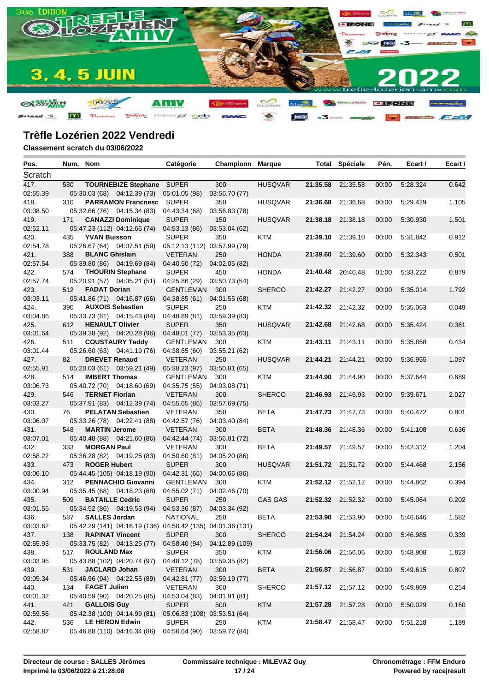

| Pos.     | Num. Nom |                        |                                                             | Catégorie                    | <b>Championn Marque</b> |                |                   | <b>Total Spéciale</b> | Pén.  | Ecart /  | Ecart / |
|----------|----------|------------------------|-------------------------------------------------------------|------------------------------|-------------------------|----------------|-------------------|-----------------------|-------|----------|---------|
| Scratch  |          |                        |                                                             |                              |                         |                |                   |                       |       |          |         |
| 417.     | 580      |                        | <b>TOURNEBIZE Stephane</b>                                  | SUPER                        | 300                     | <b>HUSQVAR</b> |                   | 21:35.58 21:35.58     | 00:00 | 5:28.324 | 0.642   |
| 02:55.39 |          |                        | 05:30.03 (68) 04:12.39 (73)                                 | 05:01.05 (98)                | 03:56.70 (77)           |                |                   |                       |       |          |         |
| 418.     | 310      |                        | <b>PARRAMON Francnesc</b>                                   | <b>SUPER</b>                 | 350                     | <b>HUSQVAR</b> | 21:36.68          | 21:36.68              | 00:00 | 5:29.429 | 1.105   |
| 03:08.50 |          |                        | 05:32.66 (76) 04:15.34 (83)                                 | 04:43.34 (68)                | 03:56.83 (78)           |                |                   |                       |       |          |         |
| 419.     | 171      |                        | <b>CANAZZI Dominique</b>                                    | <b>SUPER</b>                 | 150                     | <b>HUSQVAR</b> | 21:38.18          | 21:38.18              | 00:00 | 5:30.930 | 1.501   |
| 02:52.11 |          |                        | 05:47.23 (112) 04:12.66 (74)                                | 04:53.13 (86)                | 03:53.04 (62)           |                |                   |                       |       |          |         |
| 420.     | 435      | <b>YVAN Buisson</b>    |                                                             | <b>SUPER</b>                 | 350                     | KTM            | 21:39.10          | 21:39.10              | 00:00 | 5:31.842 | 0.912   |
| 02:54.78 |          |                        | 05:26.67 (64) 04:07.51 (59)                                 | 05:12.13 (112) 03:57.99 (79) |                         |                |                   |                       |       |          |         |
| 421.     | 388      | <b>BLANC Ghislain</b>  |                                                             | <b>VETERAN</b>               | 250                     | <b>HONDA</b>   | 21:39.60          | 21:39.60              | 00:00 | 5:32.343 | 0.501   |
| 02:57.54 |          |                        | 05:39.80 (86) 04:19.69 (84)                                 | 04:40.50 (72)                | 04:02.05 (82)           |                |                   |                       |       |          |         |
| 422.     | 574      |                        | <b>THOURIN Stephane</b>                                     | <b>SUPER</b>                 | 450                     | <b>HONDA</b>   |                   | 21:40.48 20:40.48     | 01:00 | 5:33.222 | 0.879   |
| 02:57.74 |          |                        | 05:20.91 (57) 04:05.21 (51)                                 | 04:25.86 (29)                | 03:50.73 (54)           |                |                   |                       |       |          |         |
| 423.     | 512      | <b>FADAT Dorian</b>    |                                                             | <b>GENTLEMAN</b>             | 300                     | <b>SHERCO</b>  | 21:42.27          | 21:42.27              | 00:00 | 5:35.014 | 1.792   |
| 03:03.11 |          |                        | 05:41.86 (71) 04:16.87 (66)                                 | 04:38.85 (61)                | 04:01.55 (68)           |                |                   |                       |       |          |         |
| 424.     | 390      |                        | <b>AUXOIS Sebastien</b>                                     | <b>SUPER</b>                 | 250                     | KTM            |                   | 21:42.32 21:42.32     | 00:00 | 5:35.063 | 0.049   |
| 03:04.86 |          |                        | 05:33.73 (81) 04:15.43 (84)                                 | 04:48.89 (81)                | 03:59.39 (83)           |                |                   |                       |       |          |         |
| 425.     | 612      | <b>HENAULT Olivier</b> |                                                             | <b>SUPER</b>                 | 350                     | <b>HUSQVAR</b> | 21:42.68          | 21:42.68              | 00:00 | 5:35.424 | 0.361   |
| 03:01.64 |          |                        | 05:39.38 (92) 04:20.28 (96)                                 | 04:48.01 (77)                | 03:53.35 (63)           |                |                   |                       |       |          |         |
| 426.     | 511      |                        | <b>COUSTAURY Teddy</b>                                      | <b>GENTLEMAN</b>             | 300                     | KTM            | 21:43.11          | 21:43.11              | 00:00 | 5:35.858 | 0.434   |
| 03:01.44 |          |                        | 05:26.60 (63) 04:41.19 (76)                                 | 04:38.65 (60)                | 03:55.21 (62)           |                |                   |                       |       |          |         |
| 427.     | 82       | <b>DREVET Renaud</b>   |                                                             | <b>VETERAN</b>               | 250                     | <b>HUSQVAR</b> | 21:44.21          | 21:44.21              | 00:00 | 5:36.955 | 1.097   |
| 02:55.91 |          |                        | 05:20.03 (61) 03:59.21 (49)                                 | 05:38.23 (97)                | 03:50.81 (65)           |                |                   |                       |       |          |         |
| 428.     | 514      | <b>IMBERT Thomas</b>   |                                                             | <b>GENTLEMAN</b>             | 300                     | KTM            | 21:44.90          | 21:44.90              | 00:00 | 5:37.644 | 0.689   |
| 03:06.73 |          |                        | 05:40.72 (70) 04:18.60 (69)                                 | 04:35.75 (55)                | 04:03.08 (71)           |                |                   |                       |       |          |         |
| 429.     | 546      | <b>TERNET Florian</b>  |                                                             | <b>VETERAN</b>               | 300                     | <b>SHERCO</b>  | 21:46.93          | 21:46.93              | 00:00 | 5:39.671 | 2.027   |
| 03:03.27 |          |                        | 05:37.91 (83) 04:12.39 (74)                                 | 04:55.65 (86)                | 03:57.69 (75)           |                |                   |                       |       |          |         |
| 430.     | 76       |                        | <b>PELATAN Sebastien</b>                                    | <b>VETERAN</b>               | 350                     | <b>BETA</b>    |                   | 21:47.73 21:47.73     | 00:00 | 5:40.472 | 0.801   |
| 03:06.07 |          |                        | 05:33.26 (78) 04:22.41 (88)                                 | 04:42.57 (76)                | 04:03.40 (84)           |                |                   |                       |       |          |         |
| 431.     | 548      | <b>MARTIN Jerome</b>   |                                                             | <b>VETERAN</b>               | 300                     | <b>BETA</b>    |                   | 21:48.36 21:48.36     | 00:00 | 5:41.108 | 0.636   |
| 03:07.01 |          |                        | 05:40.48 (88) 04:21.60 (86)                                 | 04:42.44 (74)                | 03:56.81 (72)           |                |                   |                       |       |          |         |
| 432.     | 333      | <b>MORGAN Paul</b>     |                                                             | <b>VETERAN</b>               | 300                     | <b>BETA</b>    |                   | 21:49.57 21:49.57     | 00:00 | 5:42.312 | 1.204   |
| 02:58.22 |          |                        | 05:36.28 (82) 04:19.25 (83)                                 | 04:50.60 (81)                | 04:05.20 (86)           |                |                   |                       |       |          |         |
| 433.     | 473      | <b>ROGER Hubert</b>    |                                                             | <b>SUPER</b>                 | 300                     | <b>HUSQVAR</b> |                   | 21:51.72 21:51.72     | 00:00 | 5:44.468 | 2.156   |
| 03:06.10 |          |                        | 05:44.45 (105) 04:18.19 (90)                                | 04:42.31 (66)                | 04:00.66 (86)           |                |                   |                       |       |          |         |
| 434.     | 312      |                        | <b>PENNACHIO Giovanni</b>                                   | GENTLEMAN                    | 300                     | KTM            |                   | 21:52.12 21:52.12     | 00:00 | 5:44.862 | 0.394   |
| 03:00.94 |          |                        | 05:35.45 (68) 04:18.23 (68)                                 | 04:55.02 (71)                | 04:02.46 (70)           |                |                   |                       |       |          |         |
| 435.     | 509      | <b>BATAILLE Cedric</b> |                                                             | <b>SUPER</b>                 | 250                     | <b>GAS GAS</b> | 21:52.32 21:52.32 |                       | 00:00 | 5:45.064 | 0.202   |
| 03:01.55 |          |                        | 05:34.52 (86) 04:19.53 (94)                                 | 04:53.36 (87)                | 04:03.34 (92)           |                |                   |                       |       |          |         |
| 436.     | 587      | <b>SALLES Jordan</b>   |                                                             | <b>NATIONAL</b>              | 250                     | <b>BETA</b>    |                   | 21:53.90 21:53.90     | 00:00 | 5:46.646 | 1.582   |
| 03:03.62 |          |                        | 05:42.29 (141) 04:16.19 (136) 04:50.42 (135) 04:01.36 (131) |                              |                         |                |                   |                       |       |          |         |
| 437.     | 138      | <b>RAPINAT Vincent</b> |                                                             | <b>SUPER</b>                 | 300                     | <b>SHERCO</b>  |                   | 21:54.24 21:54.24     | 00:00 | 5:46.985 | 0.339   |
| 02:55.93 |          |                        | 05:33.75 (82) 04:13.25 (77)                                 | 04:58.40 (94)                | 04:12.89 (109)          |                |                   |                       |       |          |         |
| 438.     | 517      | <b>ROULAND Max</b>     |                                                             | <b>SUPER</b>                 | 350                     | <b>KTM</b>     |                   | 21:56.06 21:56.06     | 00:00 | 5:48.808 | 1.823   |
| 03:03.95 |          |                        | 05:43.88 (102) 04:20.74 (97)                                | 04:48.12 (78)                | 03:59.35 (82)           |                |                   |                       |       |          |         |
| 439.     | 531      | <b>JACLARD Johan</b>   |                                                             | <b>VETERAN</b>               | 300                     | <b>BETA</b>    |                   | 21:56.87 21:56.87     | 00:00 | 5:49.615 | 0.807   |
| 03:05.34 |          |                        | 05:46.96 (94) 04:22.55 (89)                                 | 04:42.81 (77)                | 03:59.19 (77)           |                |                   |                       |       |          |         |
| 440.     | 134      | <b>FAGET Julien</b>    |                                                             | VETERAN                      | 300                     | <b>SHERCO</b>  |                   | 21:57.12 21:57.12     | 00:00 | 5:49.869 | 0.254   |
| 03:01.32 |          |                        | 05:40.59 (90) 04:20.25 (85)                                 | 04:53.04 (83)                | 04:01.91 (81)           |                |                   |                       |       |          |         |
| 441.     | 421      | <b>GALLOIS Guy</b>     |                                                             | <b>SUPER</b>                 | 500                     | <b>KTM</b>     | 21:57.28 21:57.28 |                       | 00:00 | 5:50.029 | 0.160   |
| 02:59.56 |          |                        | 05:42.38 (100) 04:14.99 (81)                                | 05:06.83 (108) 03:53.51 (64) |                         |                |                   |                       |       |          |         |
| 442.     | 536      | <b>LE HERON Edwin</b>  |                                                             | <b>SUPER</b>                 | 250                     | <b>KTM</b>     |                   | 21:58.47 21:58.47     | 00:00 | 5:51.218 | 1.189   |
| 02:58.87 |          |                        | 05:46.88 (110) 04:16.34 (86)                                | 04:56.64 (90)                | 03:59.72 (84)           |                |                   |                       |       |          |         |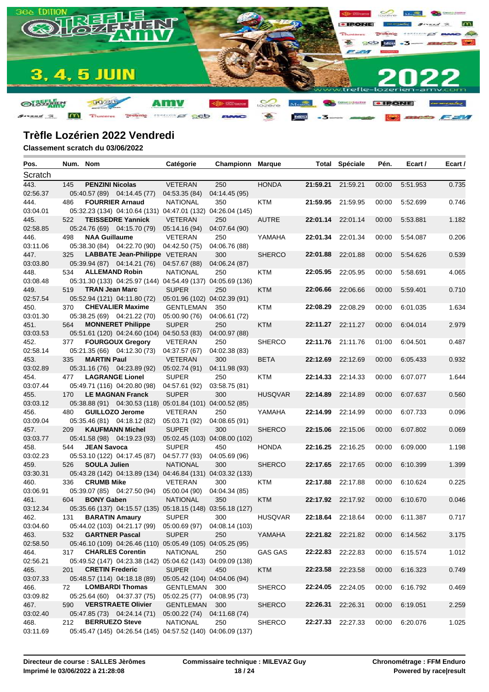

| Pos.     | Num. Nom |                        |                                                             | Catégorie                     | <b>Championn Marque</b> |                |                   | <b>Total Spéciale</b> | Pén.  | Ecart /  | Ecart / |
|----------|----------|------------------------|-------------------------------------------------------------|-------------------------------|-------------------------|----------------|-------------------|-----------------------|-------|----------|---------|
| Scratch  |          |                        |                                                             |                               |                         |                |                   |                       |       |          |         |
| 443.     | 145      | <b>PENZINI Nicolas</b> |                                                             | <b>VETERAN</b>                | 250                     | <b>HONDA</b>   | 21:59.21 21:59.21 |                       | 00:00 | 5:51.953 | 0.735   |
| 02:56.37 |          |                        | 05:40.57 (89) 04:14.45 (77)                                 | 04:53.35 (84)                 | 04:14.45 (95)           |                |                   |                       |       |          |         |
| 444.     | 486      |                        | <b>FOURRIER Arnaud</b>                                      | <b>NATIONAL</b>               | 350                     | KTM            |                   | 21:59.95 21:59.95     | 00:00 | 5:52.699 | 0.746   |
| 03:04.01 |          |                        | 05:32.23 (134) 04:10.64 (131) 04:47.01 (132) 04:26.04 (145) |                               |                         |                |                   |                       |       |          |         |
| 445.     | 522      |                        | <b>TEISSEDRE Yannick</b>                                    | <b>VETERAN</b>                | 250                     | <b>AUTRE</b>   | 22:01.14 22:01.14 |                       | 00:00 | 5:53.881 | 1.182   |
| 02:58.85 |          |                        | 05:24.76 (69) 04:15.70 (79)                                 | 05:14.16 (94)                 | 04:07.64 (90)           |                |                   |                       |       |          |         |
| 446.     | 498      | <b>NAA Guillaume</b>   |                                                             | VETERAN                       | 250                     | YAMAHA         | 22:01.34 22:01.34 |                       | 00:00 | 5:54.087 | 0.206   |
| 03:11.06 |          |                        | 05:38.30 (84) 04:22.70 (90)                                 | 04:42.50 (75)                 | 04:06.76 (88)           |                |                   |                       |       |          |         |
| 447.     | 325      |                        | LABBATE Jean-Philippe VETERAN                               |                               | 300                     | <b>SHERCO</b>  | 22:01.88          | 22:01.88              | 00:00 | 5:54.626 | 0.539   |
| 03:03.80 |          |                        | 05:39.94 (87) 04:14.21 (76)                                 | 04:57.67 (88)                 | 04:06.24 (87)           |                |                   |                       |       |          |         |
| 448.     | 534      | <b>ALLEMAND Robin</b>  |                                                             | <b>NATIONAL</b>               | 250                     | KTM            | 22:05.95 22:05.95 |                       | 00:00 | 5:58.691 | 4.065   |
| 03:08.48 |          |                        | 05:31.30 (133) 04:25.97 (144) 04:54.49 (137) 04:05.69 (136) |                               |                         |                |                   |                       |       |          |         |
| 449.     | 519      | <b>TRAN Jean Marc</b>  |                                                             | <b>SUPER</b>                  | 250                     | <b>KTM</b>     | 22:06.66          | 22:06.66              | 00:00 | 5:59.401 | 0.710   |
| 02:57.54 |          |                        | 05:52.94 (121) 04:11.80 (72)                                | 05:01.96 (102) 04:02.39 (91)  |                         |                |                   |                       |       |          |         |
| 450.     | 370      |                        | <b>CHEVALIER Maxime</b>                                     | <b>GENTLEMAN</b>              | 350                     | KTM            | 22:08.29          | 22:08.29              | 00:00 | 6:01.035 | 1.634   |
| 03:01.30 |          |                        | 05:38.25 (69) 04:21.22 (70)                                 | 05:00.90 (76)                 | 04:06.61 (72)           |                |                   |                       |       |          |         |
| 451.     | 564      |                        | <b>MONNERET Philippe</b>                                    | <b>SUPER</b>                  | 250                     | <b>KTM</b>     | 22:11.27          | 22:11.27              | 00:00 | 6:04.014 | 2.979   |
| 03:03.53 |          |                        | 05:51.61 (120) 04:24.60 (104) 04:50.53 (83)                 |                               | 04:00.97 (88)           |                |                   |                       |       |          |         |
| 452.     | 377      |                        | <b>FOURGOUX Gregory</b>                                     | VETERAN                       | 250                     | <b>SHERCO</b>  |                   | 22:11.76 21:11.76     | 01:00 | 6:04.501 | 0.487   |
| 02:58.14 |          |                        | 05:21.35 (66) 04:12.30 (73)                                 | 04:37.57 (67)                 | 04:02.38 (83)           |                |                   |                       |       |          |         |
| 453.     | 335      | <b>MARTIN Paul</b>     |                                                             | <b>VETERAN</b>                | 300                     | <b>BETA</b>    | 22:12.69          | 22:12.69              | 00:00 | 6:05.433 | 0.932   |
| 03:02.89 |          |                        | 05:31.16 (76) 04:23.89 (92)                                 | 05:02.74 (91)                 | 04:11.98 (93)           |                |                   |                       |       |          |         |
| 454.     | 477      |                        | <b>LAGRANGE Lionel</b>                                      | <b>SUPER</b>                  | 250                     | KTM            | 22:14.33 22:14.33 |                       | 00:00 | 6:07.077 | 1.644   |
| 03:07.44 |          |                        | 05:49.71 (116) 04:20.80 (98)                                | 04:57.61 (92)                 | 03:58.75 (81)           |                |                   |                       |       |          |         |
| 455.     | 170      |                        | <b>LE MAGNAN Franck</b>                                     | <b>SUPER</b>                  | 300                     | <b>HUSQVAR</b> | 22:14.89          | 22:14.89              | 00:00 | 6:07.637 | 0.560   |
| 03:03.12 |          |                        | 05:38.88 (91) 04:30.53 (118) 05:01.84 (101) 04:00.52 (85)   |                               |                         |                |                   |                       |       |          |         |
| 456.     | 480      |                        | <b>GUILLOZO Jerome</b>                                      | <b>VETERAN</b>                | 250                     | YAMAHA         | 22:14.99          | 22:14.99              | 00:00 | 6:07.733 | 0.096   |
| 03:09.04 |          |                        | 05:35.46 (81) 04:18.12 (82)                                 | 05:03.71 (92)                 | 04:08.65 (91)           |                |                   |                       |       |          |         |
| 457.     | 209      |                        | <b>KAUFMANN Michel</b>                                      | <b>SUPER</b>                  | 300                     | <b>SHERCO</b>  | 22:15.06          | 22:15.06              | 00:00 | 6:07.802 | 0.069   |
| 03:03.77 |          |                        | 05:41.58 (98) 04:19.23 (93)                                 | 05:02.45 (103) 04:08.00 (102) |                         |                |                   |                       |       |          |         |
| 458.     | 544      | <b>JEAN Savoca</b>     |                                                             | <b>SUPER</b>                  | 450                     | <b>HONDA</b>   | 22:16.25          | 22:16.25              | 00:00 | 6:09.000 | 1.198   |
| 03:02.23 |          |                        | 05:53.10 (122) 04:17.45 (87)                                | 04:57.77 (93)                 | 04:05.69 (96)           |                |                   |                       |       |          |         |
| 459.     | 526      | <b>SOULA Julien</b>    |                                                             | <b>NATIONAL</b>               | 300                     | <b>SHERCO</b>  | 22:17.65          | 22:17.65              | 00:00 | 6:10.399 | 1.399   |
| 03:30.31 |          |                        | 05:43.28 (142) 04:13.89 (134) 04:46.84 (131) 04:03.32 (133) |                               |                         |                |                   |                       |       |          |         |
| 460.     | 336      | <b>CRUMB Mike</b>      |                                                             | <b>VETERAN</b>                | 300                     | KTM            | 22:17.88          | 22:17.88              | 00:00 | 6:10.624 | 0.225   |
| 03:06.91 |          |                        | 05:39.07 (85) 04:27.50 (94)                                 | 05:00.04 (90)                 | 04:04.34 (85)           |                |                   |                       |       |          |         |
| 461.     | 604      | <b>BONY Gaben</b>      |                                                             | <b>NATIONAL</b>               | 350                     | <b>KTM</b>     |                   | 22:17.92 22:17.92     | 00:00 | 6:10.670 | 0.046   |
| 03:12.34 |          |                        | 05:35.66 (137) 04:15.57 (135) 05:18.15 (148) 03:56.18 (127) |                               |                         |                |                   |                       |       |          |         |
| 462.     | 131      | <b>BARATIN Amaury</b>  |                                                             | <b>SUPER</b>                  | 300                     | <b>HUSQVAR</b> |                   | 22:18.64 22:18.64     | 00:00 | 6:11.387 | 0.717   |
| 03:04.60 |          |                        | 05:44.02 (103) 04:21.17 (99) 05:00.69 (97) 04:08.14 (103)   |                               |                         |                |                   |                       |       |          |         |
| 463.     | 532      | <b>GARTNER Pascal</b>  |                                                             | <b>SUPER</b>                  | 250                     | YAMAHA         | 22:21.82 22:21.82 |                       | 00:00 | 6:14.562 | 3.175   |
| 02:58.50 |          |                        | 05:46.10 (109) 04:26.46 (110) 05:05.49 (105) 04:05.25 (95)  |                               |                         |                |                   |                       |       |          |         |
| 464.     | 317      |                        | <b>CHARLES Corentin</b>                                     | <b>NATIONAL</b>               | 250                     | <b>GAS GAS</b> | 22:22.83 22:22.83 |                       | 00:00 | 6:15.574 | 1.012   |
| 02:56.21 |          |                        | 05:49.52 (147) 04:23.38 (142) 05:04.62 (143) 04:09.09 (138) |                               |                         |                |                   |                       |       |          |         |
| 465.     | 201      | <b>CRETIN Frederic</b> |                                                             | <b>SUPER</b>                  | 450                     | <b>KTM</b>     | 22:23.58 22:23.58 |                       | 00:00 | 6:16.323 | 0.749   |
| 03:07.33 |          |                        | 05:48.57 (114) 04:18.18 (89)                                | 05:05.42 (104) 04:04.06 (94)  |                         |                |                   |                       |       |          |         |
| 466.     | 72       |                        | <b>LOMBARDI Thomas</b>                                      | GENTLEMAN                     | 300                     | <b>SHERCO</b>  | 22:24.05 22:24.05 |                       | 00:00 | 6:16.792 | 0.469   |
| 03:09.82 |          |                        | 05:25.64 (60) 04:37.37 (75)                                 | 05:02.25 (77) 04:08.95 (73)   |                         |                |                   |                       |       |          |         |
| 467.     | 590      |                        | <b>VERSTRAETE Olivier</b>                                   | GENTLEMAN                     | 300                     | <b>SHERCO</b>  | 22:26.31          | 22:26.31              | 00:00 | 6:19.051 | 2.259   |
| 03:02.40 |          |                        | 05:47.85 (73) 04:24.14 (71)                                 | 05:00.22 (74)                 | 04:11.68 (74)           |                |                   |                       |       |          |         |
| 468.     | 212      | <b>BERRUEZO Steve</b>  |                                                             | <b>NATIONAL</b>               | 250                     | <b>SHERCO</b>  |                   | 22:27.33 22:27.33     | 00:00 | 6:20.076 | 1.025   |
| 03:11.69 |          |                        | 05:45.47 (145) 04:26.54 (145) 04:57.52 (140) 04:06.09 (137) |                               |                         |                |                   |                       |       |          |         |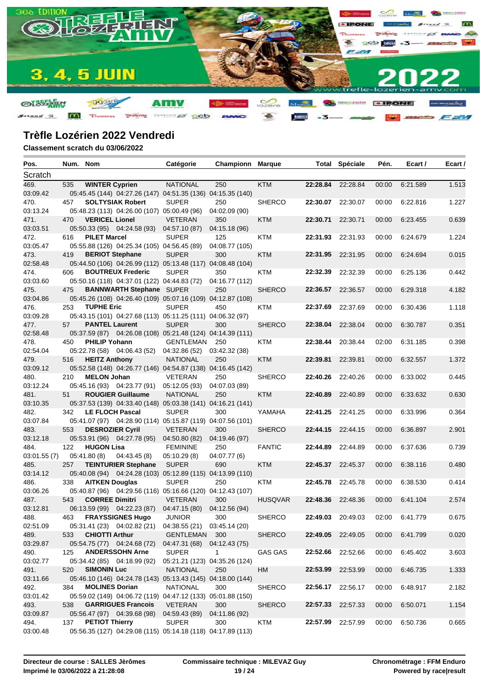

| Pos.        |     | Num. Nom               |                                             | Catégorie                                                   | Championn      | <b>Marque</b>  |                   | <b>Total Spéciale</b>    | Pén.  | Ecart /  | Ecart / |
|-------------|-----|------------------------|---------------------------------------------|-------------------------------------------------------------|----------------|----------------|-------------------|--------------------------|-------|----------|---------|
| Scratch     |     |                        |                                             |                                                             |                |                |                   |                          |       |          |         |
| 469.        | 535 | <b>WINTER Cyprien</b>  |                                             | <b>NATIONAL</b>                                             | 250            | <b>KTM</b>     | 22:28.84          | 22:28.84                 | 00:00 | 6:21.589 | 1.513   |
| 03:09.42    |     |                        |                                             | 05:45.45 (144) 04:27.26 (147) 04:51.35 (136) 04:15.35 (140) |                |                |                   |                          |       |          |         |
| 470.        | 457 |                        | <b>SOLTYSIAK Robert</b>                     | <b>SUPER</b>                                                | 250            | <b>SHERCO</b>  | 22:30.07          | 22:30.07                 | 00:00 | 6:22.816 | 1.227   |
| 03:13.24    |     |                        | 05:48.23 (113) 04:26.00 (107) 05:00.49 (96) |                                                             | 04:02.09 (90)  |                |                   |                          |       |          |         |
| 471.        | 470 | <b>VERICEL Lionel</b>  |                                             | <b>VETERAN</b>                                              | 350            | <b>KTM</b>     | 22:30.71          | 22:30.71                 | 00:00 | 6:23.455 | 0.639   |
| 03:03.51    |     |                        | 05:50.33 (95) 04:24.58 (93)                 | 04:57.10 (87)                                               | 04:15.18 (96)  |                |                   |                          |       |          |         |
| 472.        | 616 | <b>PILET Marcel</b>    |                                             | <b>SUPER</b>                                                | 125            | KTM            | 22:31.93          | 22:31.93                 | 00:00 | 6:24.679 | 1.224   |
| 03:05.47    |     |                        | 05:55.88 (126) 04:25.34 (105) 04:56.45 (89) |                                                             | 04:08.77 (105) |                |                   |                          |       |          |         |
| 473.        | 419 | <b>BERIOT Stephane</b> |                                             | <b>SUPER</b>                                                | 300            | <b>KTM</b>     | 22:31.95          | 22:31.95                 | 00:00 | 6:24.694 | 0.015   |
| 02:58.48    |     |                        |                                             | 05:44.50 (106) 04:26.99 (112) 05:13.48 (117) 04:08.48 (104) |                |                |                   |                          |       |          |         |
| 474.        | 606 |                        | <b>BOUTREUX Frederic</b>                    | <b>SUPER</b>                                                | 350            | KTM            | 22:32.39          | 22:32.39                 | 00:00 | 6:25.136 | 0.442   |
| 03:03.60    |     |                        | 05:50.16 (118) 04:37.01 (122) 04:44.83 (72) |                                                             | 04:16.77 (112) |                |                   |                          |       |          |         |
| 475.        | 475 |                        | <b>BANNWARTH Stephane SUPER</b>             |                                                             | 250            | <b>SHERCO</b>  | 22:36.57          | 22:36.57                 | 00:00 | 6:29.318 | 4.182   |
| 03:04.86    |     |                        |                                             | 05:45.26 (108) 04:26.40 (109) 05:07.16 (109) 04:12.87 (108) |                |                |                   |                          |       |          |         |
| 476.        | 253 | <b>TUPHE Eric</b>      |                                             | <b>SUPER</b>                                                | 450            | KTM            | 22:37.69          | 22:37.69                 | 00:00 | 6:30.436 | 1.118   |
| 03:09.28    |     |                        |                                             | 05:43.15 (101) 04:27.68 (113) 05:11.25 (111) 04:06.32 (97)  |                |                |                   |                          |       |          |         |
| 477.        | 57  | <b>PANTEL Laurent</b>  |                                             | <b>SUPER</b>                                                | 300            | <b>SHERCO</b>  | 22:38.04          | 22:38.04                 | 00:00 | 6:30.787 | 0.351   |
| 02:58.48    |     |                        |                                             | 05:37.59 (87) 04:26.08 (108) 05:21.48 (124) 04:14.39 (111)  |                |                |                   |                          |       |          |         |
| 478.        | 450 | <b>PHILIP Yohann</b>   |                                             | GENTLEMAN                                                   | 250            | KTM            | 22:38.44          | 20:38.44                 | 02:00 | 6:31.185 | 0.398   |
| 02:54.04    |     |                        | 05:22.78 (58) 04:06.43 (52)                 | 04:32.86 (52)                                               | 03:42.32(38)   |                |                   |                          |       |          |         |
| 479.        | 516 | <b>HEITZ Anthony</b>   |                                             | <b>NATIONAL</b>                                             | 250            | <b>KTM</b>     | 22:39.81          | 22:39.81                 | 00:00 | 6:32.557 | 1.372   |
| 03:09.12    |     |                        |                                             | 05:52.58 (148) 04:26.77 (146) 04:54.87 (138) 04:16.45 (142) |                |                |                   |                          |       |          |         |
| 480.        | 210 | <b>MELON Johan</b>     |                                             | <b>VETERAN</b>                                              | 250            | <b>SHERCO</b>  | 22:40.26          | 22:40.26                 | 00:00 | 6:33.002 | 0.445   |
| 03:12.24    |     |                        | 05:45.16 (93) 04:23.77 (91)                 | 05:12.05 (93)                                               | 04:07.03 (89)  |                |                   |                          |       |          |         |
| 481.        | 51  |                        | <b>ROUGIER Guillaume</b>                    | <b>NATIONAL</b>                                             | 250            | <b>KTM</b>     | 22:40.89          | 22:40.89                 | 00:00 | 6:33.632 | 0.630   |
| 03:10.35    |     |                        |                                             | 05:37.53 (139) 04:33.40 (148) 05:03.38 (141) 04:16.21 (141) |                |                |                   |                          |       |          |         |
| 482.        | 342 | <b>LE FLOCH Pascal</b> |                                             | <b>SUPER</b>                                                | 300            | YAMAHA         | 22:41.25          | 22:41.25                 | 00:00 | 6:33.996 | 0.364   |
| 03:07.84    |     |                        |                                             | 05:41.07 (97) 04:28.90 (114) 05:15.87 (119) 04:07.56 (101)  |                |                |                   |                          |       |          |         |
| 483.        | 553 | <b>DESROZIER Cyril</b> |                                             | <b>VETERAN</b>                                              | 300            | <b>SHERCO</b>  | 22:44.15 22:44.15 |                          | 00:00 | 6:36.897 | 2.901   |
| 03:12.18    |     |                        | 05:53.91 (96) 04:27.78 (95)                 | 04:50.80 (82)                                               | 04:19.46 (97)  |                |                   |                          |       |          |         |
| 484.        | 122 | <b>HUGON Lisa</b>      |                                             | <b>FEMININE</b>                                             | 250            | <b>FANTIC</b>  | 22:44.89          | 22:44.89                 | 00:00 | 6:37.636 | 0.739   |
| 03:01.55(7) |     | 05:41.80 (8)           | 04:43.45(8)                                 | 05:10.29(8)                                                 | 04:07.77 (6)   |                |                   |                          |       |          |         |
| 485.        | 257 |                        | <b>TEINTURIER Stephane</b>                  | <b>SUPER</b>                                                | 690            | <b>KTM</b>     | 22:45.37          | 22:45.37                 | 00:00 | 6:38.116 | 0.480   |
| 03:14.12    |     |                        |                                             | 05:40.08 (94) 04:24.28 (103) 05:12.89 (115) 04:13.99 (110)  |                |                |                   |                          |       |          |         |
| 486.        | 338 | <b>AITKEN Douglas</b>  |                                             | <b>SUPER</b>                                                | 250            | KTM            |                   | 22:45.78 22:45.78        | 00:00 | 6:38.530 | 0.414   |
| 03:06.26    |     |                        |                                             | 05:40.87 (96) 04:29.56 (116) 05:16.66 (120) 04:12.43 (107)  |                |                |                   |                          |       |          |         |
| 487.        | 543 | <b>CORREE Dimitri</b>  |                                             | <b>VETERAN</b>                                              | 300            | <b>HUSQVAR</b> | 22:48.36          | 22:48.36                 | 00:00 | 6:41.104 | 2.574   |
| 03:12.81    |     |                        | 06:13.59 (99) 04:22.23 (87)                 | 04:47.15 (80)                                               | 04:12.56 (94)  |                |                   |                          |       |          |         |
| 488.        | 463 |                        | <b>FRAYSSIGNES Hugo</b>                     | <b>JUNIOR</b>                                               | 300            | <b>SHERCO</b>  |                   | <b>22:49.03</b> 20:49.03 | 02:00 | 6:41.779 | 0.675   |
| 02:51.09    |     |                        |                                             | 05:31.41 (23) 04:02.82 (21) 04:38.55 (21) 03:45.14 (20)     |                |                |                   |                          |       |          |         |
| 489.        | 533 | <b>CHIOTTI Arthur</b>  |                                             | GENTLEMAN 300                                               |                | <b>SHERCO</b>  | 22:49.05 22:49.05 |                          | 00:00 | 6:41.799 | 0.020   |
| 03:29.87    |     |                        | 05:54.75 (77) 04:24.68 (72)                 | 04:47.31 (68)                                               | 04:12.43 (75)  |                |                   |                          |       |          |         |
| 490.        | 125 |                        | <b>ANDERSSOHN Arne</b>                      | <b>SUPER</b>                                                | $\mathbf{1}$   | <b>GAS GAS</b> | 22:52.66 22:52.66 |                          | 00:00 | 6:45.402 | 3.603   |
| 03:02.77    |     |                        | 05:34.42 (85) 04:18.99 (92)                 | 05:21.21 (123) 04:35.26 (124)                               |                |                |                   |                          |       |          |         |
| 491.        | 520 | <b>SIMONIN Luc</b>     |                                             | <b>NATIONAL</b>                                             | 250            | HM             | 22:53.99 22:53.99 |                          | 00:00 | 6:46.735 | 1.333   |
| 03:11.66    |     |                        |                                             | 05:46.10 (146) 04:24.78 (143) 05:13.43 (145) 04:18.00 (144) |                |                |                   |                          |       |          |         |
| 492.        | 384 | <b>MOLINES Dorian</b>  |                                             | <b>NATIONAL</b>                                             | 300            | <b>SHERCO</b>  | 22:56.17 22:56.17 |                          | 00:00 | 6:48.917 | 2.182   |
| 03:01.42    |     |                        |                                             | 05:59.02 (149) 04:06.72 (119) 04:47.12 (133) 05:01.88 (150) |                |                |                   |                          |       |          |         |
| 493.        | 538 |                        | <b>GARRIGUES Francois</b>                   | <b>VETERAN</b>                                              | 300            | <b>SHERCO</b>  | 22:57.33 22:57.33 |                          | 00:00 | 6:50.071 | 1.154   |
| 03:09.87    |     |                        | 05:56.47 (97) 04:39.68 (98)                 | 04:59.43 (89)                                               | 04:11.86 (92)  |                |                   |                          |       |          |         |
| 494.        | 137 | <b>PETIOT Thierry</b>  |                                             | <b>SUPER</b>                                                | 300            | KTM            | 22:57.99 22:57.99 |                          | 00:00 | 6:50.736 | 0.665   |
| 03:00.48    |     |                        |                                             | 05:56.35 (127) 04:29.08 (115) 05:14.18 (118) 04:17.89 (113) |                |                |                   |                          |       |          |         |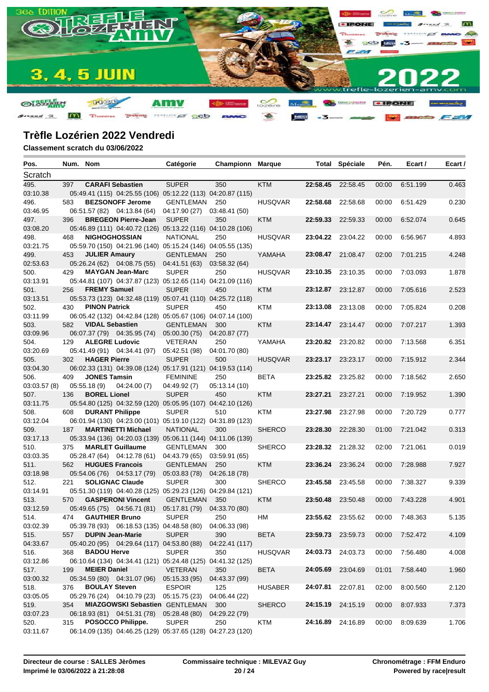

| Pos.             | Num. Nom |                        |                                                             | Catégorie                   | Championn      | Marque         |                   | <b>Total Spéciale</b> | Pén.  | Ecart /  | Ecart / |
|------------------|----------|------------------------|-------------------------------------------------------------|-----------------------------|----------------|----------------|-------------------|-----------------------|-------|----------|---------|
| Scratch          |          |                        |                                                             |                             |                |                |                   |                       |       |          |         |
| 495.             | 397      |                        | <b>CARAFI Sebastien</b>                                     | <b>SUPER</b>                | 350            | <b>KTM</b>     | 22:58.45          | 22:58.45              | 00:00 | 6:51.199 | 0.463   |
| 03:10.38         |          |                        | 05:49.41 (115) 04:25.55 (106) 05:12.22 (113) 04:20.87 (115) |                             |                |                |                   |                       |       |          |         |
| 496.             | 583      |                        | <b>BEZSONOFF Jerome</b>                                     | GENTLEMAN                   | 250            | <b>HUSQVAR</b> | 22:58.68          | 22:58.68              | 00:00 | 6:51.429 | 0.230   |
| 03:46.95         |          |                        | 06:51.57 (82) 04:13.84 (64)                                 | 04:17.90 (27)               | 03:48.41 (50)  |                |                   |                       |       |          |         |
| 497.             | 396      |                        | <b>BREGEON Pierre-Jean</b>                                  | <b>SUPER</b>                | 350            | <b>KTM</b>     | 22:59.33          | 22:59.33              | 00:00 | 6:52.074 | 0.645   |
| 03:08.20         |          |                        | 05:46.89 (111) 04:40.72 (126) 05:13.22 (116) 04:10.28 (106) |                             |                |                |                   |                       |       |          |         |
| 498.             | 468      |                        | <b>NIGHOGHOSSIAN</b>                                        | <b>NATIONAL</b>             | 250            | <b>HUSQVAR</b> |                   | 23:04.22 23:04.22     | 00:00 | 6:56.967 | 4.893   |
| 03:21.75         |          |                        | 05:59.70 (150) 04:21.96 (140) 05:15.24 (146) 04:05.55 (135) |                             |                |                |                   |                       |       |          |         |
| 499.             | 453      | <b>JULIER Amaury</b>   |                                                             | GENTLEMAN                   | 250            | YAMAHA         |                   | 23:08.47 21:08.47     | 02:00 | 7:01.215 | 4.248   |
| 02:53.63         |          |                        | 05:26.24 (62) 04:08.75 (55)                                 | 04:41.51 (63)               | 03:58.32(64)   |                |                   |                       |       |          |         |
| 500.             | 429      |                        | <b>MAYGAN Jean-Marc</b>                                     | <b>SUPER</b>                | 250            | <b>HUSQVAR</b> | 23:10.35          | 23:10.35              | 00:00 | 7:03.093 | 1.878   |
| 03:13.91         |          |                        | 05:44.81 (107) 04:37.87 (123) 05:12.65 (114) 04:21.09 (116) |                             |                |                |                   |                       |       |          |         |
| 501.             | 256      | <b>FREMY Samuel</b>    |                                                             | <b>SUPER</b>                | 450            | <b>KTM</b>     |                   | 23:12.87 23:12.87     | 00:00 | 7:05.616 | 2.523   |
| 03:13.51         |          |                        | 05:53.73 (123) 04:32.48 (119) 05:07.41 (110) 04:25.72 (118) |                             |                |                |                   |                       |       |          |         |
| 502.             | 430      | <b>PINON Patrick</b>   |                                                             | <b>SUPER</b>                | 450            | KTM            | 23:13.08          | 23:13.08              | 00:00 | 7:05.824 | 0.208   |
| 03:11.99         |          |                        | 06:05.42 (132) 04:42.84 (128) 05:05.67 (106) 04:07.14 (100) |                             |                |                |                   |                       |       |          |         |
| 503.             | 582      | <b>VIDAL Sebastien</b> |                                                             | <b>GENTLEMAN</b>            | 300            | <b>KTM</b>     |                   | 23:14.47 23:14.47     | 00:00 | 7:07.217 | 1.393   |
| 03:09.96         |          |                        | 06:07.37 (79) 04:35.95 (74)                                 | 05:00.30 (75)               | 04:20.87 (77)  |                |                   |                       |       |          |         |
| 504.             | 129      | <b>ALEGRE Ludovic</b>  |                                                             | <b>VETERAN</b>              | 250            | YAMAHA         |                   | 23:20.82 23:20.82     | 00:00 | 7:13.568 | 6.351   |
| 03:20.69         |          |                        | 05:41.49 (91) 04:34.41 (97)                                 | 05:42.51 (98)               | 04:01.70 (80)  |                |                   |                       |       |          |         |
| 505.             | 302      | <b>HAGER Pierre</b>    |                                                             | <b>SUPER</b>                | 500            | <b>HUSQVAR</b> |                   | 23:23.17 23:23.17     | 00:00 | 7:15.912 | 2.344   |
| 03:04.30         |          |                        | 06:02.33 (131) 04:39.08 (124) 05:17.91 (121) 04:19.53 (114) |                             |                |                |                   |                       |       |          |         |
| 506.             | 409      | <b>JONES Tamsin</b>    |                                                             | <b>FEMININE</b>             | 250            | <b>BETA</b>    |                   | 23:25.82 23:25.82     | 00:00 | 7:18.562 | 2.650   |
| 03:03.57(8)      |          | 05:55.18(9)            | 04:24.00(7)                                                 | 04:49.92 (7)                | 05:13.14 (10)  |                |                   |                       |       |          |         |
| 507.             | 136      | <b>BOREL Lionel</b>    |                                                             | <b>SUPER</b>                | 450            | <b>KTM</b>     | 23:27.21          | 23:27.21              | 00:00 | 7:19.952 | 1.390   |
| 03:11.75         |          | <b>DURANT Philippe</b> | 05:54.80 (125) 04:32.59 (120) 05:05.95 (107) 04:42.10 (126) |                             |                |                |                   |                       |       |          |         |
| 508.<br>03:12.04 | 608      |                        | 06:01.94 (130) 04:23.00 (101) 05:19.10 (122) 04:31.89 (123) | <b>SUPER</b>                | 510            | KTM            | 23:27.98          | 23:27.98              | 00:00 | 7:20.729 | 0.777   |
| 509.             | 187      |                        | <b>MARTINETTI Michael</b>                                   | <b>NATIONAL</b>             | 300            | <b>SHERCO</b>  | 23:28.30          | 22:28.30              | 01:00 | 7:21.042 | 0.313   |
| 03:17.13         |          |                        | 05:33.94 (136) 04:20.03 (139) 05:06.11 (144) 04:11.06 (139) |                             |                |                |                   |                       |       |          |         |
| 510.             | 375      |                        | <b>MARLET Guillaume</b>                                     | GENTLEMAN                   | 300            | <b>SHERCO</b>  |                   | 23:28.32 21:28.32     | 02:00 | 7:21.061 | 0.019   |
| 03:03.35         |          |                        | 05:28.47 (64) 04:12.78 (61)                                 | 04:43.79 (65)               | 03:59.91 (65)  |                |                   |                       |       |          |         |
| 511.             | 562      |                        | <b>HUGUES Francois</b>                                      | GENTLEMAN                   | 250            | <b>KTM</b>     | 23:36.24          | 23:36.24              | 00:00 | 7:28.988 | 7.927   |
| 03:18.98         |          |                        | 05:54.06 (76) 04:53.17 (79)                                 | 05:03.83 (78) 04:26.18 (78) |                |                |                   |                       |       |          |         |
| 512.             | 221      |                        | <b>SOLIGNAC Claude</b>                                      | <b>SUPER</b>                | 300            | <b>SHERCO</b>  |                   | 23:45.58 23:45.58     | 00:00 | 7:38.327 | 9.339   |
| 03:14.91         |          |                        | 05:51.30 (119) 04:40.28 (125) 05:29.23 (126) 04:29.84 (121) |                             |                |                |                   |                       |       |          |         |
| 513.             | 570      |                        | <b>GASPERONI Vincent</b>                                    | <b>GENTLEMAN</b>            | 350            | <b>KTM</b>     | 23:50.48          | 23:50.48              | 00:00 | 7:43.228 | 4.901   |
| 03:12.59         |          |                        | 05:49.65 (75) 04:56.71 (81)                                 | 05:17.81 (79)               | 04:33.70 (80)  |                |                   |                       |       |          |         |
| 514.             | 474      | <b>GAUTHIER Bruno</b>  |                                                             | <b>SUPER</b>                | 250            | НM             |                   | 23:55.62 23:55.62     | 00:00 | 7:48.363 | 5.135   |
| 03:02.39         |          |                        | 05:39.78 (93) 06:18.53 (135) 04:48.58 (80) 04:06.33 (98)    |                             |                |                |                   |                       |       |          |         |
| 515.             | 557      |                        | <b>DUPIN Jean-Marie</b>                                     | <b>SUPER</b>                | 390            | <b>BETA</b>    |                   | 23:59.73 23:59.73     | 00:00 | 7:52.472 | 4.109   |
| 04:33.67         |          |                        | 05:40.20 (95) 04:29.64 (117) 04:53.80 (88)                  |                             | 04:22.41 (117) |                |                   |                       |       |          |         |
| 516.             | 368      | <b>BADOU Herve</b>     |                                                             | <b>SUPER</b>                | 350            | <b>HUSQVAR</b> |                   | 24:03.73 24:03.73     | 00:00 | 7:56.480 | 4.008   |
| 03:12.86         |          |                        | 06:10.64 (134) 04:34.41 (121) 05:24.48 (125) 04:41.32 (125) |                             |                |                |                   |                       |       |          |         |
| 517.             | 199      | <b>MEIER Daniel</b>    |                                                             | <b>VETERAN</b>              | 350            | <b>BETA</b>    | 24:05.69 23:04.69 |                       | 01:01 | 7:58.440 | 1.960   |
| 03:00.32         |          |                        | 05:34.59 (80) 04:31.07 (96)                                 | 05:15.33 (95)               | 04:43.37 (99)  |                |                   |                       |       |          |         |
| 518.             | 376      | <b>BOULAY Steven</b>   |                                                             | <b>ESPOIR</b>               | 125            | HUSABER        | 24:07.81          | 22:07.81              | 02:00 | 8:00.560 | 2.120   |
| 03:05.05         |          |                        | 05:29.76 (24) 04:10.79 (23) 05:15.75 (23)                   |                             | 04:06.44 (22)  |                |                   |                       |       |          |         |
| 519.             | 354      |                        | <b>MIAZGOWSKI Sebastien GENTLEMAN</b>                       |                             | 300            | <b>SHERCO</b>  |                   | 24:15.19 24:15.19     | 00:00 | 8:07.933 | 7.373   |
| 03:07.23         |          |                        | 06:18.93 (81) 04:51.31 (78)                                 | 05:28.48 (80)               | 04:29.22 (79)  |                |                   |                       |       |          |         |
| 520.             | 315      |                        | POSOCCO Philippe.                                           | <b>SUPER</b>                | 250            | KTM            |                   | 24:16.89 24:16.89     | 00:00 | 8:09.639 | 1.706   |
| 03:11.67         |          |                        | 06:14.09 (135) 04:46.25 (129) 05:37.65 (128) 04:27.23 (120) |                             |                |                |                   |                       |       |          |         |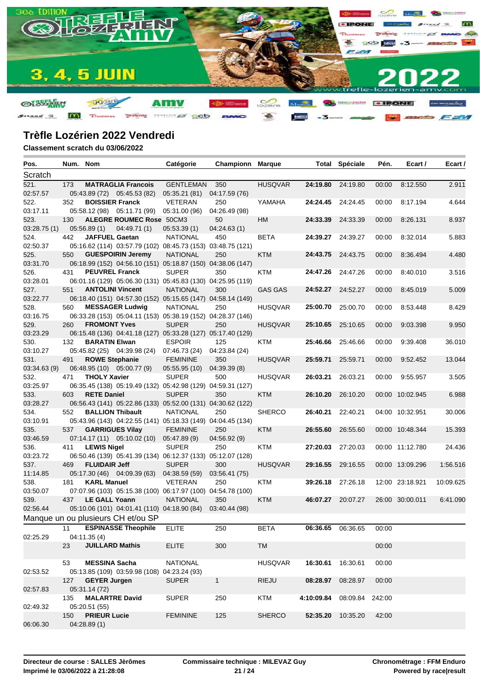

| Pos.         | Num. Nom |                        |                                                             | Catégorie        | <b>Championn Marque</b> |                |                   | <b>Total Spéciale</b> | Pén.  | Ecart /         | Ecart /   |
|--------------|----------|------------------------|-------------------------------------------------------------|------------------|-------------------------|----------------|-------------------|-----------------------|-------|-----------------|-----------|
| Scratch      |          |                        |                                                             |                  |                         |                |                   |                       |       |                 |           |
| 521.         | 173      |                        | <b>MATRAGLIA Francois</b>                                   | <b>GENTLEMAN</b> | 350                     | <b>HUSQVAR</b> | 24:19.80 24:19.80 |                       | 00:00 | 8:12.550        | 2.911     |
| 02:57.57     |          |                        | 05:43.89 (72) 05:45.53 (82)                                 | 05:35.21(81)     | 04:17.59 (76)           |                |                   |                       |       |                 |           |
| 522.         | 352      | <b>BOISSIER Franck</b> |                                                             | <b>VETERAN</b>   | 250                     | YAMAHA         | 24:24.45 24:24.45 |                       | 00:00 | 8:17.194        | 4.644     |
| 03:17.11     |          |                        | 05:58.12 (98) 05:11.71 (99)                                 | 05:31.00 (96)    | 04:26.49 (98)           |                |                   |                       |       |                 |           |
| 523.         | 130      |                        | <b>ALEGRE ROUMEC Rose 50CM3</b>                             |                  | 50                      | HM             | 24:33.39          | 24:33.39              | 00:00 | 8:26.131        | 8.937     |
| 03:28.75(1)  |          | 05:56.89(1)            | 04:49.71(1)                                                 | 05:53.39(1)      | 04:24.63(1)             |                |                   |                       |       |                 |           |
| 524.         | 442      | <b>JAFFUEL Gaetan</b>  |                                                             | <b>NATIONAL</b>  | 450                     | <b>BETA</b>    | 24:39.27          | 24:39.27              | 00:00 | 8:32.014        | 5.883     |
| 02:50.37     |          |                        | 05:16.62 (114) 03:57.79 (102) 08:45.73 (153) 03:48.75 (121) |                  |                         |                |                   |                       |       |                 |           |
| 525.         | 550      |                        | <b>GUESPOIRIN Jeremy</b>                                    | <b>NATIONAL</b>  | 250                     | <b>KTM</b>     | 24:43.75          | 24:43.75              | 00:00 | 8:36.494        | 4.480     |
| 03:31.70     |          |                        | 06:18.99 (152) 04:56.10 (151) 05:18.87 (150) 04:38.06 (147) |                  |                         |                |                   |                       |       |                 |           |
| 526.         | 431      | <b>PEUVREL Franck</b>  |                                                             | <b>SUPER</b>     | 350                     | KTM            | 24:47.26          | 24:47.26              | 00:00 | 8:40.010        | 3.516     |
| 03:28.01     |          |                        | 06:01.16 (129) 05:06.30 (131) 05:45.83 (130) 04:25.95 (119) |                  |                         |                |                   |                       |       |                 |           |
| 527.         | 551      |                        | <b>ANTOLINI Vincent</b>                                     | <b>NATIONAL</b>  | 300                     | <b>GAS GAS</b> | 24:52.27          | 24:52.27              | 00:00 | 8:45.019        | 5.009     |
| 03:22.77     |          |                        | 06:18.40 (151) 04:57.30 (152) 05:15.65 (147) 04:58.14 (149) |                  |                         |                |                   |                       |       |                 |           |
| 528.         | 560      |                        | <b>MESSAGER Ludwig</b>                                      | <b>NATIONAL</b>  | 250                     | <b>HUSQVAR</b> | 25:00.70          | 25:00.70              | 00:00 | 8:53.448        | 8.429     |
| 03:16.75     |          |                        | 06:33.28 (153) 05:04.11 (153) 05:38.19 (152) 04:28.37 (146) |                  |                         |                |                   |                       |       |                 |           |
| 529.         | 260      | <b>FROMONT Yves</b>    |                                                             | <b>SUPER</b>     | 250                     | <b>HUSQVAR</b> | 25:10.65          | 25:10.65              | 00:00 | 9:03.398        | 9.950     |
| 03:23.29     |          |                        | 06:15.48 (136) 04:41.18 (127) 05:33.28 (127) 05:17.40 (129) |                  |                         |                |                   |                       |       |                 |           |
| 530.         | 132      | <b>BARATIN Elwan</b>   |                                                             | <b>ESPOIR</b>    | 125                     | KTM            | 25:46.66          | 25:46.66              | 00:00 | 9:39.408        | 36.010    |
| 03:10.27     |          |                        | 05:45.82 (25) 04:39.98 (24)                                 | 07:46.73 (24)    | 04:23.84 (24)           |                |                   |                       |       |                 |           |
| 531.         | 491      | <b>ROWE Stephanie</b>  |                                                             | <b>FEMININE</b>  | 350                     | <b>HUSQVAR</b> | 25:59.71          | 25:59.71              | 00:00 | 9:52.452        | 13.044    |
| 03:34.63 (9) |          |                        | 06:48.95 (10) 05:00.77 (9)                                  | 05:55.95(10)     | 04:39.39 (8)            |                |                   |                       |       |                 |           |
| 532.         | 471      | <b>THOLY Xavier</b>    |                                                             | <b>SUPER</b>     | 500                     | <b>HUSQVAR</b> | 26:03.21          | 26:03.21              | 00:00 | 9:55.957        | 3.505     |
| 03:25.97     |          |                        | 06:35.45 (138) 05:19.49 (132) 05:42.98 (129) 04:59.31 (127) |                  |                         |                |                   |                       |       |                 |           |
| 533.         | 603      | <b>RETE Daniel</b>     |                                                             | <b>SUPER</b>     | 350                     | <b>KTM</b>     | 26:10.20          | 26:10.20              |       | 00:00 10:02.945 | 6.988     |
| 03:28.27     |          |                        | 06:56.43 (141) 05:22.86 (133) 05:52.00 (131) 04:30.62 (122) |                  |                         |                |                   |                       |       |                 |           |
| 534.         | 552      |                        | <b>BALLION Thibault</b>                                     | <b>NATIONAL</b>  | 250                     | <b>SHERCO</b>  | 26:40.21          | 22:40.21              |       | 04:00 10:32.951 | 30.006    |
| 03:10.91     |          |                        | 05:43.96 (143) 04:22.55 (141) 05:18.33 (149) 04:04.45 (134) |                  |                         |                |                   |                       |       |                 |           |
| 535.         | 537      |                        | <b>GARRIGUES Vilay</b>                                      | <b>FEMININE</b>  | 250                     | <b>KTM</b>     | 26:55.60          | 26:55.60              |       | 00:00 10:48.344 | 15.393    |
| 03:46.59     |          |                        | $07:14.17(11)$ $05:10.02(10)$                               | 05:47.89 (9)     | 04:56.92 (9)            |                |                   |                       |       |                 |           |
| 536.         | 411      | <b>LEWIS Nigel</b>     |                                                             | <b>SUPER</b>     | 250                     | <b>KTM</b>     | 27:20.03          | 27:20.03              |       | 00:00 11:12.780 | 24.436    |
| 03:23.72     |          |                        | 06:50.46 (139) 05:41.39 (134) 06:12.37 (133) 05:12.07 (128) |                  |                         |                |                   |                       |       |                 |           |
| 537.         | 469      | <b>FLUIDAIR Jeff</b>   |                                                             | <b>SUPER</b>     | 300                     | <b>HUSQVAR</b> | 29:16.55          | 29:16.55              |       | 00:00 13:09.296 | 1:56.516  |
| 11:14.85     |          |                        | 05:17.30 (46) 04:09.39 (63)                                 | 04:38.59 (59)    | 03:56.41 (75)           |                |                   |                       |       |                 |           |
| 538.         | 181      | <b>KARL Manuel</b>     |                                                             | <b>VETERAN</b>   | 250                     | <b>KTM</b>     | 39:26.18          | 27:26.18              |       | 12:00 23:18.921 | 10:09.625 |
| 03:50.07     |          |                        | 07:07.96 (103) 05:15.38 (100) 06:17.97 (100) 04:54.78 (100) |                  |                         |                |                   |                       |       |                 |           |
| 539.         | 437      | <b>LE GALL Yoann</b>   |                                                             | <b>NATIONAL</b>  | 350                     | <b>KTM</b>     | 46:07.27          | 20:07.27              |       | 26:00 30:00.011 | 6:41.090  |
| 02:56.44     |          |                        | 05:10.06 (101) 04:01.41 (110) 04:18.90 (84)                 |                  | 03:40.44 (98)           |                |                   |                       |       |                 |           |
|              |          |                        | Manque un ou plusieurs CH et/ou SP                          |                  |                         |                |                   |                       |       |                 |           |
|              | 11       |                        | <b>ESPINASSE Theophile</b>                                  | <b>ELITE</b>     | $\overline{250}$        | <b>BETA</b>    |                   | 06:36.65 06:36.65     | 00:00 |                 |           |
| 02:25.29     |          | 04:11.35(4)            |                                                             |                  |                         |                |                   |                       |       |                 |           |
|              | 23       | <b>JUILLARD Mathis</b> |                                                             | <b>ELITE</b>     | 300                     | <b>TM</b>      |                   |                       | 00:00 |                 |           |
|              |          |                        |                                                             |                  |                         |                |                   |                       |       |                 |           |
|              | 53       | <b>MESSINA Sacha</b>   |                                                             | <b>NATIONAL</b>  |                         | <b>HUSQVAR</b> | 16:30.61          | 16:30.61              | 00:00 |                 |           |
| 02:53.52     |          |                        | 05:13.85 (109) 03:59.98 (108) 04:23.24 (93)                 |                  |                         |                |                   |                       |       |                 |           |
|              | 127      | <b>GEYER Jurgen</b>    |                                                             | <b>SUPER</b>     | $\mathbf{1}$            | <b>RIEJU</b>   | 08:28.97          | 08:28.97              | 00:00 |                 |           |
| 02:57.83     |          | 05:31.14 (72)          |                                                             |                  |                         |                |                   |                       |       |                 |           |
|              | 135      |                        | <b>MALARTRE David</b>                                       | <b>SUPER</b>     | 250                     | KTM            | 4:10:09.84        | 08:09.84 242:00       |       |                 |           |
| 02:49.32     |          | 05:20.51 (55)          |                                                             |                  |                         |                |                   |                       |       |                 |           |
|              | 150      | <b>PRIEUR Lucie</b>    |                                                             | <b>FEMININE</b>  | 125                     | <b>SHERCO</b>  |                   | 52:35.20 10:35.20     | 42:00 |                 |           |
| 06:06.30     |          | 04:28.89(1)            |                                                             |                  |                         |                |                   |                       |       |                 |           |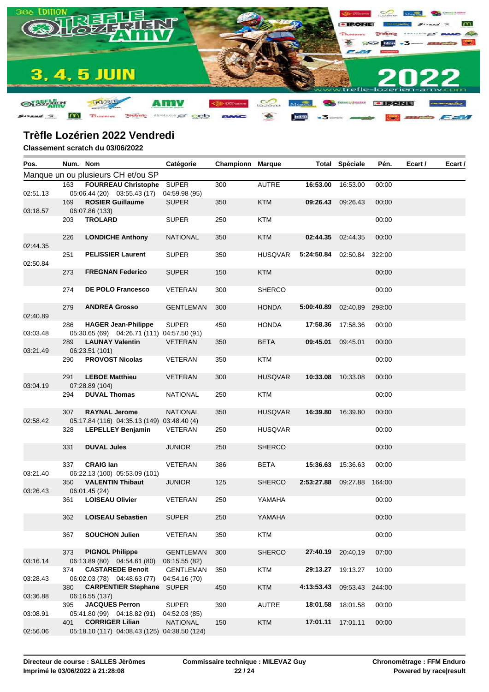

| Pos.     |     | Num. Nom                                                                 | Catégorie                         | <b>Championn Marque</b> |                |            | <b>Total Spéciale</b> | Pén.   | Ecart / | Ecart / |
|----------|-----|--------------------------------------------------------------------------|-----------------------------------|-------------------------|----------------|------------|-----------------------|--------|---------|---------|
|          |     | Manque un ou plusieurs CH et/ou SP                                       |                                   |                         |                |            |                       |        |         |         |
|          | 163 | FOURREAU Christophe SUPER                                                |                                   | 300                     | <b>AUTRE</b>   | 16:53.00   | 16:53.00              | 00:00  |         |         |
| 02:51.13 |     | 05:06.44 (20) 03:55.43 (17)                                              | 04:59.98 (95)                     |                         |                |            |                       |        |         |         |
| 03:18.57 | 169 | <b>ROSIER Guillaume</b><br>06:07.86 (133)                                | <b>SUPER</b>                      | 350                     | <b>KTM</b>     | 09:26.43   | 09:26.43              | 00:00  |         |         |
|          | 203 | <b>TROLARD</b>                                                           | <b>SUPER</b>                      | 250                     | KTM            |            |                       | 00:00  |         |         |
| 02:44.35 | 226 | <b>LONDICHE Anthony</b>                                                  | <b>NATIONAL</b>                   | 350                     | <b>KTM</b>     | 02:44.35   | 02:44.35              | 00:00  |         |         |
| 02:50.84 | 251 | <b>PELISSIER Laurent</b>                                                 | <b>SUPER</b>                      | 350                     | <b>HUSQVAR</b> | 5:24:50.84 | 02:50.84              | 322:00 |         |         |
|          | 273 | <b>FREGNAN Federico</b>                                                  | <b>SUPER</b>                      | 150                     | <b>KTM</b>     |            |                       | 00:00  |         |         |
|          | 274 | <b>DE POLO Francesco</b>                                                 | VETERAN                           | 300                     | <b>SHERCO</b>  |            |                       | 00:00  |         |         |
| 02:40.89 | 279 | <b>ANDREA Grosso</b>                                                     | <b>GENTLEMAN</b>                  | 300                     | <b>HONDA</b>   | 5:00:40.89 | 02:40.89              | 298:00 |         |         |
| 03:03.48 | 286 | <b>HAGER Jean-Philippe</b><br>05:30.65 (69) 04:26.71 (111) 04:57.50 (91) | <b>SUPER</b>                      | 450                     | <b>HONDA</b>   | 17:58.36   | 17:58.36              | 00:00  |         |         |
| 03:21.49 | 289 | <b>LAUNAY Valentin</b><br>06:23.51 (101)                                 | <b>VETERAN</b>                    | 350                     | <b>BETA</b>    | 09:45.01   | 09:45.01              | 00:00  |         |         |
|          | 290 | <b>PROVOST Nicolas</b>                                                   | VETERAN                           | 350                     | <b>KTM</b>     |            |                       | 00:00  |         |         |
| 03:04.19 | 291 | <b>LEBOE Matthieu</b><br>07:28.89 (104)                                  | <b>VETERAN</b>                    | 300                     | <b>HUSQVAR</b> | 10:33.08   | 10:33.08              | 00:00  |         |         |
|          | 294 | <b>DUVAL Thomas</b>                                                      | <b>NATIONAL</b>                   | 250                     | KTM            |            |                       | 00:00  |         |         |
| 02:58.42 | 307 | <b>RAYNAL Jerome</b><br>05:17.84 (116) 04:35.13 (149) 03:48.40 (4)       | <b>NATIONAL</b>                   | 350                     | <b>HUSQVAR</b> | 16:39.80   | 16:39.80              | 00:00  |         |         |
|          | 328 | <b>LEPELLEY Benjamin</b>                                                 | VETERAN                           | 250                     | <b>HUSQVAR</b> |            |                       | 00:00  |         |         |
|          | 331 | <b>DUVAL Jules</b>                                                       | <b>JUNIOR</b>                     | 250                     | SHERCO         |            |                       | 00:00  |         |         |
| 03:21.40 | 337 | <b>CRAIG lan</b><br>06:22.13 (100) 05:53.09 (101)                        | VETERAN                           | 386                     | <b>BETA</b>    | 15:36.63   | 15:36.63              | 00:00  |         |         |
| 03:26.43 | 350 | <b>VALENTIN Thibaut</b><br>06:01.45 (24)                                 | <b>JUNIOR</b>                     | 125                     | <b>SHERCO</b>  | 2:53:27.88 | 09:27.88              | 164:00 |         |         |
|          | 361 | <b>LOISEAU Olivier</b>                                                   | VETERAN                           | 250                     | YAMAHA         |            |                       | 00:00  |         |         |
|          | 362 | <b>LOISEAU Sebastien</b>                                                 | <b>SUPER</b>                      | 250                     | YAMAHA         |            |                       | 00:00  |         |         |
|          | 367 | <b>SOUCHON Julien</b>                                                    | VETERAN                           | 350                     | <b>KTM</b>     |            |                       | 00:00  |         |         |
| 03:16.14 | 373 | <b>PIGNOL Philippe</b><br>06:13.89 (80) 04:54.61 (80)                    | <b>GENTLEMAN</b><br>06:15.55 (82) | 300                     | <b>SHERCO</b>  | 27:40.19   | 20:40.19              | 07:00  |         |         |
| 03:28.43 | 374 | <b>CASTAREDE Benoit</b><br>06:02.03 (78) 04:48.63 (77)                   | <b>GENTLEMAN</b><br>04:54.16 (70) | 350                     | <b>KTM</b>     | 29:13.27   | 19:13.27              | 10:00  |         |         |
| 03:36.88 | 380 | <b>CARPENTIER Stephane SUPER</b><br>06:16.55 (137)                       |                                   | 450                     | <b>KTM</b>     | 4:13:53.43 | 09:53.43              | 244:00 |         |         |
| 03:08.91 | 395 | <b>JACQUES Perron</b><br>05:41.80 (99) 04:18.82 (91)                     | <b>SUPER</b><br>04:52.03 (85)     | 390                     | <b>AUTRE</b>   | 18:01.58   | 18:01.58              | 00:00  |         |         |
| 02:56.06 | 401 | <b>CORRIGER Lilian</b><br>05:18.10 (117) 04:08.43 (125) 04:38.50 (124)   | <b>NATIONAL</b>                   | 150                     | <b>KTM</b>     | 17:01.11   | 17:01.11              | 00:00  |         |         |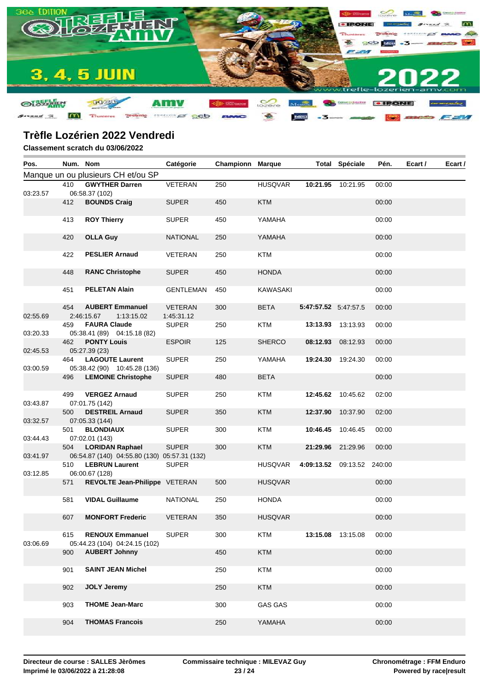

| Pos.                 |     | Num. Nom                                                                                 | Catégorie                    | <b>Championn Marque</b> |                |                      | <b>Total Spéciale</b> | Pén.   | Ecart / | Ecart / |
|----------------------|-----|------------------------------------------------------------------------------------------|------------------------------|-------------------------|----------------|----------------------|-----------------------|--------|---------|---------|
|                      |     | Manque un ou plusieurs CH et/ou SP                                                       |                              |                         |                |                      |                       |        |         |         |
|                      | 410 | <b>GWYTHER Darren</b>                                                                    | VETERAN                      | 250                     | <b>HUSQVAR</b> |                      | 10:21.95 10:21.95     | 00:00  |         |         |
| 03:23.57             | 412 | 06:58.37 (102)<br><b>BOUNDS Craig</b>                                                    | <b>SUPER</b>                 | 450                     | <b>KTM</b>     |                      |                       | 00:00  |         |         |
|                      | 413 | <b>ROY Thierry</b>                                                                       | <b>SUPER</b>                 | 450                     | YAMAHA         |                      |                       | 00:00  |         |         |
|                      | 420 | <b>OLLA Guy</b>                                                                          | <b>NATIONAL</b>              | 250                     | YAMAHA         |                      |                       | 00:00  |         |         |
|                      | 422 | <b>PESLIER Arnaud</b>                                                                    | VETERAN                      | 250                     | <b>KTM</b>     |                      |                       | 00:00  |         |         |
|                      | 448 | <b>RANC Christophe</b>                                                                   | <b>SUPER</b>                 | 450                     | <b>HONDA</b>   |                      |                       | 00:00  |         |         |
|                      | 451 | <b>PELETAN Alain</b>                                                                     | GENTLEMAN                    | 450                     | KAWASAKI       |                      |                       | 00:00  |         |         |
| 02:55.69             | 454 | <b>AUBERT Emmanuel</b><br>2:46:15.67<br>1:13:15.02                                       | <b>VETERAN</b><br>1:45:31.12 | 300                     | <b>BETA</b>    | 5:47:57.52 5:47:57.5 |                       | 00:00  |         |         |
| 03:20.33             | 459 | <b>FAURA Claude</b><br>05:38.41 (89) 04:15.18 (82)                                       | <b>SUPER</b>                 | 250                     | <b>KTM</b>     | 13:13.93             | 13:13.93              | 00:00  |         |         |
| 02:45.53             | 462 | <b>PONTY Louis</b><br>05:27.39 (23)                                                      | <b>ESPOIR</b>                | 125                     | <b>SHERCO</b>  |                      | 08:12.93 08:12.93     | 00:00  |         |         |
| 03:00.59             | 464 | <b>LAGOUTE Laurent</b><br>05:38.42 (90) 10:45.28 (136)                                   | <b>SUPER</b>                 | 250                     | YAMAHA         |                      | 19:24.30 19:24.30     | 00:00  |         |         |
|                      | 496 | <b>LEMOINE Christophe</b>                                                                | <b>SUPER</b>                 | 480                     | <b>BETA</b>    |                      |                       | 00:00  |         |         |
| 03:43.87             | 499 | <b>VERGEZ Arnaud</b><br>07:01.75 (142)                                                   | <b>SUPER</b>                 | 250                     | <b>KTM</b>     |                      | 12:45.62 10:45.62     | 02:00  |         |         |
| 03:32.57             | 500 | <b>DESTREIL Arnaud</b><br>07:05.33 (144)                                                 | <b>SUPER</b>                 | 350                     | <b>KTM</b>     | 12:37.90             | 10:37.90              | 02:00  |         |         |
|                      | 501 | <b>BLONDIAUX</b>                                                                         | <b>SUPER</b>                 | 300                     | <b>KTM</b>     |                      | 10:46.45 10:46.45     | 00:00  |         |         |
| 03:44.43<br>03:41.97 | 504 | 07:02.01 (143)<br><b>LORIDAN Raphael</b><br>06:54.87 (140) 04:55.80 (130) 05:57.31 (132) | <b>SUPER</b>                 | 300                     | <b>KTM</b>     |                      | 21:29.96 21:29.96     | 00:00  |         |         |
|                      | 510 | <b>LEBRUN Laurent</b>                                                                    | <b>SUPER</b>                 |                         | HUSQVAR        | 4:09:13.52 09:13.52  |                       | 240:00 |         |         |
| 03:12.85             | 571 | 06:00.67 (128)<br>REVOLTE Jean-Philippe VETERAN                                          |                              | 500                     | <b>HUSQVAR</b> |                      |                       | 00:00  |         |         |
|                      | 581 | <b>VIDAL Guillaume</b>                                                                   | <b>NATIONAL</b>              | 250                     | <b>HONDA</b>   |                      |                       | 00:00  |         |         |
|                      | 607 | <b>MONFORT Frederic</b>                                                                  | <b>VETERAN</b>               | 350                     | <b>HUSQVAR</b> |                      |                       | 00:00  |         |         |
| 03:06.69             | 615 | <b>RENOUX Emmanuel</b><br>05:44.23 (104) 04:24.15 (102)                                  | <b>SUPER</b>                 | 300                     | <b>KTM</b>     |                      | 13:15.08 13:15.08     | 00:00  |         |         |
|                      | 900 | <b>AUBERT Johnny</b>                                                                     |                              | 450                     | <b>KTM</b>     |                      |                       | 00:00  |         |         |
|                      | 901 | <b>SAINT JEAN Michel</b>                                                                 |                              | 250                     | <b>KTM</b>     |                      |                       | 00:00  |         |         |
|                      | 902 | <b>JOLY Jeremy</b>                                                                       |                              | 250                     | <b>KTM</b>     |                      |                       | 00:00  |         |         |
|                      | 903 | <b>THOME Jean-Marc</b>                                                                   |                              | 300                     | <b>GAS GAS</b> |                      |                       | 00:00  |         |         |
|                      | 904 | <b>THOMAS Francois</b>                                                                   |                              | 250                     | YAMAHA         |                      |                       | 00:00  |         |         |